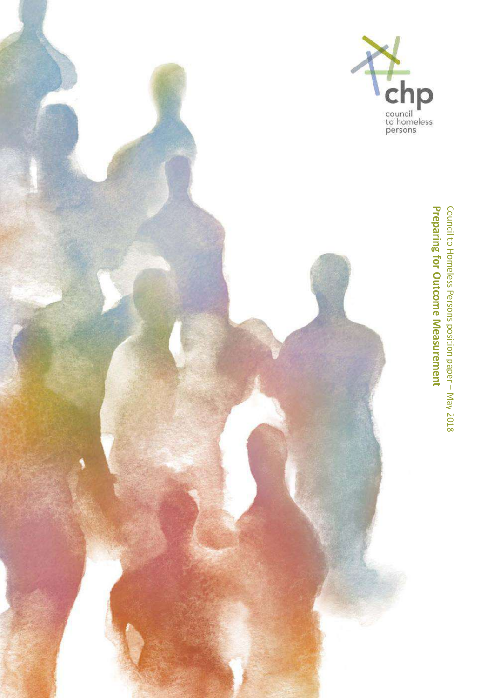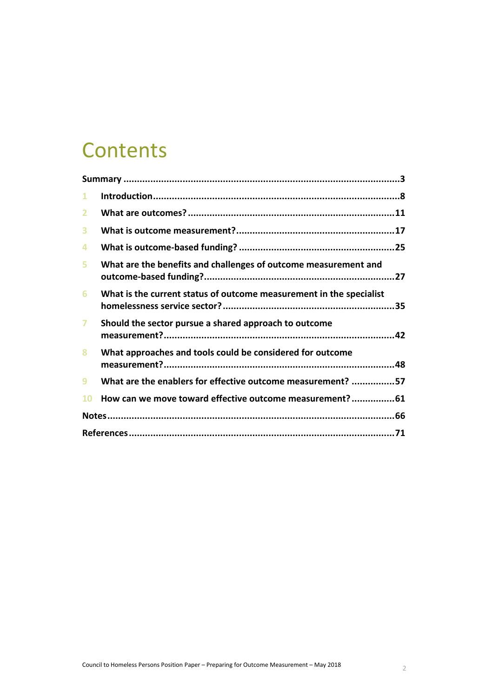# **Contents**

| 1              |                                                                     |  |  |
|----------------|---------------------------------------------------------------------|--|--|
| $\overline{2}$ |                                                                     |  |  |
| 3              |                                                                     |  |  |
| 4              |                                                                     |  |  |
| 5.             | What are the benefits and challenges of outcome measurement and     |  |  |
| 6              | What is the current status of outcome measurement in the specialist |  |  |
| $\overline{ }$ | Should the sector pursue a shared approach to outcome               |  |  |
| 8              | What approaches and tools could be considered for outcome           |  |  |
| 9              | What are the enablers for effective outcome measurement? 57         |  |  |
| <b>10</b>      | How can we move toward effective outcome measurement?61             |  |  |
|                |                                                                     |  |  |
|                |                                                                     |  |  |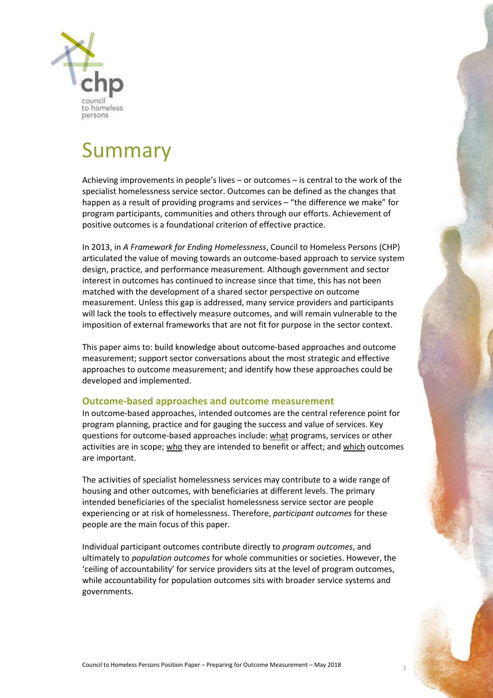

# Summary

Achieving improvements in people's lives – or outcomes – is central to the work of the specialist homelessness service sector. Outcomes can be defined as the changes that happen as a result of providing programs and services – "the difference we make" for program participants, communities and others through our efforts. Achievement of positive outcomes is a foundational criterion of effective practice.

In 2013, in *A Framework for Ending Homelessness*, Council to Homeless Persons (CHP) articulated the value of moving towards an outcome-based approach to service system design, practice, and performance measurement. Although government and sector interest in outcomes has continued to increase since that time, this has not been matched with the development of a shared sector perspective on outcome measurement. Unless this gap is addressed, many service providers and participants will lack the tools to effectively measure outcomes, and will remain vulnerable to the imposition of external frameworks that are not fit for purpose in the sector context.

This paper aims to: build knowledge about outcome-based approaches and outcome measurement; support sector conversations about the most strategic and effective approaches to outcome measurement; and identify how these approaches could be developed and implemented.

# **Outcome-based approaches and outcome measurement**

In outcome-based approaches, intended outcomes are the central reference point for program planning, practice and for gauging the success and value of services. Key questions for outcome-based approaches include: what programs, services or other activities are in scope; who they are intended to benefit or affect; and which outcomes are important.

The activities of specialist homelessness services may contribute to a wide range of housing and other outcomes, with beneficiaries at different levels. The primary intended beneficiaries of the specialist homelessness service sector are people experiencing or at risk of homelessness. Therefore, *participant outcomes* for these people are the main focus of this paper.

Individual participant outcomes contribute directly to *program outcomes*, and ultimately to *population outcomes* for whole communities or societies. However, the 'ceiling of accountability' for service providers sits at the level of program outcomes, while accountability for population outcomes sits with broader service systems and governments.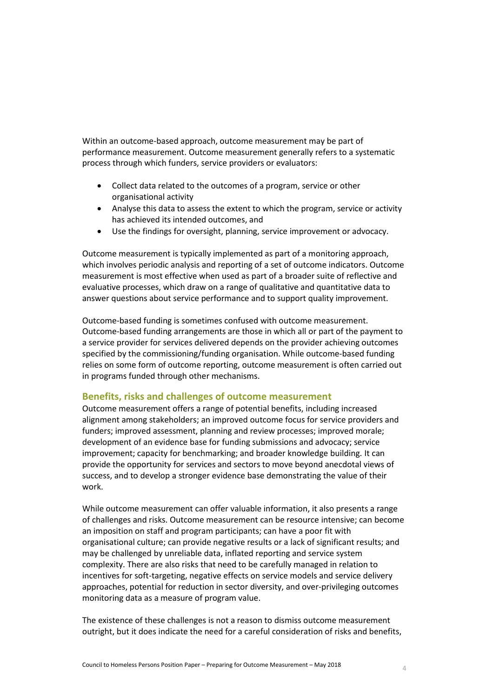Within an outcome-based approach, outcome measurement may be part of performance measurement. Outcome measurement generally refers to a systematic process through which funders, service providers or evaluators:

- Collect data related to the outcomes of a program, service or other organisational activity
- Analyse this data to assess the extent to which the program, service or activity has achieved its intended outcomes, and
- Use the findings for oversight, planning, service improvement or advocacy.

Outcome measurement is typically implemented as part of a monitoring approach, which involves periodic analysis and reporting of a set of outcome indicators. Outcome measurement is most effective when used as part of a broader suite of reflective and evaluative processes, which draw on a range of qualitative and quantitative data to answer questions about service performance and to support quality improvement.

Outcome-based funding is sometimes confused with outcome measurement. Outcome-based funding arrangements are those in which all or part of the payment to a service provider for services delivered depends on the provider achieving outcomes specified by the commissioning/funding organisation. While outcome-based funding relies on some form of outcome reporting, outcome measurement is often carried out in programs funded through other mechanisms.

# **Benefits, risks and challenges of outcome measurement**

Outcome measurement offers a range of potential benefits, including increased alignment among stakeholders; an improved outcome focus for service providers and funders; improved assessment, planning and review processes; improved morale; development of an evidence base for funding submissions and advocacy; service improvement; capacity for benchmarking; and broader knowledge building. It can provide the opportunity for services and sectors to move beyond anecdotal views of success, and to develop a stronger evidence base demonstrating the value of their work.

While outcome measurement can offer valuable information, it also presents a range of challenges and risks. Outcome measurement can be resource intensive; can become an imposition on staff and program participants; can have a poor fit with organisational culture; can provide negative results or a lack of significant results; and may be challenged by unreliable data, inflated reporting and service system complexity. There are also risks that need to be carefully managed in relation to incentives for soft-targeting, negative effects on service models and service delivery approaches, potential for reduction in sector diversity, and over-privileging outcomes monitoring data as a measure of program value.

The existence of these challenges is not a reason to dismiss outcome measurement outright, but it does indicate the need for a careful consideration of risks and benefits,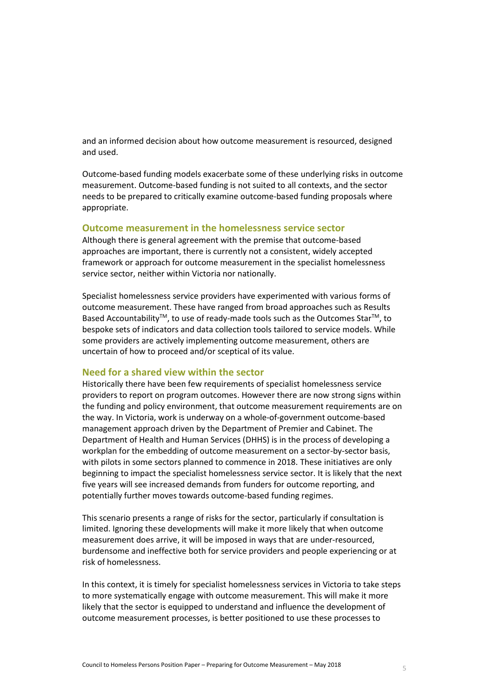and an informed decision about how outcome measurement is resourced, designed and used.

Outcome-based funding models exacerbate some of these underlying risks in outcome measurement. Outcome-based funding is not suited to all contexts, and the sector needs to be prepared to critically examine outcome-based funding proposals where appropriate.

# **Outcome measurement in the homelessness service sector**

Although there is general agreement with the premise that outcome-based approaches are important, there is currently not a consistent, widely accepted framework or approach for outcome measurement in the specialist homelessness service sector, neither within Victoria nor nationally.

Specialist homelessness service providers have experimented with various forms of outcome measurement. These have ranged from broad approaches such as Results Based Accountability<sup>™</sup>, to use of ready-made tools such as the Outcomes Star<sup>™</sup>, to bespoke sets of indicators and data collection tools tailored to service models. While some providers are actively implementing outcome measurement, others are uncertain of how to proceed and/or sceptical of its value.

### **Need for a shared view within the sector**

Historically there have been few requirements of specialist homelessness service providers to report on program outcomes. However there are now strong signs within the funding and policy environment, that outcome measurement requirements are on the way. In Victoria, work is underway on a whole-of-government outcome-based management approach driven by the Department of Premier and Cabinet. The Department of Health and Human Services (DHHS) is in the process of developing a workplan for the embedding of outcome measurement on a sector-by-sector basis, with pilots in some sectors planned to commence in 2018. These initiatives are only beginning to impact the specialist homelessness service sector. It is likely that the next five years will see increased demands from funders for outcome reporting, and potentially further moves towards outcome-based funding regimes.

This scenario presents a range of risks for the sector, particularly if consultation is limited. Ignoring these developments will make it more likely that when outcome measurement does arrive, it will be imposed in ways that are under-resourced, burdensome and ineffective both for service providers and people experiencing or at risk of homelessness.

In this context, it is timely for specialist homelessness services in Victoria to take steps to more systematically engage with outcome measurement. This will make it more likely that the sector is equipped to understand and influence the development of outcome measurement processes, is better positioned to use these processes to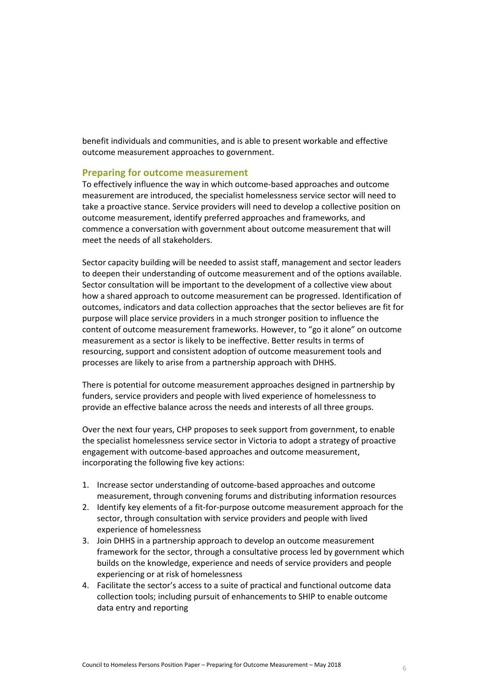benefit individuals and communities, and is able to present workable and effective outcome measurement approaches to government.

### **Preparing for outcome measurement**

To effectively influence the way in which outcome-based approaches and outcome measurement are introduced, the specialist homelessness service sector will need to take a proactive stance. Service providers will need to develop a collective position on outcome measurement, identify preferred approaches and frameworks, and commence a conversation with government about outcome measurement that will meet the needs of all stakeholders.

Sector capacity building will be needed to assist staff, management and sector leaders to deepen their understanding of outcome measurement and of the options available. Sector consultation will be important to the development of a collective view about how a shared approach to outcome measurement can be progressed. Identification of outcomes, indicators and data collection approaches that the sector believes are fit for purpose will place service providers in a much stronger position to influence the content of outcome measurement frameworks. However, to "go it alone" on outcome measurement as a sector is likely to be ineffective. Better results in terms of resourcing, support and consistent adoption of outcome measurement tools and processes are likely to arise from a partnership approach with DHHS.

There is potential for outcome measurement approaches designed in partnership by funders, service providers and people with lived experience of homelessness to provide an effective balance across the needs and interests of all three groups.

Over the next four years, CHP proposes to seek support from government, to enable the specialist homelessness service sector in Victoria to adopt a strategy of proactive engagement with outcome-based approaches and outcome measurement, incorporating the following five key actions:

- 1. Increase sector understanding of outcome-based approaches and outcome measurement, through convening forums and distributing information resources
- 2. Identify key elements of a fit-for-purpose outcome measurement approach for the sector, through consultation with service providers and people with lived experience of homelessness
- 3. Join DHHS in a partnership approach to develop an outcome measurement framework for the sector, through a consultative process led by government which builds on the knowledge, experience and needs of service providers and people experiencing or at risk of homelessness
- 4. Facilitate the sector's access to a suite of practical and functional outcome data collection tools; including pursuit of enhancements to SHIP to enable outcome data entry and reporting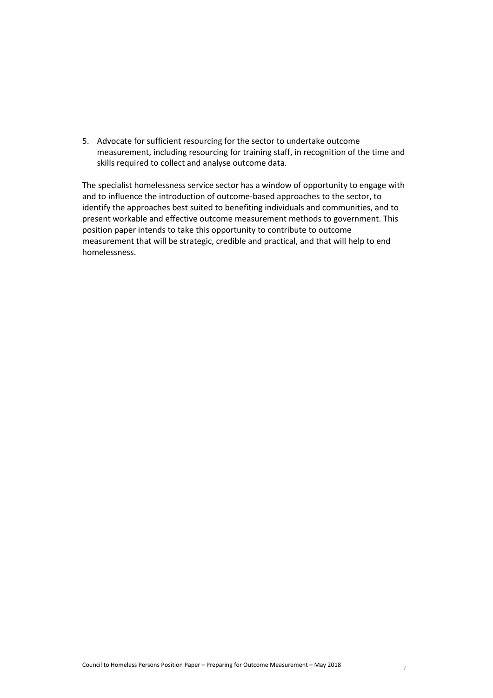5. Advocate for sufficient resourcing for the sector to undertake outcome measurement, including resourcing for training staff, in recognition of the time and skills required to collect and analyse outcome data.

The specialist homelessness service sector has a window of opportunity to engage with and to influence the introduction of outcome-based approaches to the sector, to identify the approaches best suited to benefiting individuals and communities, and to present workable and effective outcome measurement methods to government. This position paper intends to take this opportunity to contribute to outcome measurement that will be strategic, credible and practical, and that will help to end homelessness.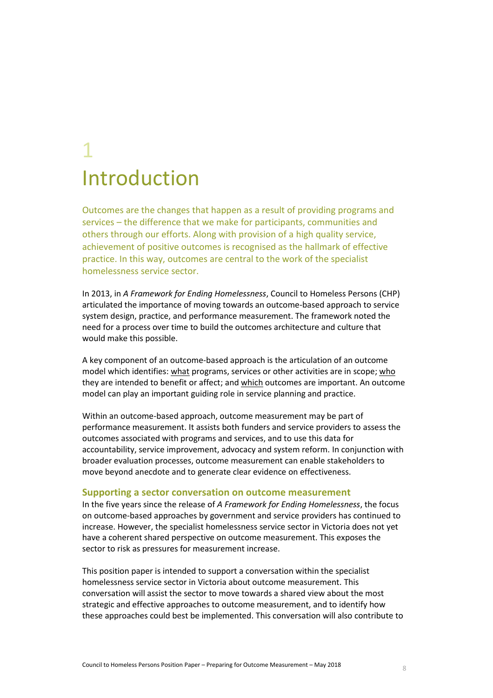# 1 Introduction

Outcomes are the changes that happen as a result of providing programs and services – the difference that we make for participants, communities and others through our efforts. Along with provision of a high quality service, achievement of positive outcomes is recognised as the hallmark of effective practice. In this way, outcomes are central to the work of the specialist homelessness service sector.

In 2013, in *A Framework for Ending Homelessness*, Council to Homeless Persons (CHP) articulated the importance of moving towards an outcome-based approach to service system design, practice, and performance measurement. The framework noted the need for a process over time to build the outcomes architecture and culture that would make this possible.

A key component of an outcome-based approach is the articulation of an outcome model which identifies: what programs, services or other activities are in scope; who they are intended to benefit or affect; and which outcomes are important. An outcome model can play an important guiding role in service planning and practice.

Within an outcome-based approach, outcome measurement may be part of performance measurement. It assists both funders and service providers to assess the outcomes associated with programs and services, and to use this data for accountability, service improvement, advocacy and system reform. In conjunction with broader evaluation processes, outcome measurement can enable stakeholders to move beyond anecdote and to generate clear evidence on effectiveness.

#### **Supporting a sector conversation on outcome measurement**

In the five years since the release of *A Framework for Ending Homelessness*, the focus on outcome-based approaches by government and service providers has continued to increase. However, the specialist homelessness service sector in Victoria does not yet have a coherent shared perspective on outcome measurement. This exposes the sector to risk as pressures for measurement increase.

This position paper is intended to support a conversation within the specialist homelessness service sector in Victoria about outcome measurement. This conversation will assist the sector to move towards a shared view about the most strategic and effective approaches to outcome measurement, and to identify how these approaches could best be implemented. This conversation will also contribute to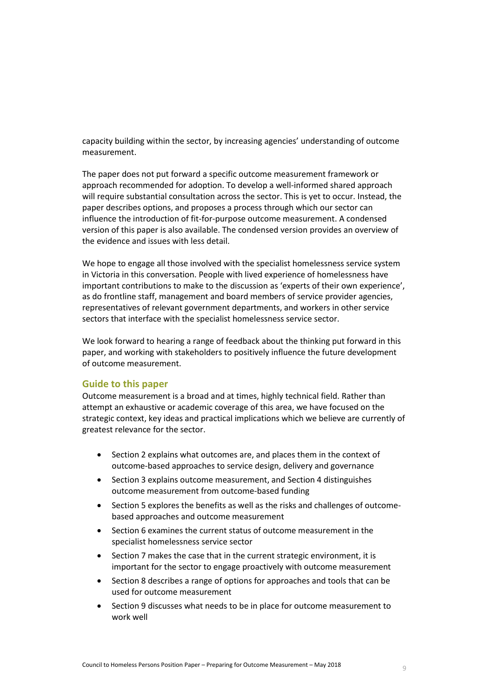capacity building within the sector, by increasing agencies' understanding of outcome measurement.

The paper does not put forward a specific outcome measurement framework or approach recommended for adoption. To develop a well-informed shared approach will require substantial consultation across the sector. This is yet to occur. Instead, the paper describes options, and proposes a process through which our sector can influence the introduction of fit-for-purpose outcome measurement. A condensed version of this paper is also available. The condensed version provides an overview of the evidence and issues with less detail.

We hope to engage all those involved with the specialist homelessness service system in Victoria in this conversation. People with lived experience of homelessness have important contributions to make to the discussion as 'experts of their own experience', as do frontline staff, management and board members of service provider agencies, representatives of relevant government departments, and workers in other service sectors that interface with the specialist homelessness service sector.

We look forward to hearing a range of feedback about the thinking put forward in this paper, and working with stakeholders to positively influence the future development of outcome measurement.

# **Guide to this paper**

Outcome measurement is a broad and at times, highly technical field. Rather than attempt an exhaustive or academic coverage of this area, we have focused on the strategic context, key ideas and practical implications which we believe are currently of greatest relevance for the sector.

- Section 2 explains what outcomes are, and places them in the context of outcome-based approaches to service design, delivery and governance
- Section 3 explains outcome measurement, and Section 4 distinguishes outcome measurement from outcome-based funding
- Section 5 explores the benefits as well as the risks and challenges of outcomebased approaches and outcome measurement
- Section 6 examines the current status of outcome measurement in the specialist homelessness service sector
- Section 7 makes the case that in the current strategic environment, it is important for the sector to engage proactively with outcome measurement
- Section 8 describes a range of options for approaches and tools that can be used for outcome measurement
- Section 9 discusses what needs to be in place for outcome measurement to work well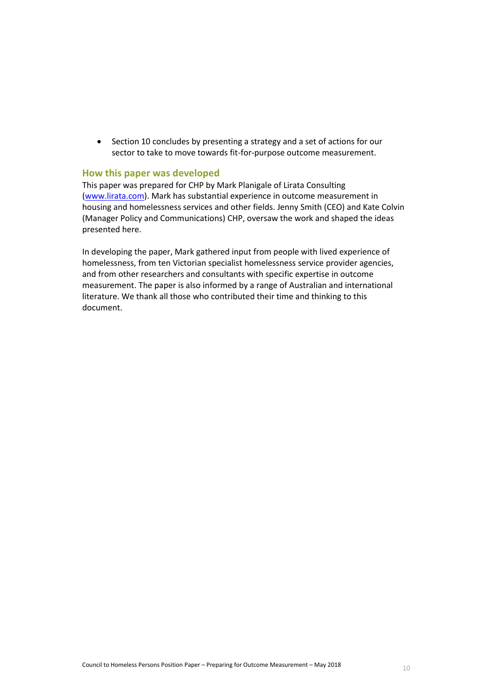• Section 10 concludes by presenting a strategy and a set of actions for our sector to take to move towards fit-for-purpose outcome measurement.

# **How this paper was developed**

This paper was prepared for CHP by Mark Planigale of Lirata Consulting [\(www.lirata.com\)](http://www.lirata.com/). Mark has substantial experience in outcome measurement in housing and homelessness services and other fields. Jenny Smith (CEO) and Kate Colvin (Manager Policy and Communications) CHP, oversaw the work and shaped the ideas presented here.

In developing the paper, Mark gathered input from people with lived experience of homelessness, from ten Victorian specialist homelessness service provider agencies, and from other researchers and consultants with specific expertise in outcome measurement. The paper is also informed by a range of Australian and international literature. We thank all those who contributed their time and thinking to this document.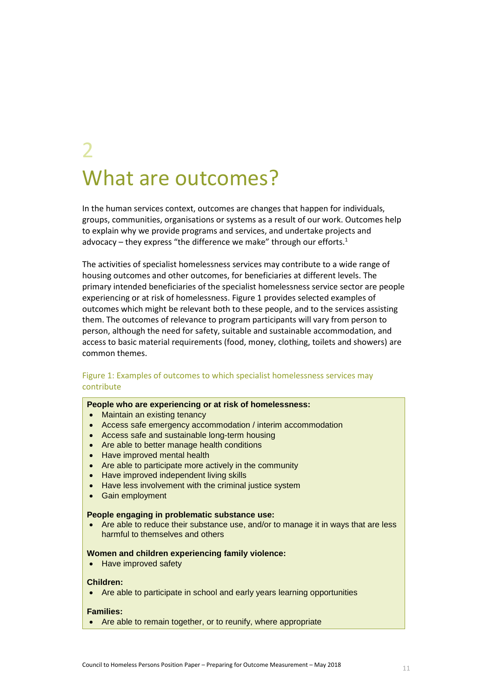# 2 What are outcomes?

In the human services context, outcomes are changes that happen for individuals, groups, communities, organisations or systems as a result of our work. Outcomes help to explain why we provide programs and services, and undertake projects and advocacy – they express "the difference we make" through our efforts. $1$ 

The activities of specialist homelessness services may contribute to a wide range of housing outcomes and other outcomes, for beneficiaries at different levels. The primary intended beneficiaries of the specialist homelessness service sector are people experiencing or at risk of homelessness. [Figure 1](#page-10-0) provides selected examples of outcomes which might be relevant both to these people, and to the services assisting them. The outcomes of relevance to program participants will vary from person to person, although the need for safety, suitable and sustainable accommodation, and access to basic material requirements (food, money, clothing, toilets and showers) are common themes.

# <span id="page-10-0"></span>Figure 1: Examples of outcomes to which specialist homelessness services may contribute

#### **People who are experiencing or at risk of homelessness:**

- Maintain an existing tenancy
- Access safe emergency accommodation / interim accommodation
- Access safe and sustainable long-term housing
- Are able to better manage health conditions
- Have improved mental health
- Are able to participate more actively in the community
- Have improved independent living skills
- Have less involvement with the criminal justice system
- Gain employment

#### **People engaging in problematic substance use:**

 Are able to reduce their substance use, and/or to manage it in ways that are less harmful to themselves and others

#### **Women and children experiencing family violence:**

• Have improved safety

#### **Children:**

Are able to participate in school and early years learning opportunities

### **Families:**

• Are able to remain together, or to reunify, where appropriate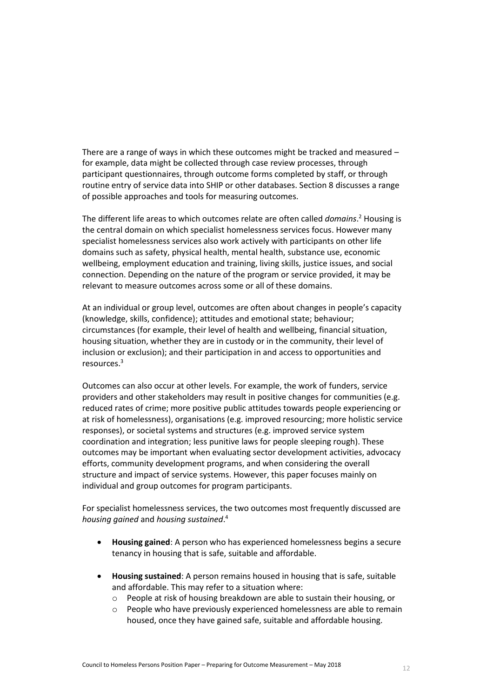There are a range of ways in which these outcomes might be tracked and measured – for example, data might be collected through case review processes, through participant questionnaires, through outcome forms completed by staff, or through routine entry of service data into SHIP or other databases. Section 8 discusses a range of possible approaches and tools for measuring outcomes.

The different life areas to which outcomes relate are often called *domains*. <sup>2</sup> Housing is the central domain on which specialist homelessness services focus. However many specialist homelessness services also work actively with participants on other life domains such as safety, physical health, mental health, substance use, economic wellbeing, employment education and training, living skills, justice issues, and social connection. Depending on the nature of the program or service provided, it may be relevant to measure outcomes across some or all of these domains.

At an individual or group level, outcomes are often about changes in people's capacity (knowledge, skills, confidence); attitudes and emotional state; behaviour; circumstances (for example, their level of health and wellbeing, financial situation, housing situation, whether they are in custody or in the community, their level of inclusion or exclusion); and their participation in and access to opportunities and resources.<sup>3</sup>

Outcomes can also occur at other levels. For example, the work of funders, service providers and other stakeholders may result in positive changes for communities (e.g. reduced rates of crime; more positive public attitudes towards people experiencing or at risk of homelessness), organisations (e.g. improved resourcing; more holistic service responses), or societal systems and structures (e.g. improved service system coordination and integration; less punitive laws for people sleeping rough). These outcomes may be important when evaluating sector development activities, advocacy efforts, community development programs, and when considering the overall structure and impact of service systems. However, this paper focuses mainly on individual and group outcomes for program participants.

For specialist homelessness services, the two outcomes most frequently discussed are *housing gained* and *housing sustained*. 4

- **Housing gained**: A person who has experienced homelessness begins a secure tenancy in housing that is safe, suitable and affordable.
- **Housing sustained**: A person remains housed in housing that is safe, suitable and affordable. This may refer to a situation where:
	- o People at risk of housing breakdown are able to sustain their housing, or
	- o People who have previously experienced homelessness are able to remain housed, once they have gained safe, suitable and affordable housing.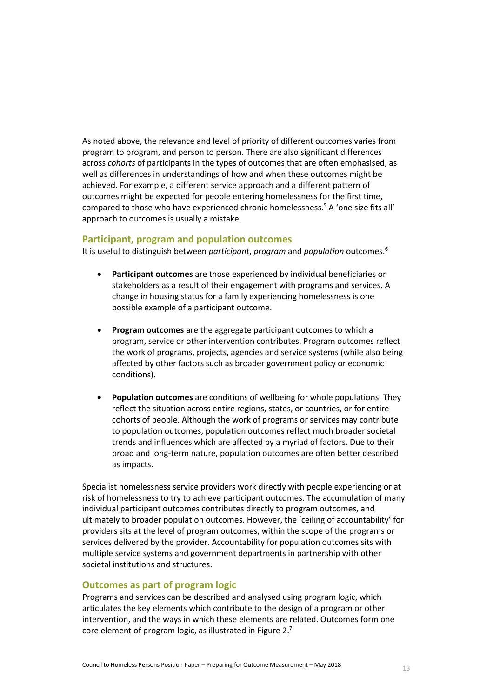As noted above, the relevance and level of priority of different outcomes varies from program to program, and person to person. There are also significant differences across *cohorts* of participants in the types of outcomes that are often emphasised, as well as differences in understandings of how and when these outcomes might be achieved. For example, a different service approach and a different pattern of outcomes might be expected for people entering homelessness for the first time, compared to those who have experienced chronic homelessness.<sup>5</sup> A 'one size fits all' approach to outcomes is usually a mistake.

# **Participant, program and population outcomes**

It is useful to distinguish between *participant*, *program* and *population* outcomes.<sup>6</sup>

- **Participant outcomes** are those experienced by individual beneficiaries or stakeholders as a result of their engagement with programs and services. A change in housing status for a family experiencing homelessness is one possible example of a participant outcome.
- **Program outcomes** are the aggregate participant outcomes to which a program, service or other intervention contributes. Program outcomes reflect the work of programs, projects, agencies and service systems (while also being affected by other factors such as broader government policy or economic conditions).
- **Population outcomes** are conditions of wellbeing for whole populations. They reflect the situation across entire regions, states, or countries, or for entire cohorts of people. Although the work of programs or services may contribute to population outcomes, population outcomes reflect much broader societal trends and influences which are affected by a myriad of factors. Due to their broad and long-term nature, population outcomes are often better described as impacts.

Specialist homelessness service providers work directly with people experiencing or at risk of homelessness to try to achieve participant outcomes. The accumulation of many individual participant outcomes contributes directly to program outcomes, and ultimately to broader population outcomes. However, the 'ceiling of accountability' for providers sits at the level of program outcomes, within the scope of the programs or services delivered by the provider. Accountability for population outcomes sits with multiple service systems and government departments in partnership with other societal institutions and structures.

# **Outcomes as part of program logic**

Programs and services can be described and analysed using program logic, which articulates the key elements which contribute to the design of a program or other intervention, and the ways in which these elements are related. Outcomes form one core element of program logic, as illustrated in [Figure 2.](#page-13-0) $^7$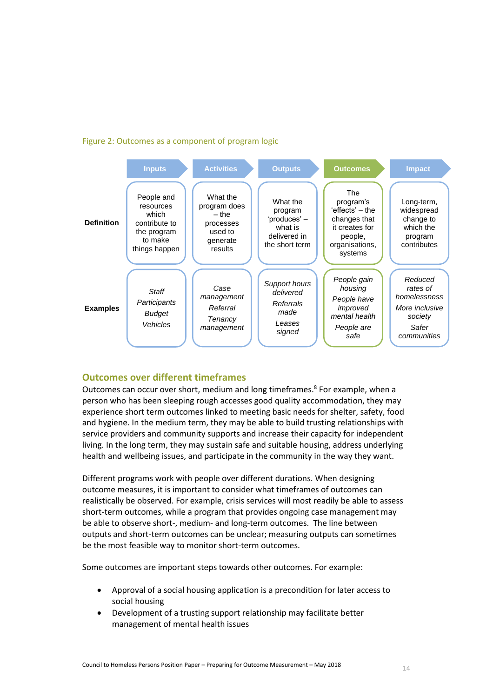# <span id="page-13-0"></span>Figure 2: Outcomes as a component of program logic



# **Outcomes over different timeframes**

Outcomes can occur over short, medium and long timeframes.<sup>8</sup> For example, when a person who has been sleeping rough accesses good quality accommodation, they may experience short term outcomes linked to meeting basic needs for shelter, safety, food and hygiene. In the medium term, they may be able to build trusting relationships with service providers and community supports and increase their capacity for independent living. In the long term, they may sustain safe and suitable housing, address underlying health and wellbeing issues, and participate in the community in the way they want.

Different programs work with people over different durations. When designing outcome measures, it is important to consider what timeframes of outcomes can realistically be observed. For example, crisis services will most readily be able to assess short-term outcomes, while a program that provides ongoing case management may be able to observe short-, medium- and long-term outcomes. The line between outputs and short-term outcomes can be unclear; measuring outputs can sometimes be the most feasible way to monitor short-term outcomes.

Some outcomes are important steps towards other outcomes. For example:

- Approval of a social housing application is a precondition for later access to social housing
- Development of a trusting support relationship may facilitate better management of mental health issues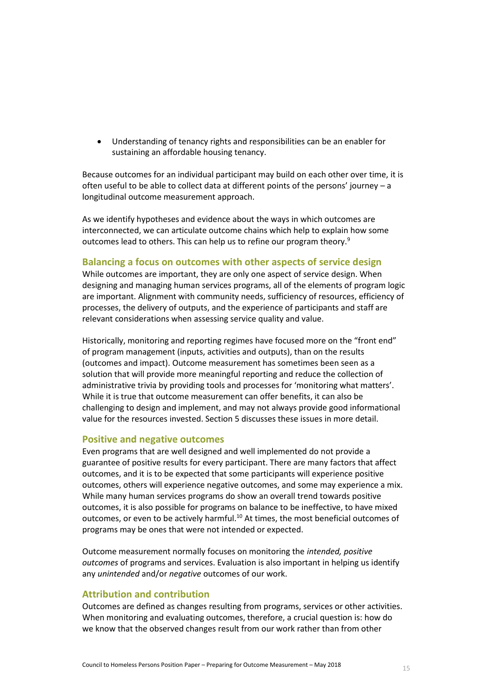Understanding of tenancy rights and responsibilities can be an enabler for sustaining an affordable housing tenancy.

Because outcomes for an individual participant may build on each other over time, it is often useful to be able to collect data at different points of the persons' journey – a longitudinal outcome measurement approach.

As we identify hypotheses and evidence about the ways in which outcomes are interconnected, we can articulate outcome chains which help to explain how some outcomes lead to others. This can help us to refine our program theory.<sup>9</sup>

# **Balancing a focus on outcomes with other aspects of service design**

While outcomes are important, they are only one aspect of service design. When designing and managing human services programs, all of the elements of program logic are important. Alignment with community needs, sufficiency of resources, efficiency of processes, the delivery of outputs, and the experience of participants and staff are relevant considerations when assessing service quality and value.

Historically, monitoring and reporting regimes have focused more on the "front end" of program management (inputs, activities and outputs), than on the results (outcomes and impact). Outcome measurement has sometimes been seen as a solution that will provide more meaningful reporting and reduce the collection of administrative trivia by providing tools and processes for 'monitoring what matters'. While it is true that outcome measurement can offer benefits, it can also be challenging to design and implement, and may not always provide good informational value for the resources invested. Section 5 discusses these issues in more detail.

### **Positive and negative outcomes**

Even programs that are well designed and well implemented do not provide a guarantee of positive results for every participant. There are many factors that affect outcomes, and it is to be expected that some participants will experience positive outcomes, others will experience negative outcomes, and some may experience a mix. While many human services programs do show an overall trend towards positive outcomes, it is also possible for programs on balance to be ineffective, to have mixed outcomes, or even to be actively harmful.<sup>10</sup> At times, the most beneficial outcomes of programs may be ones that were not intended or expected.

Outcome measurement normally focuses on monitoring the *intended, positive outcomes* of programs and services. Evaluation is also important in helping us identify any *unintended* and/or *negative* outcomes of our work.

### **Attribution and contribution**

Outcomes are defined as changes resulting from programs, services or other activities. When monitoring and evaluating outcomes, therefore, a crucial question is: how do we know that the observed changes result from our work rather than from other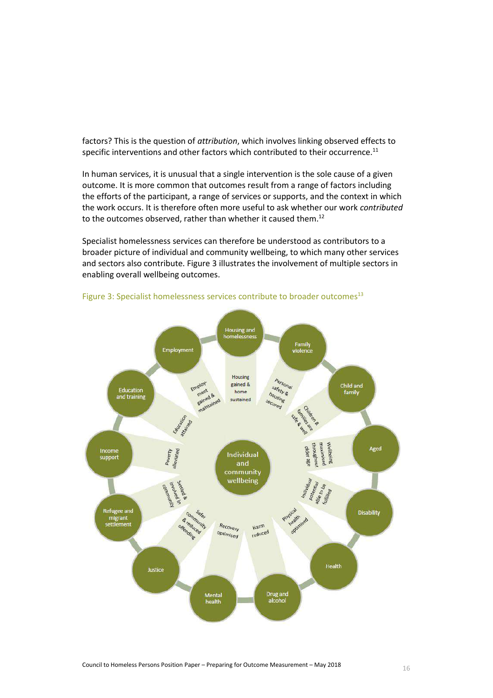factors? This is the question of *attribution*, which involves linking observed effects to specific interventions and other factors which contributed to their occurrence. $11$ 

In human services, it is unusual that a single intervention is the sole cause of a given outcome. It is more common that outcomes result from a range of factors including the efforts of the participant, a range of services or supports, and the context in which the work occurs. It is therefore often more useful to ask whether our work *contributed* to the outcomes observed, rather than whether it caused them.<sup>12</sup>

Specialist homelessness services can therefore be understood as contributors to a broader picture of individual and community wellbeing, to which many other services and sectors also contribute[. Figure 3](#page-15-0) illustrates the involvement of multiple sectors in enabling overall wellbeing outcomes.



<span id="page-15-0"></span>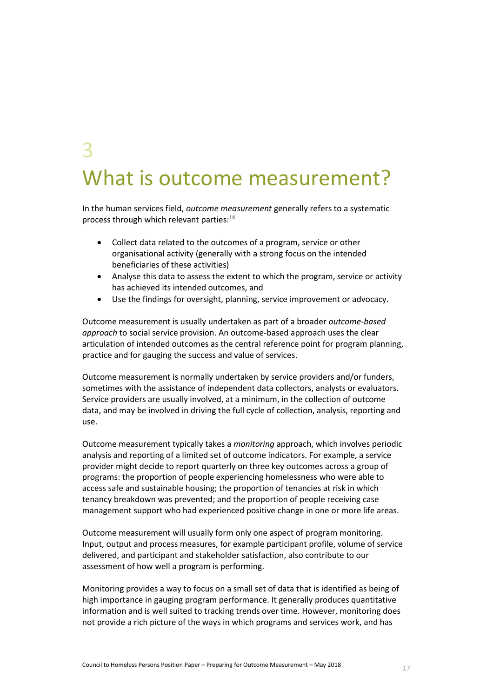# 3 What is outcome measurement?

In the human services field, *outcome measurement* generally refers to a systematic process through which relevant parties:<sup>14</sup>

- Collect data related to the outcomes of a program, service or other organisational activity (generally with a strong focus on the intended beneficiaries of these activities)
- Analyse this data to assess the extent to which the program, service or activity has achieved its intended outcomes, and
- Use the findings for oversight, planning, service improvement or advocacy.

Outcome measurement is usually undertaken as part of a broader *outcome-based approach* to social service provision. An outcome-based approach uses the clear articulation of intended outcomes as the central reference point for program planning, practice and for gauging the success and value of services.

Outcome measurement is normally undertaken by service providers and/or funders, sometimes with the assistance of independent data collectors, analysts or evaluators. Service providers are usually involved, at a minimum, in the collection of outcome data, and may be involved in driving the full cycle of collection, analysis, reporting and use.

Outcome measurement typically takes a *monitoring* approach, which involves periodic analysis and reporting of a limited set of outcome indicators. For example, a service provider might decide to report quarterly on three key outcomes across a group of programs: the proportion of people experiencing homelessness who were able to access safe and sustainable housing; the proportion of tenancies at risk in which tenancy breakdown was prevented; and the proportion of people receiving case management support who had experienced positive change in one or more life areas.

Outcome measurement will usually form only one aspect of program monitoring. Input, output and process measures, for example participant profile, volume of service delivered, and participant and stakeholder satisfaction, also contribute to our assessment of how well a program is performing.

Monitoring provides a way to focus on a small set of data that is identified as being of high importance in gauging program performance. It generally produces quantitative information and is well suited to tracking trends over time. However, monitoring does not provide a rich picture of the ways in which programs and services work, and has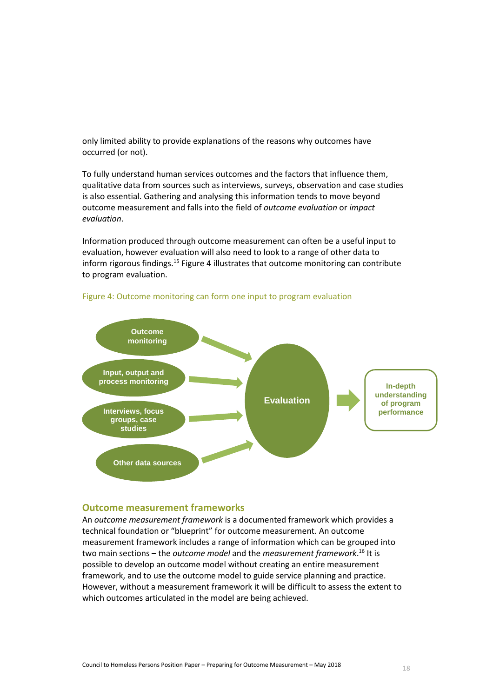only limited ability to provide explanations of the reasons why outcomes have occurred (or not).

To fully understand human services outcomes and the factors that influence them, qualitative data from sources such as interviews, surveys, observation and case studies is also essential. Gathering and analysing this information tends to move beyond outcome measurement and falls into the field of *outcome evaluation* or *impact evaluation*.

Information produced through outcome measurement can often be a useful input to evaluation, however evaluation will also need to look to a range of other data to inform rigorous findings.<sup>15</sup> [Figure 4](#page-17-0) illustrates that outcome monitoring can contribute to program evaluation.



<span id="page-17-0"></span>

#### **Outcome measurement frameworks**

An *outcome measurement framework* is a documented framework which provides a technical foundation or "blueprint" for outcome measurement. An outcome measurement framework includes a range of information which can be grouped into two main sections – the *outcome model* and the *measurement framework*. <sup>16</sup> It is possible to develop an outcome model without creating an entire measurement framework, and to use the outcome model to guide service planning and practice. However, without a measurement framework it will be difficult to assess the extent to which outcomes articulated in the model are being achieved.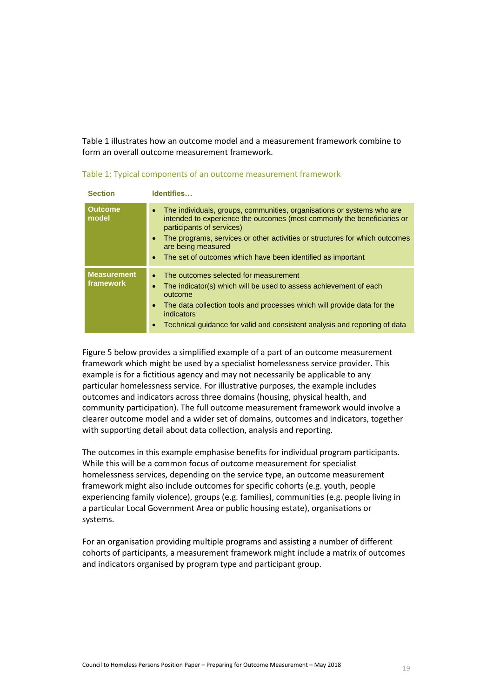[Table 1](#page-18-0) illustrates how an outcome model and a measurement framework combine to form an overall outcome measurement framework.

<span id="page-18-0"></span>

| Table 1: Typical components of an outcome measurement framework |  |  |  |  |
|-----------------------------------------------------------------|--|--|--|--|
|-----------------------------------------------------------------|--|--|--|--|

| <b>Section</b>                  | Identifies                                                                                                                                                                                                                                                                                                                                                                                |
|---------------------------------|-------------------------------------------------------------------------------------------------------------------------------------------------------------------------------------------------------------------------------------------------------------------------------------------------------------------------------------------------------------------------------------------|
| <b>Outcome</b><br>model         | The individuals, groups, communities, organisations or systems who are<br>$\bullet$<br>intended to experience the outcomes (most commonly the beneficiaries or<br>participants of services)<br>The programs, services or other activities or structures for which outcomes<br>$\bullet$<br>are being measured<br>The set of outcomes which have been identified as important<br>$\bullet$ |
| <b>Measurement</b><br>framework | The outcomes selected for measurement<br>$\bullet$<br>The indicator(s) which will be used to assess achievement of each<br>$\bullet$<br>outcome<br>The data collection tools and processes which will provide data for the<br>$\bullet$<br>indicators<br>Technical quidance for valid and consistent analysis and reporting of data<br>$\bullet$                                          |

[Figure 5](#page-19-0) below provides a simplified example of a part of an outcome measurement framework which might be used by a specialist homelessness service provider. This example is for a fictitious agency and may not necessarily be applicable to any particular homelessness service. For illustrative purposes, the example includes outcomes and indicators across three domains (housing, physical health, and community participation). The full outcome measurement framework would involve a clearer outcome model and a wider set of domains, outcomes and indicators, together with supporting detail about data collection, analysis and reporting.

The outcomes in this example emphasise benefits for individual program participants. While this will be a common focus of outcome measurement for specialist homelessness services, depending on the service type, an outcome measurement framework might also include outcomes for specific cohorts (e.g. youth, people experiencing family violence), groups (e.g. families), communities (e.g. people living in a particular Local Government Area or public housing estate), organisations or systems.

For an organisation providing multiple programs and assisting a number of different cohorts of participants, a measurement framework might include a matrix of outcomes and indicators organised by program type and participant group.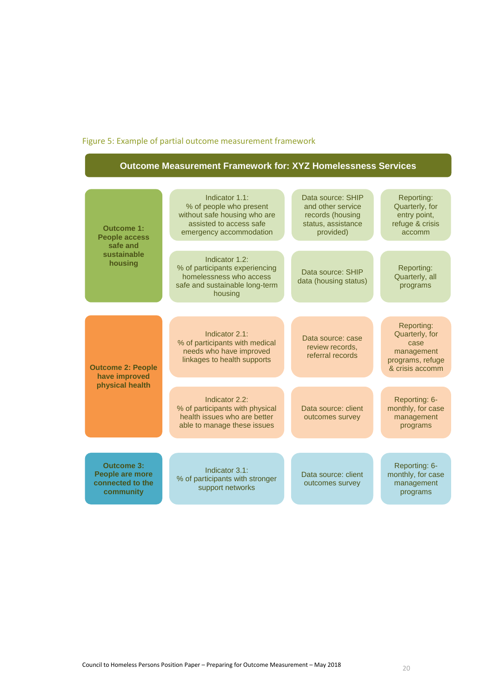# <span id="page-19-0"></span>Figure 5: Example of partial outcome measurement framework

# **Outcome Measurement Framework for: XYZ Homelessness Services**

| <b>Outcome 1:</b><br><b>People access</b><br>safe and                        | Indicator 1.1:<br>% of people who present<br>without safe housing who are<br>assisted to access safe<br>emergency accommodation | Data source: SHIP<br>and other service<br>records (housing<br>status, assistance<br>provided) | Reporting:<br>Quarterly, for<br>entry point,<br>refuge & crisis<br>accomm                 |
|------------------------------------------------------------------------------|---------------------------------------------------------------------------------------------------------------------------------|-----------------------------------------------------------------------------------------------|-------------------------------------------------------------------------------------------|
| sustainable<br>housing                                                       | Indicator 1.2:<br>% of participants experiencing<br>homelessness who access<br>safe and sustainable long-term<br>housing        | Data source: SHIP<br>data (housing status)                                                    | Reporting:<br>Quarterly, all<br>programs                                                  |
|                                                                              |                                                                                                                                 |                                                                                               |                                                                                           |
| <b>Outcome 2: People</b><br>have improved                                    | Indicator 2.1:<br>% of participants with medical<br>needs who have improved<br>linkages to health supports                      | Data source: case<br>review records,<br>referral records                                      | Reporting:<br>Quarterly, for<br>case<br>management<br>programs, refuge<br>& crisis accomm |
| physical health                                                              |                                                                                                                                 |                                                                                               |                                                                                           |
|                                                                              | Indicator 2.2:<br>% of participants with physical<br>health issues who are better<br>able to manage these issues                | Data source: client<br>outcomes survey                                                        | Reporting: 6-<br>monthly, for case<br>management<br>programs                              |
|                                                                              |                                                                                                                                 |                                                                                               |                                                                                           |
| <b>Outcome 3:</b><br><b>People are more</b><br>connected to the<br>community | Indicator 3.1:<br>% of participants with stronger<br>support networks                                                           | Data source: client<br>outcomes survey                                                        | Reporting: 6-<br>monthly, for case<br>management<br>programs                              |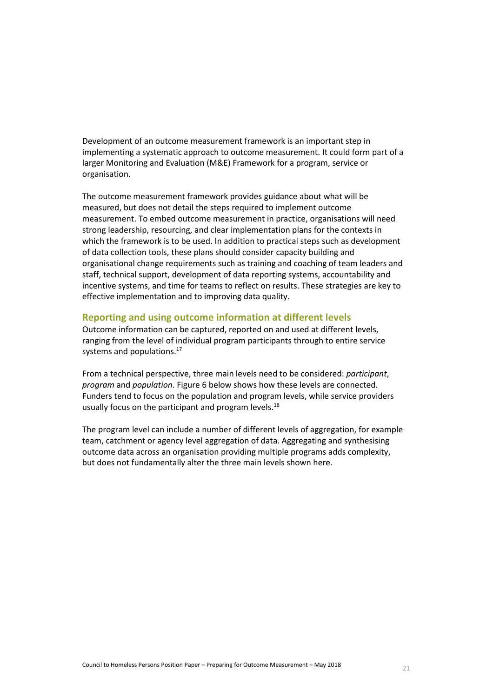Development of an outcome measurement framework is an important step in implementing a systematic approach to outcome measurement. It could form part of a larger Monitoring and Evaluation (M&E) Framework for a program, service or organisation.

The outcome measurement framework provides guidance about what will be measured, but does not detail the steps required to implement outcome measurement. To embed outcome measurement in practice, organisations will need strong leadership, resourcing, and clear implementation plans for the contexts in which the framework is to be used. In addition to practical steps such as development of data collection tools, these plans should consider capacity building and organisational change requirements such as training and coaching of team leaders and staff, technical support, development of data reporting systems, accountability and incentive systems, and time for teams to reflect on results. These strategies are key to effective implementation and to improving data quality.

# **Reporting and using outcome information at different levels**

Outcome information can be captured, reported on and used at different levels, ranging from the level of individual program participants through to entire service systems and populations.<sup>17</sup>

From a technical perspective, three main levels need to be considered: *participant*, *program* and *population*[. Figure 6](#page-21-0) below shows how these levels are connected. Funders tend to focus on the population and program levels, while service providers usually focus on the participant and program levels.<sup>18</sup>

The program level can include a number of different levels of aggregation, for example team, catchment or agency level aggregation of data. Aggregating and synthesising outcome data across an organisation providing multiple programs adds complexity, but does not fundamentally alter the three main levels shown here.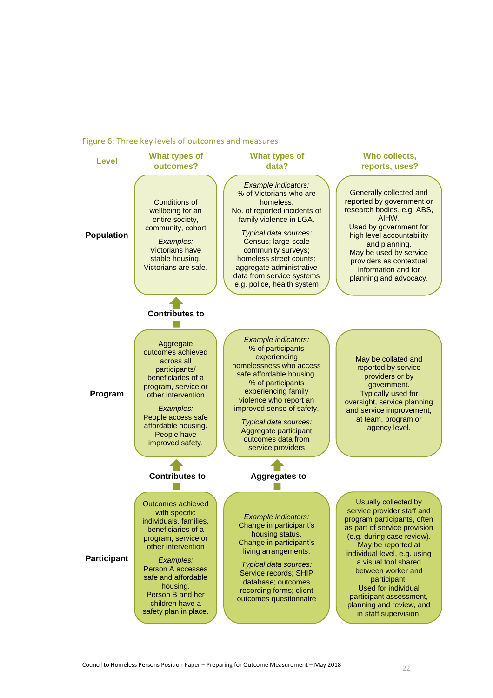#### <span id="page-21-0"></span>Figure 6: Three key levels of outcomes and measures



Council to Homeless Persons Position Paper – Preparing for Outcome Measurement – May 2018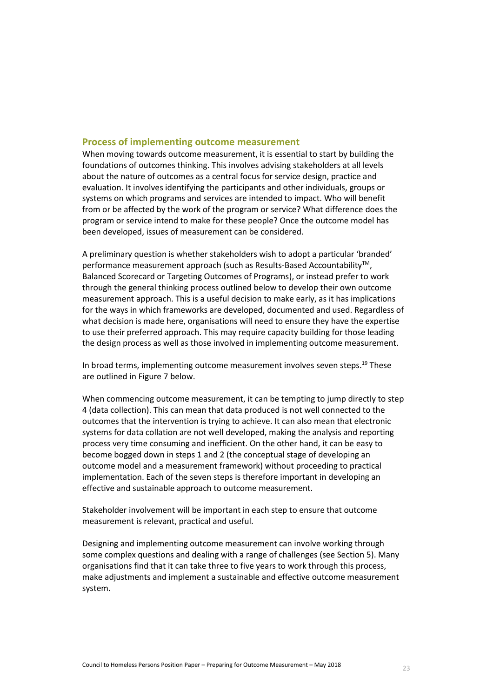# **Process of implementing outcome measurement**

When moving towards outcome measurement, it is essential to start by building the foundations of outcomes thinking. This involves advising stakeholders at all levels about the nature of outcomes as a central focus for service design, practice and evaluation. It involves identifying the participants and other individuals, groups or systems on which programs and services are intended to impact. Who will benefit from or be affected by the work of the program or service? What difference does the program or service intend to make for these people? Once the outcome model has been developed, issues of measurement can be considered.

A preliminary question is whether stakeholders wish to adopt a particular 'branded' performance measurement approach (such as Results-Based Accountability<sup>™</sup>, Balanced Scorecard or Targeting Outcomes of Programs), or instead prefer to work through the general thinking process outlined below to develop their own outcome measurement approach. This is a useful decision to make early, as it has implications for the ways in which frameworks are developed, documented and used. Regardless of what decision is made here, organisations will need to ensure they have the expertise to use their preferred approach. This may require capacity building for those leading the design process as well as those involved in implementing outcome measurement.

In broad terms, implementing outcome measurement involves seven steps. <sup>19</sup> These are outlined in [Figure 7](#page-23-0) below.

When commencing outcome measurement, it can be tempting to jump directly to step 4 (data collection). This can mean that data produced is not well connected to the outcomes that the intervention is trying to achieve. It can also mean that electronic systems for data collation are not well developed, making the analysis and reporting process very time consuming and inefficient. On the other hand, it can be easy to become bogged down in steps 1 and 2 (the conceptual stage of developing an outcome model and a measurement framework) without proceeding to practical implementation. Each of the seven steps is therefore important in developing an effective and sustainable approach to outcome measurement.

Stakeholder involvement will be important in each step to ensure that outcome measurement is relevant, practical and useful.

Designing and implementing outcome measurement can involve working through some complex questions and dealing with a range of challenges (see Section 5). Many organisations find that it can take three to five years to work through this process, make adjustments and implement a sustainable and effective outcome measurement system.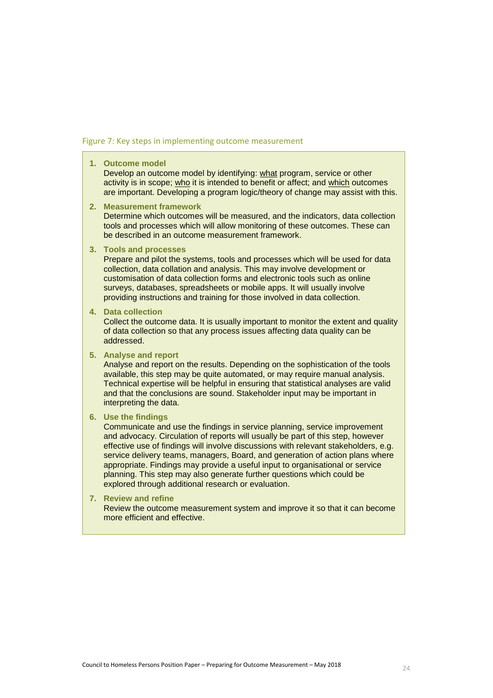#### <span id="page-23-0"></span>Figure 7: Key steps in implementing outcome measurement

#### **1. Outcome model**

Develop an outcome model by identifying: what program, service or other activity is in scope; who it is intended to benefit or affect; and which outcomes are important. Developing a program logic/theory of change may assist with this.

**2. Measurement framework**

Determine which outcomes will be measured, and the indicators, data collection tools and processes which will allow monitoring of these outcomes. These can be described in an outcome measurement framework.

#### **3. Tools and processes**

Prepare and pilot the systems, tools and processes which will be used for data collection, data collation and analysis. This may involve development or customisation of data collection forms and electronic tools such as online surveys, databases, spreadsheets or mobile apps. It will usually involve providing instructions and training for those involved in data collection.

#### **4. Data collection**

Collect the outcome data. It is usually important to monitor the extent and quality of data collection so that any process issues affecting data quality can be addressed.

#### **5. Analyse and report**

Analyse and report on the results. Depending on the sophistication of the tools available, this step may be quite automated, or may require manual analysis. Technical expertise will be helpful in ensuring that statistical analyses are valid and that the conclusions are sound. Stakeholder input may be important in interpreting the data.

#### **6. Use the findings**

Communicate and use the findings in service planning, service improvement and advocacy. Circulation of reports will usually be part of this step, however effective use of findings will involve discussions with relevant stakeholders, e.g. service delivery teams, managers, Board, and generation of action plans where appropriate. Findings may provide a useful input to organisational or service planning. This step may also generate further questions which could be explored through additional research or evaluation.

#### **7. Review and refine**

Review the outcome measurement system and improve it so that it can become more efficient and effective.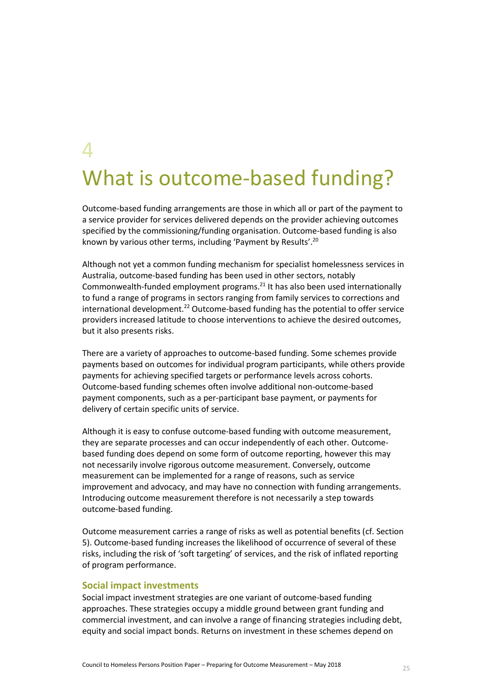# $\boldsymbol{\varDelta}$ What is outcome-based funding?

Outcome-based funding arrangements are those in which all or part of the payment to a service provider for services delivered depends on the provider achieving outcomes specified by the commissioning/funding organisation. Outcome-based funding is also known by various other terms, including 'Payment by Results'.<sup>20</sup>

Although not yet a common funding mechanism for specialist homelessness services in Australia, outcome-based funding has been used in other sectors, notably Commonwealth-funded employment programs. <sup>21</sup> It has also been used internationally to fund a range of programs in sectors ranging from family services to corrections and international development. $22$  Outcome-based funding has the potential to offer service providers increased latitude to choose interventions to achieve the desired outcomes, but it also presents risks.

There are a variety of approaches to outcome-based funding. Some schemes provide payments based on outcomes for individual program participants, while others provide payments for achieving specified targets or performance levels across cohorts. Outcome-based funding schemes often involve additional non-outcome-based payment components, such as a per-participant base payment, or payments for delivery of certain specific units of service.

Although it is easy to confuse outcome-based funding with outcome measurement, they are separate processes and can occur independently of each other. Outcomebased funding does depend on some form of outcome reporting, however this may not necessarily involve rigorous outcome measurement. Conversely, outcome measurement can be implemented for a range of reasons, such as service improvement and advocacy, and may have no connection with funding arrangements. Introducing outcome measurement therefore is not necessarily a step towards outcome-based funding.

Outcome measurement carries a range of risks as well as potential benefits (cf. Section 5). Outcome-based funding increases the likelihood of occurrence of several of these risks, including the risk of 'soft targeting' of services, and the risk of inflated reporting of program performance.

#### **Social impact investments**

Social impact investment strategies are one variant of outcome-based funding approaches. These strategies occupy a middle ground between grant funding and commercial investment, and can involve a range of financing strategies including debt, equity and social impact bonds. Returns on investment in these schemes depend on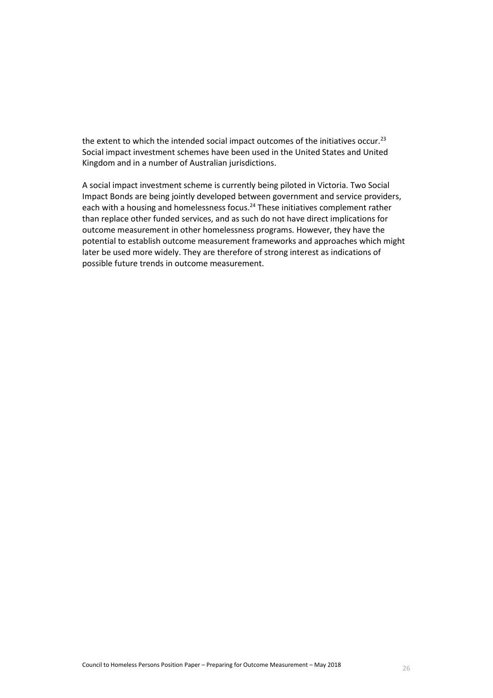the extent to which the intended social impact outcomes of the initiatives occur.<sup>23</sup> Social impact investment schemes have been used in the United States and United Kingdom and in a number of Australian jurisdictions.

A social impact investment scheme is currently being piloted in Victoria. Two Social Impact Bonds are being jointly developed between government and service providers, each with a housing and homelessness focus.<sup>24</sup> These initiatives complement rather than replace other funded services, and as such do not have direct implications for outcome measurement in other homelessness programs. However, they have the potential to establish outcome measurement frameworks and approaches which might later be used more widely. They are therefore of strong interest as indications of possible future trends in outcome measurement.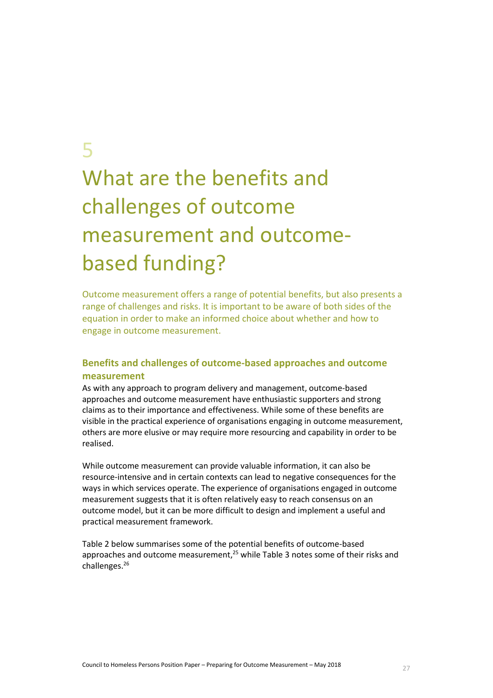# 5

# What are the benefits and challenges of outcome measurement and outcomebased funding?

Outcome measurement offers a range of potential benefits, but also presents a range of challenges and risks. It is important to be aware of both sides of the equation in order to make an informed choice about whether and how to engage in outcome measurement.

# **Benefits and challenges of outcome-based approaches and outcome measurement**

As with any approach to program delivery and management, outcome-based approaches and outcome measurement have enthusiastic supporters and strong claims as to their importance and effectiveness. While some of these benefits are visible in the practical experience of organisations engaging in outcome measurement, others are more elusive or may require more resourcing and capability in order to be realised.

While outcome measurement can provide valuable information, it can also be resource-intensive and in certain contexts can lead to negative consequences for the ways in which services operate. The experience of organisations engaged in outcome measurement suggests that it is often relatively easy to reach consensus on an outcome model, but it can be more difficult to design and implement a useful and practical measurement framework.

[Table 2](#page-27-0) below summarises some of the potential benefits of outcome-based approaches and outcome measurement,<sup>25</sup> while [Table 3](#page-29-0) notes some of their risks and challenges.26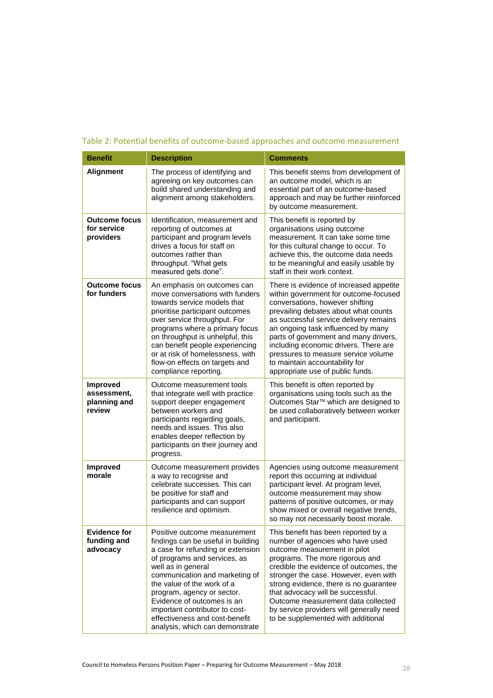| <b>Benefit</b>                                           | <b>Description</b>                                                                                                                                                                                                                                                                                                                                                       | <b>Comments</b>                                                                                                                                                                                                                                                                                                                                                                                                                            |
|----------------------------------------------------------|--------------------------------------------------------------------------------------------------------------------------------------------------------------------------------------------------------------------------------------------------------------------------------------------------------------------------------------------------------------------------|--------------------------------------------------------------------------------------------------------------------------------------------------------------------------------------------------------------------------------------------------------------------------------------------------------------------------------------------------------------------------------------------------------------------------------------------|
| <b>Alignment</b>                                         | The process of identifying and<br>agreeing on key outcomes can<br>build shared understanding and<br>alignment among stakeholders.                                                                                                                                                                                                                                        | This benefit stems from development of<br>an outcome model, which is an<br>essential part of an outcome-based<br>approach and may be further reinforced<br>by outcome measurement.                                                                                                                                                                                                                                                         |
| <b>Outcome focus</b><br>for service<br>providers         | Identification, measurement and<br>reporting of outcomes at<br>participant and program levels<br>drives a focus for staff on<br>outcomes rather than<br>throughput. "What gets<br>measured gets done".                                                                                                                                                                   | This benefit is reported by<br>organisations using outcome<br>measurement. It can take some time<br>for this cultural change to occur. To<br>achieve this, the outcome data needs<br>to be meaningful and easily usable by<br>staff in their work context.                                                                                                                                                                                 |
| <b>Outcome focus</b><br>for funders                      | An emphasis on outcomes can<br>move conversations with funders<br>towards service models that<br>prioritise participant outcomes<br>over service throughput. For<br>programs where a primary focus<br>on throughput is unhelpful, this<br>can benefit people experiencing<br>or at risk of homelessness, with<br>flow-on effects on targets and<br>compliance reporting. | There is evidence of increased appetite<br>within government for outcome-focused<br>conversations, however shifting<br>prevailing debates about what counts<br>as successful service delivery remains<br>an ongoing task influenced by many<br>parts of government and many drivers,<br>including economic drivers. There are<br>pressures to measure service volume<br>to maintain accountability for<br>appropriate use of public funds. |
| <b>Improved</b><br>assessment,<br>planning and<br>review | Outcome measurement tools<br>that integrate well with practice<br>support deeper engagement<br>between workers and<br>participants regarding goals,<br>needs and issues. This also<br>enables deeper reflection by<br>participants on their journey and<br>progress.                                                                                                     | This benefit is often reported by<br>organisations using tools such as the<br>Outcomes Star™ which are designed to<br>be used collaboratively between worker<br>and participant.                                                                                                                                                                                                                                                           |
| Improved<br>morale                                       | Outcome measurement provides<br>a way to recognise and<br>celebrate successes. This can<br>be positive for staff and<br>participants and can support<br>resilience and optimism.                                                                                                                                                                                         | Agencies using outcome measurement<br>report this occurring at individual<br>participant level. At program level,<br>outcome measurement may show<br>patterns of positive outcomes, or may<br>show mixed or overall negative trends,<br>so may not necessarily boost morale                                                                                                                                                                |
| <b>Evidence for</b><br>funding and<br>advocacy           | Positive outcome measurement<br>findings can be useful in building<br>a case for refunding or extension<br>of programs and services, as<br>well as in general<br>communication and marketing of<br>the value of the work of a<br>program, agency or sector.<br>Evidence of outcomes is an<br>important contributor to cost-<br>effectiveness and cost-benefit            | This benefit has been reported by a<br>number of agencies who have used<br>outcome measurement in pilot<br>programs. The more rigorous and<br>credible the evidence of outcomes, the<br>stronger the case. However, even with<br>strong evidence, there is no guarantee<br>that advocacy will be successful.<br>Outcome measurement data collected<br>by service providers will generally need<br>to be supplemented with additional       |

# <span id="page-27-0"></span>Table 2: Potential benefits of outcome-based approaches and outcome measurement

analysis, which can demonstrate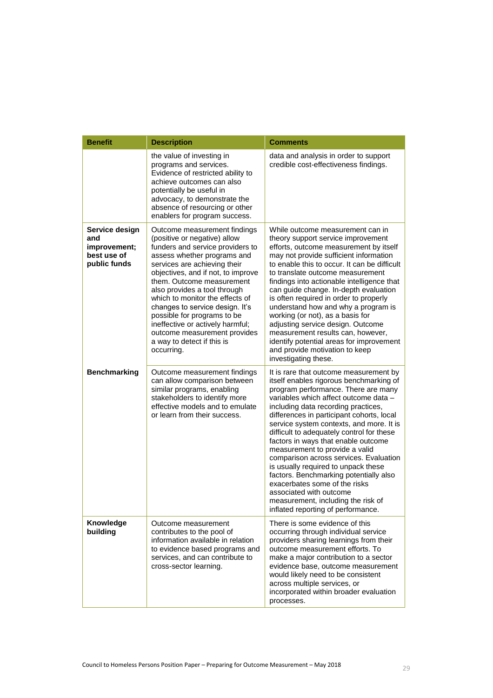| <b>Benefit</b>                                                       | <b>Description</b>                                                                                                                                                                                                                                                                                                                                                                                                                                                                      | <b>Comments</b>                                                                                                                                                                                                                                                                                                                                                                                                                                                                                                                                                                                                                                                                            |
|----------------------------------------------------------------------|-----------------------------------------------------------------------------------------------------------------------------------------------------------------------------------------------------------------------------------------------------------------------------------------------------------------------------------------------------------------------------------------------------------------------------------------------------------------------------------------|--------------------------------------------------------------------------------------------------------------------------------------------------------------------------------------------------------------------------------------------------------------------------------------------------------------------------------------------------------------------------------------------------------------------------------------------------------------------------------------------------------------------------------------------------------------------------------------------------------------------------------------------------------------------------------------------|
|                                                                      | the value of investing in<br>programs and services.<br>Evidence of restricted ability to<br>achieve outcomes can also<br>potentially be useful in<br>advocacy, to demonstrate the<br>absence of resourcing or other<br>enablers for program success.                                                                                                                                                                                                                                    | data and analysis in order to support<br>credible cost-effectiveness findings.                                                                                                                                                                                                                                                                                                                                                                                                                                                                                                                                                                                                             |
| Service design<br>and<br>improvement;<br>best use of<br>public funds | Outcome measurement findings<br>(positive or negative) allow<br>funders and service providers to<br>assess whether programs and<br>services are achieving their<br>objectives, and if not, to improve<br>them. Outcome measurement<br>also provides a tool through<br>which to monitor the effects of<br>changes to service design. It's<br>possible for programs to be<br>ineffective or actively harmful;<br>outcome measurement provides<br>a way to detect if this is<br>occurring. | While outcome measurement can in<br>theory support service improvement<br>efforts, outcome measurement by itself<br>may not provide sufficient information<br>to enable this to occur. It can be difficult<br>to translate outcome measurement<br>findings into actionable intelligence that<br>can guide change. In-depth evaluation<br>is often required in order to properly<br>understand how and why a program is<br>working (or not), as a basis for<br>adjusting service design. Outcome<br>measurement results can, however,<br>identify potential areas for improvement<br>and provide motivation to keep<br>investigating these.                                                 |
| <b>Benchmarking</b>                                                  | Outcome measurement findings<br>can allow comparison between<br>similar programs, enabling<br>stakeholders to identify more<br>effective models and to emulate<br>or learn from their success.                                                                                                                                                                                                                                                                                          | It is rare that outcome measurement by<br>itself enables rigorous benchmarking of<br>program performance. There are many<br>variables which affect outcome data -<br>including data recording practices,<br>differences in participant cohorts, local<br>service system contexts, and more. It is<br>difficult to adequately control for these<br>factors in ways that enable outcome<br>measurement to provide a valid<br>comparison across services. Evaluation<br>is usually required to unpack these<br>factors. Benchmarking potentially also<br>exacerbates some of the risks<br>associated with outcome<br>measurement, including the risk of<br>inflated reporting of performance. |
| Knowledge<br>building                                                | Outcome measurement<br>contributes to the pool of<br>information available in relation<br>to evidence based programs and<br>services, and can contribute to<br>cross-sector learning.                                                                                                                                                                                                                                                                                                   | There is some evidence of this<br>occurring through individual service<br>providers sharing learnings from their<br>outcome measurement efforts. To<br>make a major contribution to a sector<br>evidence base, outcome measurement<br>would likely need to be consistent<br>across multiple services, or<br>incorporated within broader evaluation<br>processes.                                                                                                                                                                                                                                                                                                                           |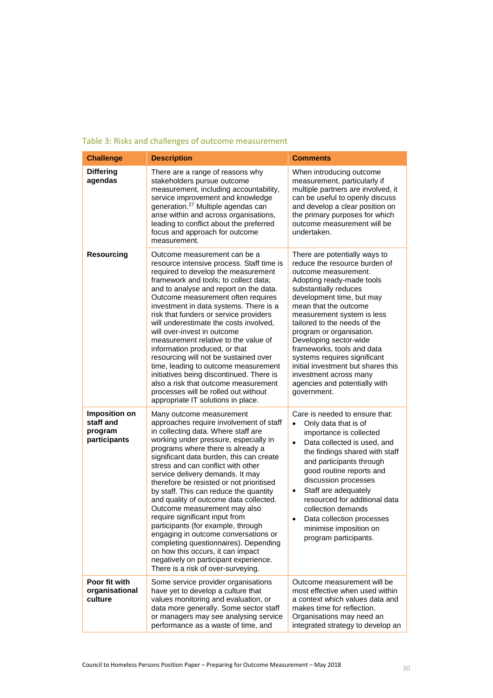<span id="page-29-0"></span>

| Table 3: Risks and challenges of outcome measurement |  |
|------------------------------------------------------|--|
|------------------------------------------------------|--|

| <b>Challenge</b>                                      | <b>Description</b>                                                                                                                                                                                                                                                                                                                                                                                                                                                                                                                                                                                                                                                                                                                                          | <b>Comments</b>                                                                                                                                                                                                                                                                                                                                                                                                                                                                                      |
|-------------------------------------------------------|-------------------------------------------------------------------------------------------------------------------------------------------------------------------------------------------------------------------------------------------------------------------------------------------------------------------------------------------------------------------------------------------------------------------------------------------------------------------------------------------------------------------------------------------------------------------------------------------------------------------------------------------------------------------------------------------------------------------------------------------------------------|------------------------------------------------------------------------------------------------------------------------------------------------------------------------------------------------------------------------------------------------------------------------------------------------------------------------------------------------------------------------------------------------------------------------------------------------------------------------------------------------------|
| <b>Differing</b><br>agendas                           | There are a range of reasons why<br>stakeholders pursue outcome<br>measurement, including accountability,<br>service improvement and knowledge<br>generation. <sup>27</sup> Multiple agendas can<br>arise within and across organisations,<br>leading to conflict about the preferred<br>focus and approach for outcome<br>measurement.                                                                                                                                                                                                                                                                                                                                                                                                                     | When introducing outcome<br>measurement, particularly if<br>multiple partners are involved, it<br>can be useful to openly discuss<br>and develop a clear position on<br>the primary purposes for which<br>outcome measurement will be<br>undertaken.                                                                                                                                                                                                                                                 |
| <b>Resourcing</b>                                     | Outcome measurement can be a<br>resource intensive process. Staff time is<br>required to develop the measurement<br>framework and tools; to collect data;<br>and to analyse and report on the data.<br>Outcome measurement often requires<br>investment in data systems. There is a<br>risk that funders or service providers<br>will underestimate the costs involved.<br>will over-invest in outcome<br>measurement relative to the value of<br>information produced, or that<br>resourcing will not be sustained over<br>time, leading to outcome measurement<br>initiatives being discontinued. There is<br>also a risk that outcome measurement<br>processes will be rolled out without<br>appropriate IT solutions in place.                          | There are potentially ways to<br>reduce the resource burden of<br>outcome measurement.<br>Adopting ready-made tools<br>substantially reduces<br>development time, but may<br>mean that the outcome<br>measurement system is less<br>tailored to the needs of the<br>program or organisation.<br>Developing sector-wide<br>frameworks, tools and data<br>systems requires significant<br>initial investment but shares this<br>investment across many<br>agencies and potentially with<br>government. |
| Imposition on<br>staff and<br>program<br>participants | Many outcome measurement<br>approaches require involvement of staff<br>in collecting data. Where staff are<br>working under pressure, especially in<br>programs where there is already a<br>significant data burden, this can create<br>stress and can conflict with other<br>service delivery demands. It may<br>therefore be resisted or not prioritised<br>by staff. This can reduce the quantity<br>and quality of outcome data collected.<br>Outcome measurement may also<br>require significant input from<br>participants (for example, through<br>engaging in outcome conversations or<br>completing questionnaires). Depending<br>on how this occurs, it can impact<br>negatively on participant experience.<br>There is a risk of over-surveying. | Care is needed to ensure that:<br>Only data that is of<br>importance is collected<br>Data collected is used, and<br>the findings shared with staff<br>and participants through<br>good routine reports and<br>discussion processes<br>Staff are adequately<br>$\bullet$<br>resourced for additional data<br>collection demands<br>Data collection processes<br>$\bullet$<br>minimise imposition on<br>program participants.                                                                          |
| Poor fit with<br>organisational<br>culture            | Some service provider organisations<br>have yet to develop a culture that<br>values monitoring and evaluation, or<br>data more generally. Some sector staff<br>or managers may see analysing service<br>performance as a waste of time, and                                                                                                                                                                                                                                                                                                                                                                                                                                                                                                                 | Outcome measurement will be<br>most effective when used within<br>a context which values data and<br>makes time for reflection.<br>Organisations may need an<br>integrated strategy to develop an                                                                                                                                                                                                                                                                                                    |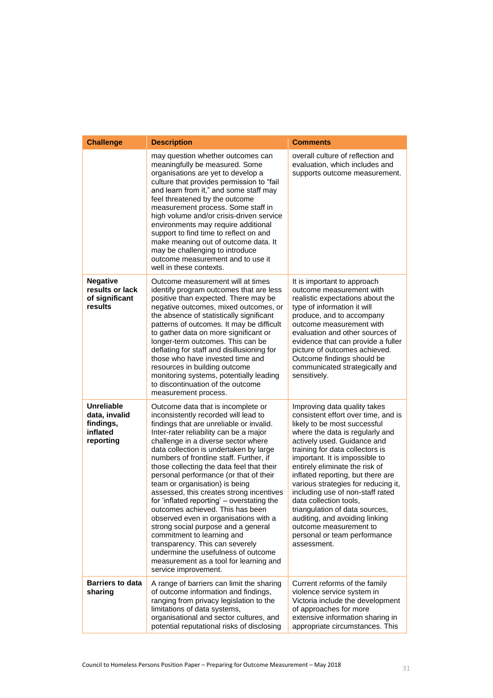| <b>Challenge</b>                                                         | <b>Description</b>                                                                                                                                                                                                                                                                                                                                                                                                                                                                                                                                                                                                                                                                                                                                                                                            | <b>Comments</b>                                                                                                                                                                                                                                                                                                                                                                                                                                                                                                                                                     |
|--------------------------------------------------------------------------|---------------------------------------------------------------------------------------------------------------------------------------------------------------------------------------------------------------------------------------------------------------------------------------------------------------------------------------------------------------------------------------------------------------------------------------------------------------------------------------------------------------------------------------------------------------------------------------------------------------------------------------------------------------------------------------------------------------------------------------------------------------------------------------------------------------|---------------------------------------------------------------------------------------------------------------------------------------------------------------------------------------------------------------------------------------------------------------------------------------------------------------------------------------------------------------------------------------------------------------------------------------------------------------------------------------------------------------------------------------------------------------------|
|                                                                          | may question whether outcomes can<br>meaningfully be measured. Some<br>organisations are yet to develop a<br>culture that provides permission to "fail<br>and learn from it," and some staff may<br>feel threatened by the outcome<br>measurement process. Some staff in<br>high volume and/or crisis-driven service<br>environments may require additional<br>support to find time to reflect on and<br>make meaning out of outcome data. It<br>may be challenging to introduce<br>outcome measurement and to use it<br>well in these contexts.                                                                                                                                                                                                                                                              | overall culture of reflection and<br>evaluation, which includes and<br>supports outcome measurement.                                                                                                                                                                                                                                                                                                                                                                                                                                                                |
| <b>Negative</b><br>results or lack<br>of significant<br>results          | Outcome measurement will at times<br>identify program outcomes that are less<br>positive than expected. There may be<br>negative outcomes, mixed outcomes, or<br>the absence of statistically significant<br>patterns of outcomes. It may be difficult<br>to gather data on more significant or<br>longer-term outcomes. This can be<br>deflating for staff and disillusioning for<br>those who have invested time and<br>resources in building outcome<br>monitoring systems, potentially leading<br>to discontinuation of the outcome<br>measurement process.                                                                                                                                                                                                                                               | It is important to approach<br>outcome measurement with<br>realistic expectations about the<br>type of information it will<br>produce, and to accompany<br>outcome measurement with<br>evaluation and other sources of<br>evidence that can provide a fuller<br>picture of outcomes achieved.<br>Outcome findings should be<br>communicated strategically and<br>sensitively.                                                                                                                                                                                       |
| <b>Unreliable</b><br>data, invalid<br>findings,<br>inflated<br>reporting | Outcome data that is incomplete or<br>inconsistently recorded will lead to<br>findings that are unreliable or invalid.<br>Inter-rater reliability can be a major<br>challenge in a diverse sector where<br>data collection is undertaken by large<br>numbers of frontline staff. Further, if<br>those collecting the data feel that their<br>personal performance (or that of their<br>team or organisation) is being<br>assessed, this creates strong incentives<br>for 'inflated reporting' - overstating the<br>outcomes achieved. This has been<br>observed even in organisations with a<br>strong social purpose and a general<br>commitment to learning and<br>transparency. This can severely<br>undermine the usefulness of outcome<br>measurement as a tool for learning and<br>service improvement. | Improving data quality takes<br>consistent effort over time, and is<br>likely to be most successful<br>where the data is regularly and<br>actively used. Guidance and<br>training for data collectors is<br>important. It is impossible to<br>entirely eliminate the risk of<br>inflated reporting, but there are<br>various strategies for reducing it,<br>including use of non-staff rated<br>data collection tools,<br>triangulation of data sources,<br>auditing, and avoiding linking<br>outcome measurement to<br>personal or team performance<br>assessment. |
| <b>Barriers to data</b><br>sharing                                       | A range of barriers can limit the sharing<br>of outcome information and findings,<br>ranging from privacy legislation to the<br>limitations of data systems,<br>organisational and sector cultures, and<br>potential reputational risks of disclosing                                                                                                                                                                                                                                                                                                                                                                                                                                                                                                                                                         | Current reforms of the family<br>violence service system in<br>Victoria include the development<br>of approaches for more<br>extensive information sharing in<br>appropriate circumstances. This                                                                                                                                                                                                                                                                                                                                                                    |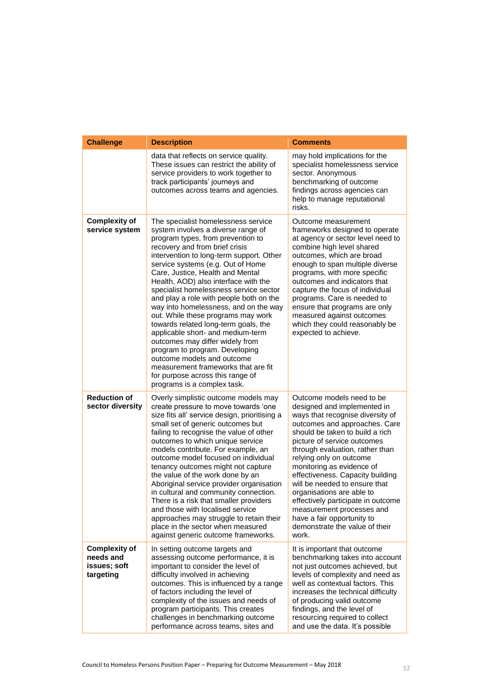| <b>Challenge</b>                                               | <b>Description</b>                                                                                                                                                                                                                                                                                                                                                                                                                                                                                                                                                                                                                                                                                                                                                          | <b>Comments</b>                                                                                                                                                                                                                                                                                                                                                                                                                                                                                                                          |
|----------------------------------------------------------------|-----------------------------------------------------------------------------------------------------------------------------------------------------------------------------------------------------------------------------------------------------------------------------------------------------------------------------------------------------------------------------------------------------------------------------------------------------------------------------------------------------------------------------------------------------------------------------------------------------------------------------------------------------------------------------------------------------------------------------------------------------------------------------|------------------------------------------------------------------------------------------------------------------------------------------------------------------------------------------------------------------------------------------------------------------------------------------------------------------------------------------------------------------------------------------------------------------------------------------------------------------------------------------------------------------------------------------|
|                                                                | data that reflects on service quality.<br>These issues can restrict the ability of<br>service providers to work together to<br>track participants' journeys and<br>outcomes across teams and agencies.                                                                                                                                                                                                                                                                                                                                                                                                                                                                                                                                                                      | may hold implications for the<br>specialist homelessness service<br>sector. Anonymous<br>benchmarking of outcome<br>findings across agencies can<br>help to manage reputational<br>risks.                                                                                                                                                                                                                                                                                                                                                |
| <b>Complexity of</b><br>service system                         | The specialist homelessness service<br>system involves a diverse range of<br>program types, from prevention to<br>recovery and from brief crisis<br>intervention to long-term support. Other<br>service systems (e.g. Out of Home<br>Care, Justice, Health and Mental<br>Health, AOD) also interface with the<br>specialist homelessness service sector<br>and play a role with people both on the<br>way into homelessness, and on the way<br>out. While these programs may work<br>towards related long-term goals, the<br>applicable short- and medium-term<br>outcomes may differ widely from<br>program to program. Developing<br>outcome models and outcome<br>measurement frameworks that are fit<br>for purpose across this range of<br>programs is a complex task. | Outcome measurement<br>frameworks designed to operate<br>at agency or sector level need to<br>combine high level shared<br>outcomes, which are broad<br>enough to span multiple diverse<br>programs, with more specific<br>outcomes and indicators that<br>capture the focus of individual<br>programs. Care is needed to<br>ensure that programs are only<br>measured against outcomes<br>which they could reasonably be<br>expected to achieve.                                                                                        |
| <b>Reduction of</b><br>sector diversity                        | Overly simplistic outcome models may<br>create pressure to move towards 'one<br>size fits all' service design, prioritising a<br>small set of generic outcomes but<br>failing to recognise the value of other<br>outcomes to which unique service<br>models contribute. For example, an<br>outcome model focused on individual<br>tenancy outcomes might not capture<br>the value of the work done by an<br>Aboriginal service provider organisation<br>in cultural and community connection.<br>There is a risk that smaller providers<br>and those with localised service<br>approaches may struggle to retain their<br>place in the sector when measured<br>against generic outcome frameworks.                                                                          | Outcome models need to be<br>designed and implemented in<br>ways that recognise diversity of<br>outcomes and approaches. Care<br>should be taken to build a rich<br>picture of service outcomes<br>through evaluation, rather than<br>relying only on outcome<br>monitoring as evidence of<br>effectiveness. Capacity building<br>will be needed to ensure that<br>organisations are able to<br>effectively participate in outcome<br>measurement processes and<br>have a fair opportunity to<br>demonstrate the value of their<br>work. |
| <b>Complexity of</b><br>needs and<br>issues; soft<br>targeting | In setting outcome targets and<br>assessing outcome performance, it is<br>important to consider the level of<br>difficulty involved in achieving<br>outcomes. This is influenced by a range<br>of factors including the level of<br>complexity of the issues and needs of<br>program participants. This creates<br>challenges in benchmarking outcome<br>performance across teams, sites and                                                                                                                                                                                                                                                                                                                                                                                | It is important that outcome<br>benchmarking takes into account<br>not just outcomes achieved, but<br>levels of complexity and need as<br>well as contextual factors. This<br>increases the technical difficulty<br>of producing valid outcome<br>findings, and the level of<br>resourcing required to collect<br>and use the data. It's possible                                                                                                                                                                                        |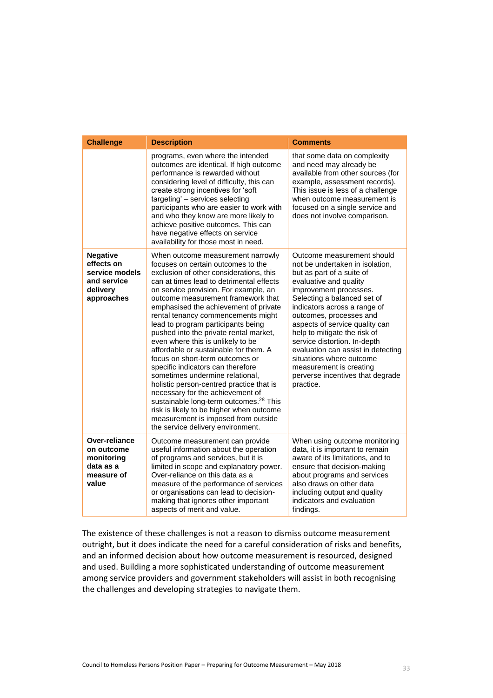| <b>Challenge</b>                                                                         | <b>Description</b>                                                                                                                                                                                                                                                                                                                                                                                                                                                                                                                                                                                                                                                                                                                                                                                                                                                  | <b>Comments</b>                                                                                                                                                                                                                                                                                                                                                                                                                                                                          |
|------------------------------------------------------------------------------------------|---------------------------------------------------------------------------------------------------------------------------------------------------------------------------------------------------------------------------------------------------------------------------------------------------------------------------------------------------------------------------------------------------------------------------------------------------------------------------------------------------------------------------------------------------------------------------------------------------------------------------------------------------------------------------------------------------------------------------------------------------------------------------------------------------------------------------------------------------------------------|------------------------------------------------------------------------------------------------------------------------------------------------------------------------------------------------------------------------------------------------------------------------------------------------------------------------------------------------------------------------------------------------------------------------------------------------------------------------------------------|
|                                                                                          | programs, even where the intended<br>outcomes are identical. If high outcome<br>performance is rewarded without<br>considering level of difficulty, this can<br>create strong incentives for 'soft<br>targeting' - services selecting<br>participants who are easier to work with<br>and who they know are more likely to<br>achieve positive outcomes. This can<br>have negative effects on service<br>availability for those most in need.                                                                                                                                                                                                                                                                                                                                                                                                                        | that some data on complexity<br>and need may already be<br>available from other sources (for<br>example, assessment records).<br>This issue is less of a challenge<br>when outcome measurement is<br>focused on a single service and<br>does not involve comparison.                                                                                                                                                                                                                     |
| <b>Negative</b><br>effects on<br>service models<br>and service<br>delivery<br>approaches | When outcome measurement narrowly<br>focuses on certain outcomes to the<br>exclusion of other considerations, this<br>can at times lead to detrimental effects<br>on service provision. For example, an<br>outcome measurement framework that<br>emphasised the achievement of private<br>rental tenancy commencements might<br>lead to program participants being<br>pushed into the private rental market,<br>even where this is unlikely to be<br>affordable or sustainable for them. A<br>focus on short-term outcomes or<br>specific indicators can therefore<br>sometimes undermine relational.<br>holistic person-centred practice that is<br>necessary for the achievement of<br>sustainable long-term outcomes. <sup>28</sup> This<br>risk is likely to be higher when outcome<br>measurement is imposed from outside<br>the service delivery environment. | Outcome measurement should<br>not be undertaken in isolation,<br>but as part of a suite of<br>evaluative and quality<br>improvement processes.<br>Selecting a balanced set of<br>indicators across a range of<br>outcomes, processes and<br>aspects of service quality can<br>help to mitigate the risk of<br>service distortion. In-depth<br>evaluation can assist in detecting<br>situations where outcome<br>measurement is creating<br>perverse incentives that degrade<br>practice. |
| Over-reliance<br>on outcome<br>monitoring<br>data as a<br>measure of<br>value            | Outcome measurement can provide<br>useful information about the operation<br>of programs and services, but it is<br>limited in scope and explanatory power.<br>Over-reliance on this data as a<br>measure of the performance of services<br>or organisations can lead to decision-<br>making that ignores other important<br>aspects of merit and value.                                                                                                                                                                                                                                                                                                                                                                                                                                                                                                            | When using outcome monitoring<br>data, it is important to remain<br>aware of its limitations, and to<br>ensure that decision-making<br>about programs and services<br>also draws on other data<br>including output and quality<br>indicators and evaluation<br>findings.                                                                                                                                                                                                                 |

The existence of these challenges is not a reason to dismiss outcome measurement outright, but it does indicate the need for a careful consideration of risks and benefits, and an informed decision about how outcome measurement is resourced, designed and used. Building a more sophisticated understanding of outcome measurement among service providers and government stakeholders will assist in both recognising the challenges and developing strategies to navigate them.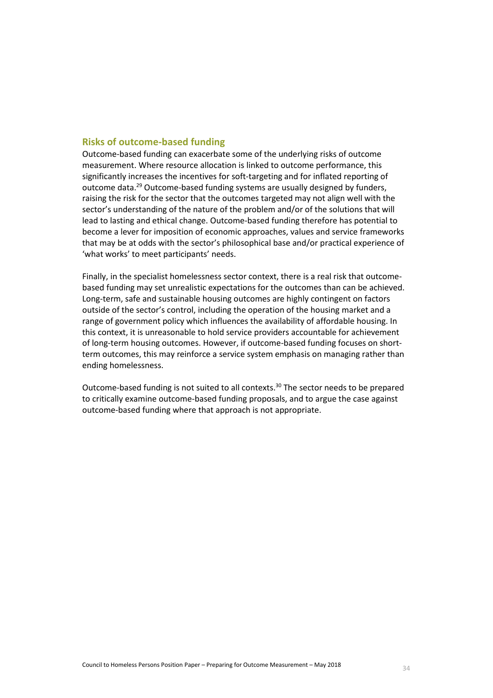# **Risks of outcome-based funding**

Outcome-based funding can exacerbate some of the underlying risks of outcome measurement. Where resource allocation is linked to outcome performance, this significantly increases the incentives for soft-targeting and for inflated reporting of outcome data.<sup>29</sup> Outcome-based funding systems are usually designed by funders, raising the risk for the sector that the outcomes targeted may not align well with the sector's understanding of the nature of the problem and/or of the solutions that will lead to lasting and ethical change. Outcome-based funding therefore has potential to become a lever for imposition of economic approaches, values and service frameworks that may be at odds with the sector's philosophical base and/or practical experience of 'what works' to meet participants' needs.

Finally, in the specialist homelessness sector context, there is a real risk that outcomebased funding may set unrealistic expectations for the outcomes than can be achieved. Long-term, safe and sustainable housing outcomes are highly contingent on factors outside of the sector's control, including the operation of the housing market and a range of government policy which influences the availability of affordable housing. In this context, it is unreasonable to hold service providers accountable for achievement of long-term housing outcomes. However, if outcome-based funding focuses on shortterm outcomes, this may reinforce a service system emphasis on managing rather than ending homelessness.

Outcome-based funding is not suited to all contexts.<sup>30</sup> The sector needs to be prepared to critically examine outcome-based funding proposals, and to argue the case against outcome-based funding where that approach is not appropriate.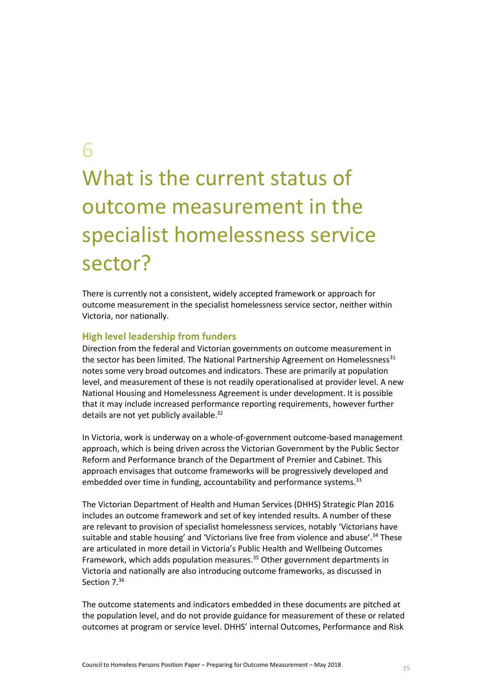6

# What is the current status of outcome measurement in the specialist homelessness service sector?

There is currently not a consistent, widely accepted framework or approach for outcome measurement in the specialist homelessness service sector, neither within Victoria, nor nationally.

# **High level leadership from funders**

Direction from the federal and Victorian governments on outcome measurement in the sector has been limited. The National Partnership Agreement on Homelessness $31$ notes some very broad outcomes and indicators. These are primarily at population level, and measurement of these is not readily operationalised at provider level. A new National Housing and Homelessness Agreement is under development. It is possible that it may include increased performance reporting requirements, however further details are not yet publicly available.<sup>32</sup>

In Victoria, work is underway on a whole-of-government outcome-based management approach, which is being driven across the Victorian Government by the Public Sector Reform and Performance branch of the Department of Premier and Cabinet. This approach envisages that outcome frameworks will be progressively developed and embedded over time in funding, accountability and performance systems.<sup>33</sup>

The Victorian Department of Health and Human Services (DHHS) Strategic Plan 2016 includes an outcome framework and set of key intended results. A number of these are relevant to provision of specialist homelessness services, notably 'Victorians have suitable and stable housing' and 'Victorians live free from violence and abuse'.<sup>34</sup> These are articulated in more detail in Victoria's Public Health and Wellbeing Outcomes Framework, which adds population measures.<sup>35</sup> Other government departments in Victoria and nationally are also introducing outcome frameworks, as discussed in Section 7.<sup>36</sup>

The outcome statements and indicators embedded in these documents are pitched at the population level, and do not provide guidance for measurement of these or related outcomes at program or service level. DHHS' internal Outcomes, Performance and Risk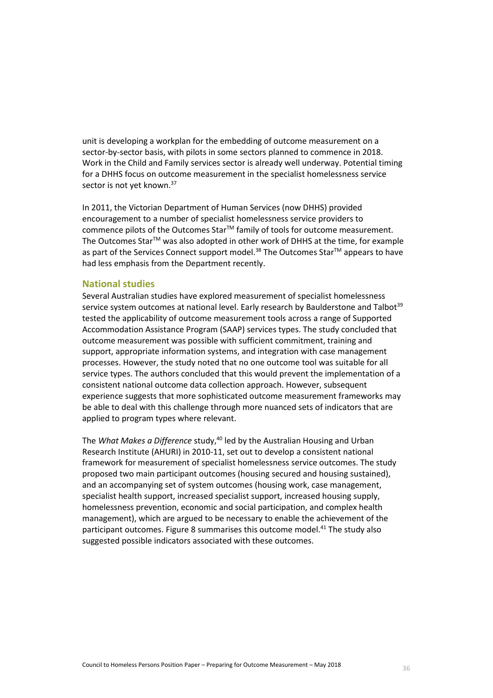unit is developing a workplan for the embedding of outcome measurement on a sector-by-sector basis, with pilots in some sectors planned to commence in 2018. Work in the Child and Family services sector is already well underway. Potential timing for a DHHS focus on outcome measurement in the specialist homelessness service sector is not yet known.<sup>37</sup>

In 2011, the Victorian Department of Human Services (now DHHS) provided encouragement to a number of specialist homelessness service providers to commence pilots of the Outcomes Star<sup>™</sup> family of tools for outcome measurement. The Outcomes Star™ was also adopted in other work of DHHS at the time, for example as part of the Services Connect support model.<sup>38</sup> The Outcomes Star™ appears to have had less emphasis from the Department recently.

# **National studies**

Several Australian studies have explored measurement of specialist homelessness service system outcomes at national level. Early research by Baulderstone and Talbot<sup>39</sup> tested the applicability of outcome measurement tools across a range of Supported Accommodation Assistance Program (SAAP) services types. The study concluded that outcome measurement was possible with sufficient commitment, training and support, appropriate information systems, and integration with case management processes. However, the study noted that no one outcome tool was suitable for all service types. The authors concluded that this would prevent the implementation of a consistent national outcome data collection approach. However, subsequent experience suggests that more sophisticated outcome measurement frameworks may be able to deal with this challenge through more nuanced sets of indicators that are applied to program types where relevant.

The *What Makes a Difference* study,<sup>40</sup> led by the Australian Housing and Urban Research Institute (AHURI) in 2010-11, set out to develop a consistent national framework for measurement of specialist homelessness service outcomes. The study proposed two main participant outcomes (housing secured and housing sustained), and an accompanying set of system outcomes (housing work, case management, specialist health support, increased specialist support, increased housing supply, homelessness prevention, economic and social participation, and complex health management), which are argued to be necessary to enable the achievement of the participant outcomes. [Figure 8](#page-36-0) summarises this outcome model.<sup>41</sup> The study also suggested possible indicators associated with these outcomes.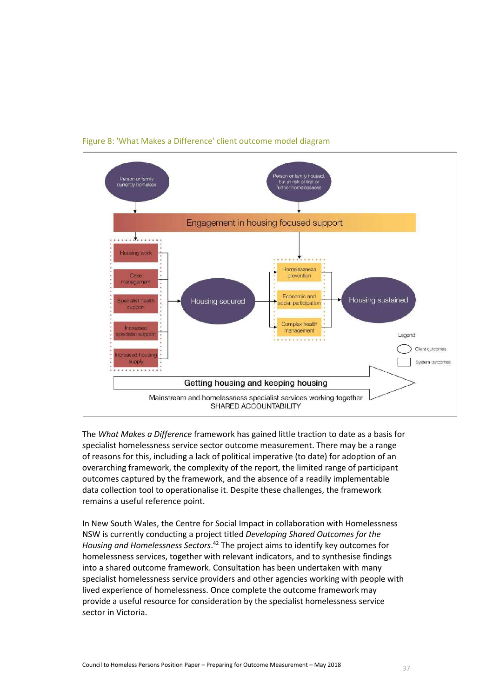

Figure 8: 'What Makes a Difference' client outcome model diagram

The *What Makes a Difference* framework has gained little traction to date as a basis for specialist homelessness service sector outcome measurement. There may be a range of reasons for this, including a lack of political imperative (to date) for adoption of an overarching framework, the complexity of the report, the limited range of participant outcomes captured by the framework, and the absence of a readily implementable data collection tool to operationalise it. Despite these challenges, the framework remains a useful reference point.

In New South Wales, the Centre for Social Impact in collaboration with Homelessness NSW is currently conducting a project titled *Developing Shared Outcomes for the Housing and Homelessness Sectors*. <sup>42</sup> The project aims to identify key outcomes for homelessness services, together with relevant indicators, and to synthesise findings into a shared outcome framework. Consultation has been undertaken with many specialist homelessness service providers and other agencies working with people with lived experience of homelessness. Once complete the outcome framework may provide a useful resource for consideration by the specialist homelessness service sector in Victoria.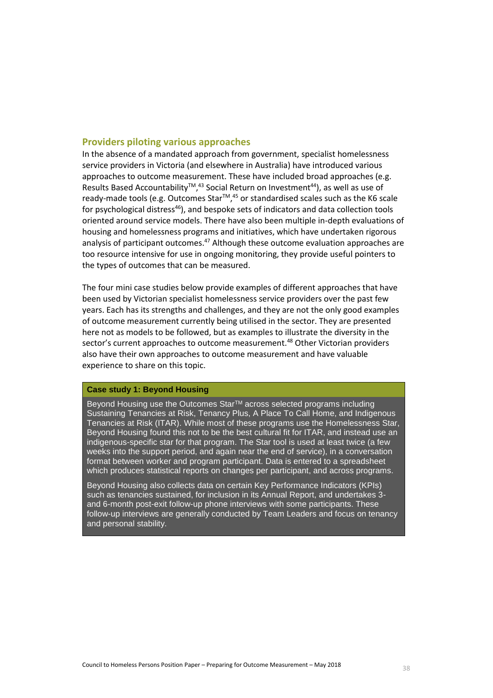#### **Providers piloting various approaches**

In the absence of a mandated approach from government, specialist homelessness service providers in Victoria (and elsewhere in Australia) have introduced various approaches to outcome measurement. These have included broad approaches (e.g. Results Based Accountability<sup>™,43</sup> Social Return on Investment<sup>44</sup>), as well as use of ready-made tools (e.g. Outcomes Star<sup>™,45</sup> or standardised scales such as the K6 scale for psychological distress $46$ ), and bespoke sets of indicators and data collection tools oriented around service models. There have also been multiple in-depth evaluations of housing and homelessness programs and initiatives, which have undertaken rigorous analysis of participant outcomes.<sup>47</sup> Although these outcome evaluation approaches are too resource intensive for use in ongoing monitoring, they provide useful pointers to the types of outcomes that can be measured.

The four mini case studies below provide examples of different approaches that have been used by Victorian specialist homelessness service providers over the past few years. Each has its strengths and challenges, and they are not the only good examples of outcome measurement currently being utilised in the sector. They are presented here not as models to be followed, but as examples to illustrate the diversity in the sector's current approaches to outcome measurement.<sup>48</sup> Other Victorian providers also have their own approaches to outcome measurement and have valuable experience to share on this topic.

#### **Case study 1: Beyond Housing**

Beyond Housing use the Outcomes Star™ across selected programs including Sustaining Tenancies at Risk, Tenancy Plus, A Place To Call Home, and Indigenous Tenancies at Risk (ITAR). While most of these programs use the Homelessness Star, Beyond Housing found this not to be the best cultural fit for ITAR, and instead use an indigenous-specific star for that program. The Star tool is used at least twice (a few weeks into the support period, and again near the end of service), in a conversation format between worker and program participant. Data is entered to a spreadsheet which produces statistical reports on changes per participant, and across programs.

Beyond Housing also collects data on certain Key Performance Indicators (KPIs) such as tenancies sustained, for inclusion in its Annual Report, and undertakes 3 and 6-month post-exit follow-up phone interviews with some participants. These follow-up interviews are generally conducted by Team Leaders and focus on tenancy and personal stability.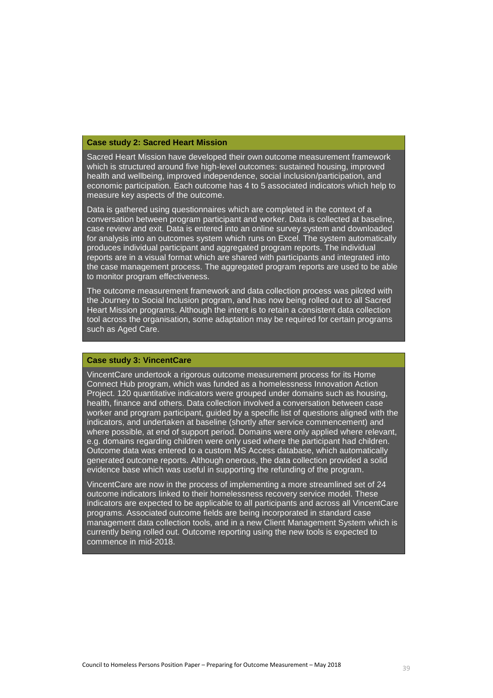#### **Case study 2: Sacred Heart Mission**

Sacred Heart Mission have developed their own outcome measurement framework which is structured around five high-level outcomes: sustained housing, improved health and wellbeing, improved independence, social inclusion/participation, and economic participation. Each outcome has 4 to 5 associated indicators which help to measure key aspects of the outcome.

Data is gathered using questionnaires which are completed in the context of a conversation between program participant and worker. Data is collected at baseline, case review and exit. Data is entered into an online survey system and downloaded for analysis into an outcomes system which runs on Excel. The system automatically produces individual participant and aggregated program reports. The individual reports are in a visual format which are shared with participants and integrated into the case management process. The aggregated program reports are used to be able to monitor program effectiveness.

The outcome measurement framework and data collection process was piloted with the Journey to Social Inclusion program, and has now being rolled out to all Sacred Heart Mission programs. Although the intent is to retain a consistent data collection tool across the organisation, some adaptation may be required for certain programs such as Aged Care.

#### **Case study 3: VincentCare**

VincentCare undertook a rigorous outcome measurement process for its Home Connect Hub program, which was funded as a homelessness Innovation Action Project. 120 quantitative indicators were grouped under domains such as housing, health, finance and others. Data collection involved a conversation between case worker and program participant, guided by a specific list of questions aligned with the indicators, and undertaken at baseline (shortly after service commencement) and where possible, at end of support period. Domains were only applied where relevant, e.g. domains regarding children were only used where the participant had children. Outcome data was entered to a custom MS Access database, which automatically generated outcome reports. Although onerous, the data collection provided a solid evidence base which was useful in supporting the refunding of the program.

VincentCare are now in the process of implementing a more streamlined set of 24 outcome indicators linked to their homelessness recovery service model. These indicators are expected to be applicable to all participants and across all VincentCare programs. Associated outcome fields are being incorporated in standard case management data collection tools, and in a new Client Management System which is currently being rolled out. Outcome reporting using the new tools is expected to commence in mid-2018.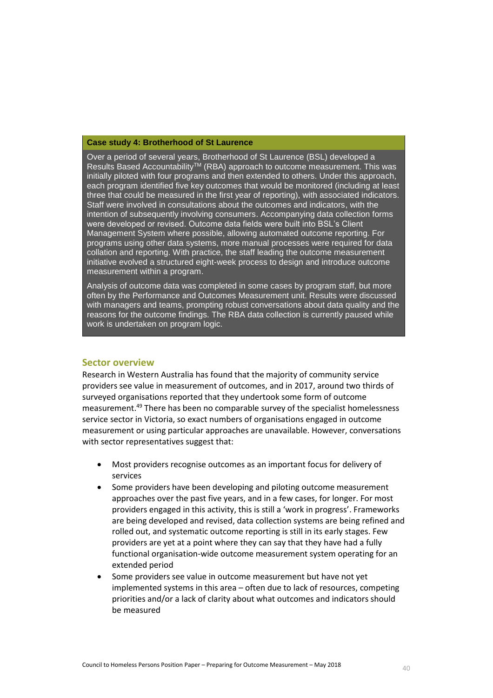#### **Case study 4: Brotherhood of St Laurence**

Over a period of several years, Brotherhood of St Laurence (BSL) developed a Results Based Accountability<sup>TM</sup> (RBA) approach to outcome measurement. This was initially piloted with four programs and then extended to others. Under this approach, each program identified five key outcomes that would be monitored (including at least three that could be measured in the first year of reporting), with associated indicators. Staff were involved in consultations about the outcomes and indicators, with the intention of subsequently involving consumers. Accompanying data collection forms were developed or revised. Outcome data fields were built into BSL's Client Management System where possible, allowing automated outcome reporting. For programs using other data systems, more manual processes were required for data collation and reporting. With practice, the staff leading the outcome measurement initiative evolved a structured eight-week process to design and introduce outcome measurement within a program.

Analysis of outcome data was completed in some cases by program staff, but more often by the Performance and Outcomes Measurement unit. Results were discussed with managers and teams, prompting robust conversations about data quality and the reasons for the outcome findings. The RBA data collection is currently paused while work is undertaken on program logic.

#### **Sector overview**

Research in Western Australia has found that the majority of community service providers see value in measurement of outcomes, and in 2017, around two thirds of surveyed organisations reported that they undertook some form of outcome measurement.<sup>49</sup> There has been no comparable survey of the specialist homelessness service sector in Victoria, so exact numbers of organisations engaged in outcome measurement or using particular approaches are unavailable. However, conversations with sector representatives suggest that:

- Most providers recognise outcomes as an important focus for delivery of services
- Some providers have been developing and piloting outcome measurement approaches over the past five years, and in a few cases, for longer. For most providers engaged in this activity, this is still a 'work in progress'. Frameworks are being developed and revised, data collection systems are being refined and rolled out, and systematic outcome reporting is still in its early stages. Few providers are yet at a point where they can say that they have had a fully functional organisation-wide outcome measurement system operating for an extended period
- Some providers see value in outcome measurement but have not yet implemented systems in this area – often due to lack of resources, competing priorities and/or a lack of clarity about what outcomes and indicators should be measured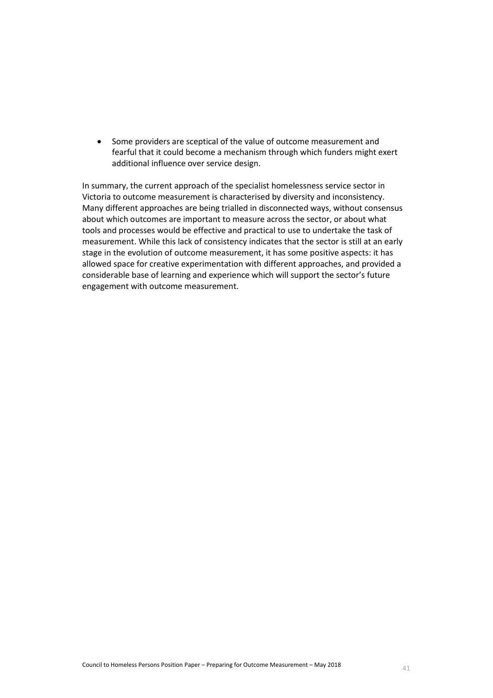Some providers are sceptical of the value of outcome measurement and fearful that it could become a mechanism through which funders might exert additional influence over service design.

In summary, the current approach of the specialist homelessness service sector in Victoria to outcome measurement is characterised by diversity and inconsistency. Many different approaches are being trialled in disconnected ways, without consensus about which outcomes are important to measure across the sector, or about what tools and processes would be effective and practical to use to undertake the task of measurement. While this lack of consistency indicates that the sector is still at an early stage in the evolution of outcome measurement, it has some positive aspects: it has allowed space for creative experimentation with different approaches, and provided a considerable base of learning and experience which will support the sector's future engagement with outcome measurement.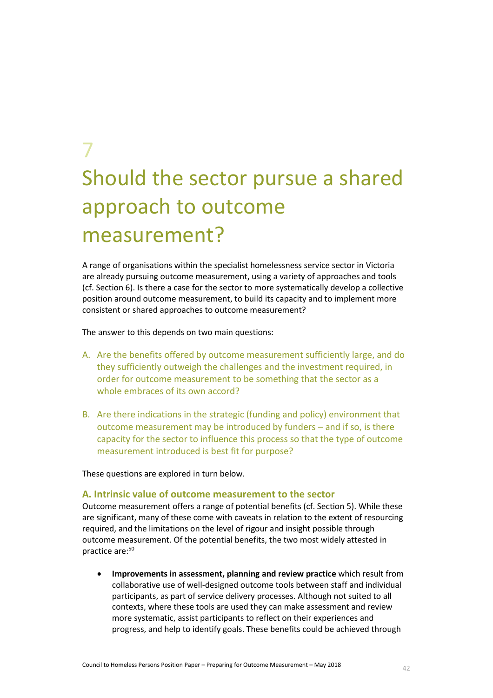# 7 Should the sector pursue a shared approach to outcome measurement?

A range of organisations within the specialist homelessness service sector in Victoria are already pursuing outcome measurement, using a variety of approaches and tools (cf. Section 6). Is there a case for the sector to more systematically develop a collective position around outcome measurement, to build its capacity and to implement more consistent or shared approaches to outcome measurement?

The answer to this depends on two main questions:

- A. Are the benefits offered by outcome measurement sufficiently large, and do they sufficiently outweigh the challenges and the investment required, in order for outcome measurement to be something that the sector as a whole embraces of its own accord?
- B. Are there indications in the strategic (funding and policy) environment that outcome measurement may be introduced by funders – and if so, is there capacity for the sector to influence this process so that the type of outcome measurement introduced is best fit for purpose?

These questions are explored in turn below.

#### **A. Intrinsic value of outcome measurement to the sector**

Outcome measurement offers a range of potential benefits (cf. Section 5). While these are significant, many of these come with caveats in relation to the extent of resourcing required, and the limitations on the level of rigour and insight possible through outcome measurement. Of the potential benefits, the two most widely attested in practice are:<sup>50</sup>

 **Improvements in assessment, planning and review practice** which result from collaborative use of well-designed outcome tools between staff and individual participants, as part of service delivery processes. Although not suited to all contexts, where these tools are used they can make assessment and review more systematic, assist participants to reflect on their experiences and progress, and help to identify goals. These benefits could be achieved through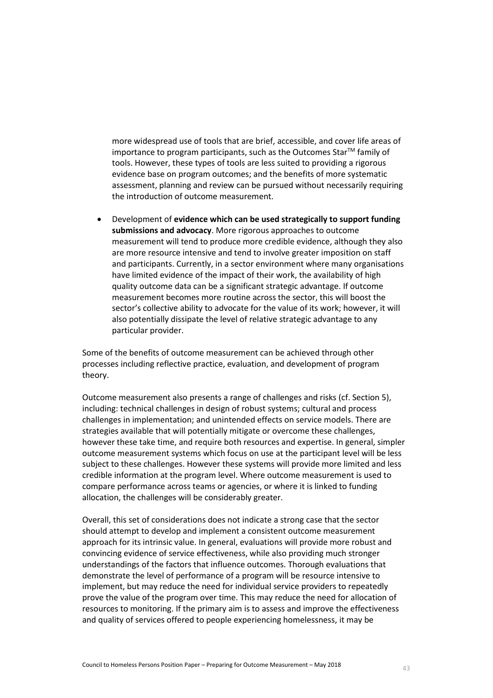more widespread use of tools that are brief, accessible, and cover life areas of importance to program participants, such as the Outcomes Star<sup>TM</sup> family of tools. However, these types of tools are less suited to providing a rigorous evidence base on program outcomes; and the benefits of more systematic assessment, planning and review can be pursued without necessarily requiring the introduction of outcome measurement.

 Development of **evidence which can be used strategically to support funding submissions and advocacy**. More rigorous approaches to outcome measurement will tend to produce more credible evidence, although they also are more resource intensive and tend to involve greater imposition on staff and participants. Currently, in a sector environment where many organisations have limited evidence of the impact of their work, the availability of high quality outcome data can be a significant strategic advantage. If outcome measurement becomes more routine across the sector, this will boost the sector's collective ability to advocate for the value of its work; however, it will also potentially dissipate the level of relative strategic advantage to any particular provider.

Some of the benefits of outcome measurement can be achieved through other processes including reflective practice, evaluation, and development of program theory.

Outcome measurement also presents a range of challenges and risks (cf. Section 5), including: technical challenges in design of robust systems; cultural and process challenges in implementation; and unintended effects on service models. There are strategies available that will potentially mitigate or overcome these challenges, however these take time, and require both resources and expertise. In general, simpler outcome measurement systems which focus on use at the participant level will be less subject to these challenges. However these systems will provide more limited and less credible information at the program level. Where outcome measurement is used to compare performance across teams or agencies, or where it is linked to funding allocation, the challenges will be considerably greater.

Overall, this set of considerations does not indicate a strong case that the sector should attempt to develop and implement a consistent outcome measurement approach for its intrinsic value. In general, evaluations will provide more robust and convincing evidence of service effectiveness, while also providing much stronger understandings of the factors that influence outcomes. Thorough evaluations that demonstrate the level of performance of a program will be resource intensive to implement, but may reduce the need for individual service providers to repeatedly prove the value of the program over time. This may reduce the need for allocation of resources to monitoring. If the primary aim is to assess and improve the effectiveness and quality of services offered to people experiencing homelessness, it may be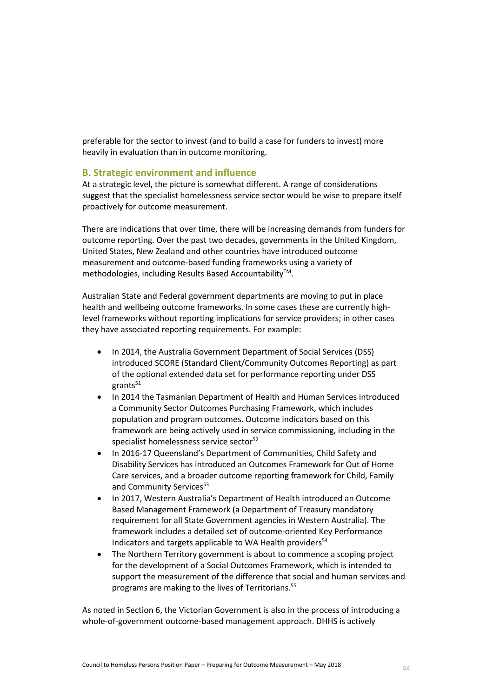preferable for the sector to invest (and to build a case for funders to invest) more heavily in evaluation than in outcome monitoring.

#### **B. Strategic environment and influence**

At a strategic level, the picture is somewhat different. A range of considerations suggest that the specialist homelessness service sector would be wise to prepare itself proactively for outcome measurement.

There are indications that over time, there will be increasing demands from funders for outcome reporting. Over the past two decades, governments in the United Kingdom, United States, New Zealand and other countries have introduced outcome measurement and outcome-based funding frameworks using a variety of methodologies, including Results Based Accountability<sup>™</sup>.

Australian State and Federal government departments are moving to put in place health and wellbeing outcome frameworks. In some cases these are currently highlevel frameworks without reporting implications for service providers; in other cases they have associated reporting requirements. For example:

- In 2014, the Australia Government Department of Social Services (DSS) introduced SCORE (Standard Client/Community Outcomes Reporting) as part of the optional extended data set for performance reporting under DSS  $grants<sup>51</sup>$
- In 2014 the Tasmanian Department of Health and Human Services introduced a Community Sector Outcomes Purchasing Framework, which includes population and program outcomes. Outcome indicators based on this framework are being actively used in service commissioning, including in the specialist homelessness service sector<sup>52</sup>
- In 2016-17 Queensland's Department of Communities, Child Safety and Disability Services has introduced an Outcomes Framework for Out of Home Care services, and a broader outcome reporting framework for Child, Family and Community Services<sup>53</sup>
- In 2017, Western Australia's Department of Health introduced an Outcome Based Management Framework (a Department of Treasury mandatory requirement for all State Government agencies in Western Australia). The framework includes a detailed set of outcome-oriented Key Performance Indicators and targets applicable to WA Health providers $54$
- The Northern Territory government is about to commence a scoping project for the development of a Social Outcomes Framework, which is intended to support the measurement of the difference that social and human services and programs are making to the lives of Territorians.<sup>55</sup>

As noted in Section 6, the Victorian Government is also in the process of introducing a whole-of-government outcome-based management approach. DHHS is actively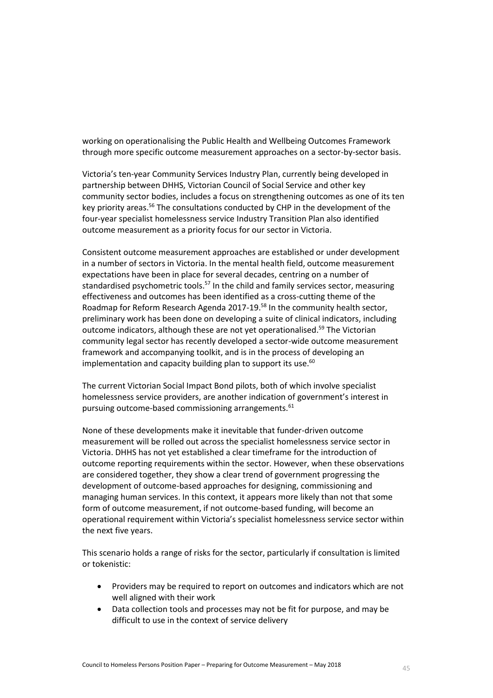working on operationalising the Public Health and Wellbeing Outcomes Framework through more specific outcome measurement approaches on a sector-by-sector basis.

Victoria's ten-year Community Services Industry Plan, currently being developed in partnership between DHHS, Victorian Council of Social Service and other key community sector bodies, includes a focus on strengthening outcomes as one of its ten key priority areas.<sup>56</sup> The consultations conducted by CHP in the development of the four-year specialist homelessness service Industry Transition Plan also identified outcome measurement as a priority focus for our sector in Victoria.

Consistent outcome measurement approaches are established or under development in a number of sectors in Victoria. In the mental health field, outcome measurement expectations have been in place for several decades, centring on a number of standardised psychometric tools.<sup>57</sup> In the child and family services sector, measuring effectiveness and outcomes has been identified as a cross-cutting theme of the Roadmap for Reform Research Agenda 2017-19.<sup>58</sup> In the community health sector, preliminary work has been done on developing a suite of clinical indicators, including outcome indicators, although these are not yet operationalised.<sup>59</sup> The Victorian community legal sector has recently developed a sector-wide outcome measurement framework and accompanying toolkit, and is in the process of developing an implementation and capacity building plan to support its use. $60$ 

The current Victorian Social Impact Bond pilots, both of which involve specialist homelessness service providers, are another indication of government's interest in pursuing outcome-based commissioning arrangements.<sup>61</sup>

None of these developments make it inevitable that funder-driven outcome measurement will be rolled out across the specialist homelessness service sector in Victoria. DHHS has not yet established a clear timeframe for the introduction of outcome reporting requirements within the sector. However, when these observations are considered together, they show a clear trend of government progressing the development of outcome-based approaches for designing, commissioning and managing human services. In this context, it appears more likely than not that some form of outcome measurement, if not outcome-based funding, will become an operational requirement within Victoria's specialist homelessness service sector within the next five years.

This scenario holds a range of risks for the sector, particularly if consultation is limited or tokenistic:

- Providers may be required to report on outcomes and indicators which are not well aligned with their work
- Data collection tools and processes may not be fit for purpose, and may be difficult to use in the context of service delivery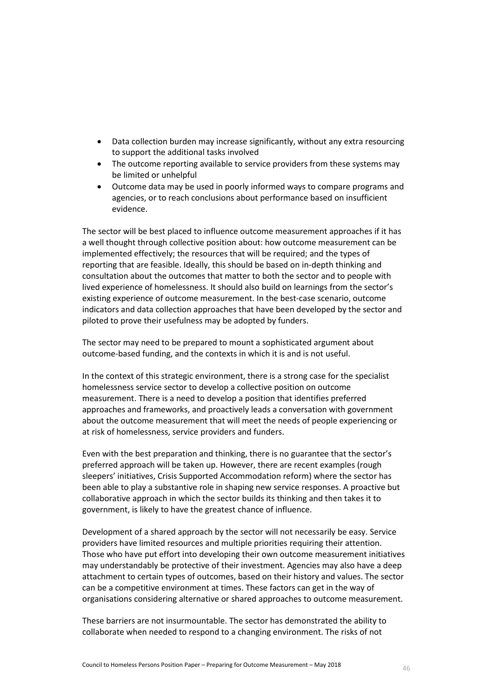- Data collection burden may increase significantly, without any extra resourcing to support the additional tasks involved
- The outcome reporting available to service providers from these systems may be limited or unhelpful
- Outcome data may be used in poorly informed ways to compare programs and agencies, or to reach conclusions about performance based on insufficient evidence.

The sector will be best placed to influence outcome measurement approaches if it has a well thought through collective position about: how outcome measurement can be implemented effectively; the resources that will be required; and the types of reporting that are feasible. Ideally, this should be based on in-depth thinking and consultation about the outcomes that matter to both the sector and to people with lived experience of homelessness. It should also build on learnings from the sector's existing experience of outcome measurement. In the best-case scenario, outcome indicators and data collection approaches that have been developed by the sector and piloted to prove their usefulness may be adopted by funders.

The sector may need to be prepared to mount a sophisticated argument about outcome-based funding, and the contexts in which it is and is not useful.

In the context of this strategic environment, there is a strong case for the specialist homelessness service sector to develop a collective position on outcome measurement. There is a need to develop a position that identifies preferred approaches and frameworks, and proactively leads a conversation with government about the outcome measurement that will meet the needs of people experiencing or at risk of homelessness, service providers and funders.

Even with the best preparation and thinking, there is no guarantee that the sector's preferred approach will be taken up. However, there are recent examples (rough sleepers' initiatives, Crisis Supported Accommodation reform) where the sector has been able to play a substantive role in shaping new service responses. A proactive but collaborative approach in which the sector builds its thinking and then takes it to government, is likely to have the greatest chance of influence.

Development of a shared approach by the sector will not necessarily be easy. Service providers have limited resources and multiple priorities requiring their attention. Those who have put effort into developing their own outcome measurement initiatives may understandably be protective of their investment. Agencies may also have a deep attachment to certain types of outcomes, based on their history and values. The sector can be a competitive environment at times. These factors can get in the way of organisations considering alternative or shared approaches to outcome measurement.

These barriers are not insurmountable. The sector has demonstrated the ability to collaborate when needed to respond to a changing environment. The risks of not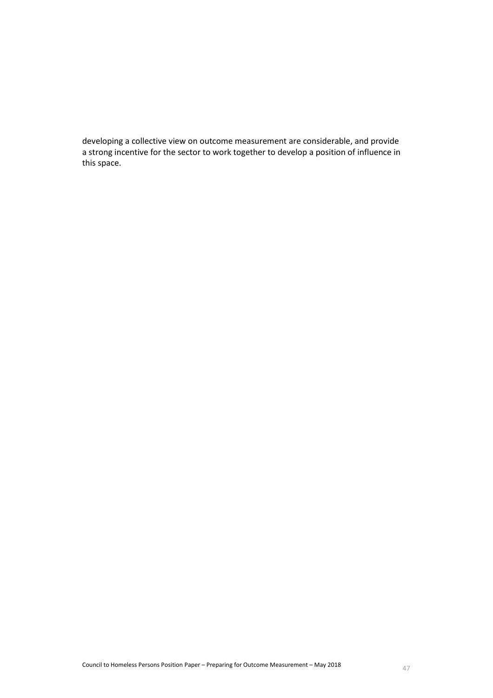developing a collective view on outcome measurement are considerable, and provide a strong incentive for the sector to work together to develop a position of influence in this space.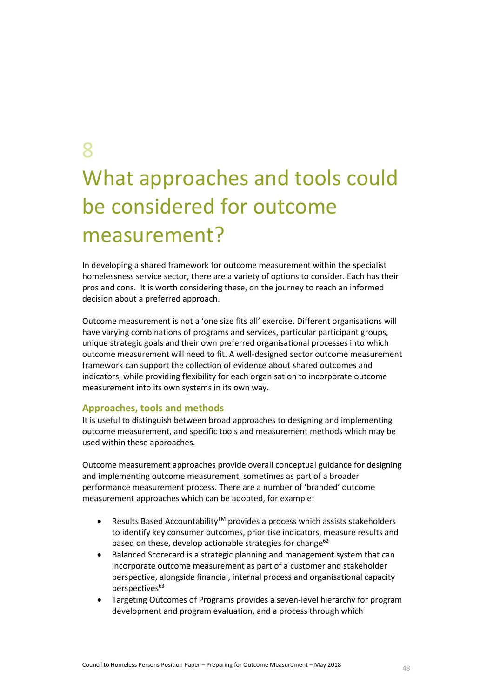8

# What approaches and tools could be considered for outcome measurement?

In developing a shared framework for outcome measurement within the specialist homelessness service sector, there are a variety of options to consider. Each has their pros and cons. It is worth considering these, on the journey to reach an informed decision about a preferred approach.

Outcome measurement is not a 'one size fits all' exercise. Different organisations will have varying combinations of programs and services, particular participant groups, unique strategic goals and their own preferred organisational processes into which outcome measurement will need to fit. A well-designed sector outcome measurement framework can support the collection of evidence about shared outcomes and indicators, while providing flexibility for each organisation to incorporate outcome measurement into its own systems in its own way.

#### **Approaches, tools and methods**

It is useful to distinguish between broad approaches to designing and implementing outcome measurement, and specific tools and measurement methods which may be used within these approaches.

Outcome measurement approaches provide overall conceptual guidance for designing and implementing outcome measurement, sometimes as part of a broader performance measurement process. There are a number of 'branded' outcome measurement approaches which can be adopted, for example:

- Results Based Accountability<sup>™</sup> provides a process which assists stakeholders to identify key consumer outcomes, prioritise indicators, measure results and based on these, develop actionable strategies for change $62$
- Balanced Scorecard is a strategic planning and management system that can incorporate outcome measurement as part of a customer and stakeholder perspective, alongside financial, internal process and organisational capacity perspectives<sup>63</sup>
- Targeting Outcomes of Programs provides a seven-level hierarchy for program development and program evaluation, and a process through which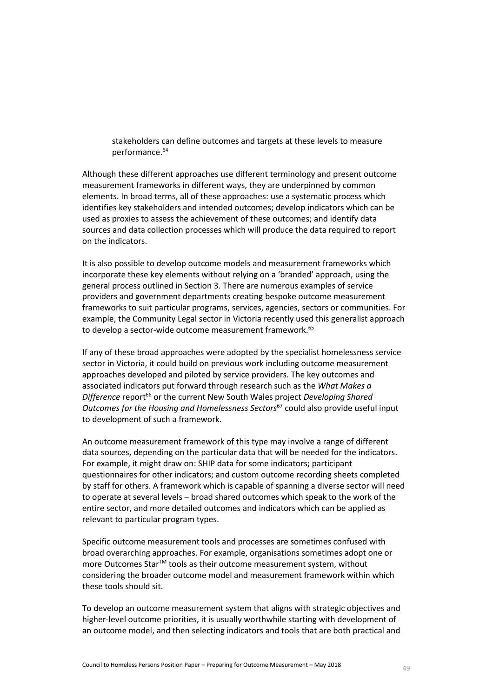stakeholders can define outcomes and targets at these levels to measure performance.<sup>64</sup>

Although these different approaches use different terminology and present outcome measurement frameworks in different ways, they are underpinned by common elements. In broad terms, all of these approaches: use a systematic process which identifies key stakeholders and intended outcomes; develop indicators which can be used as proxies to assess the achievement of these outcomes; and identify data sources and data collection processes which will produce the data required to report on the indicators.

It is also possible to develop outcome models and measurement frameworks which incorporate these key elements without relying on a 'branded' approach, using the general process outlined in Section 3. There are numerous examples of service providers and government departments creating bespoke outcome measurement frameworks to suit particular programs, services, agencies, sectors or communities. For example, the Community Legal sector in Victoria recently used this generalist approach to develop a sector-wide outcome measurement framework.<sup>65</sup>

If any of these broad approaches were adopted by the specialist homelessness service sector in Victoria, it could build on previous work including outcome measurement approaches developed and piloted by service providers. The key outcomes and associated indicators put forward through research such as the *What Makes a Difference* report<sup>66</sup> or the current New South Wales project *Developing Shared Outcomes for the Housing and Homelessness Sectors*<sup>67</sup> could also provide useful input to development of such a framework.

An outcome measurement framework of this type may involve a range of different data sources, depending on the particular data that will be needed for the indicators. For example, it might draw on: SHIP data for some indicators; participant questionnaires for other indicators; and custom outcome recording sheets completed by staff for others. A framework which is capable of spanning a diverse sector will need to operate at several levels – broad shared outcomes which speak to the work of the entire sector, and more detailed outcomes and indicators which can be applied as relevant to particular program types.

Specific outcome measurement tools and processes are sometimes confused with broad overarching approaches. For example, organisations sometimes adopt one or more Outcomes StarTM tools as their outcome measurement system, without considering the broader outcome model and measurement framework within which these tools should sit.

To develop an outcome measurement system that aligns with strategic objectives and higher-level outcome priorities, it is usually worthwhile starting with development of an outcome model, and then selecting indicators and tools that are both practical and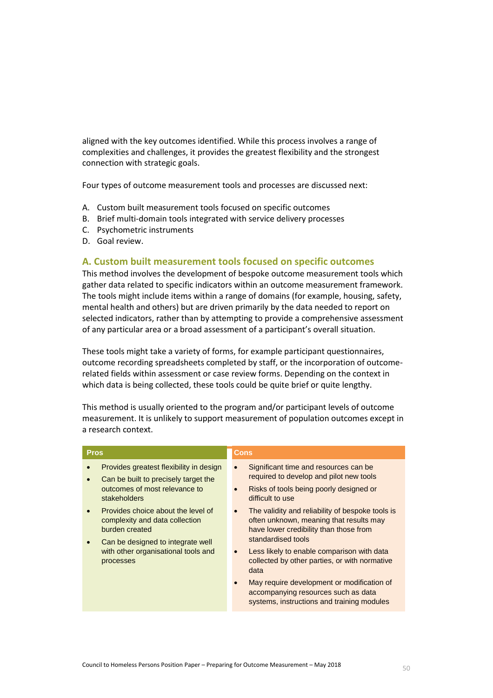aligned with the key outcomes identified. While this process involves a range of complexities and challenges, it provides the greatest flexibility and the strongest connection with strategic goals.

Four types of outcome measurement tools and processes are discussed next:

- A. Custom built measurement tools focused on specific outcomes
- B. Brief multi-domain tools integrated with service delivery processes
- C. Psychometric instruments
- D. Goal review.

#### **A. Custom built measurement tools focused on specific outcomes**

This method involves the development of bespoke outcome measurement tools which gather data related to specific indicators within an outcome measurement framework. The tools might include items within a range of domains (for example, housing, safety, mental health and others) but are driven primarily by the data needed to report on selected indicators, rather than by attempting to provide a comprehensive assessment of any particular area or a broad assessment of a participant's overall situation.

These tools might take a variety of forms, for example participant questionnaires, outcome recording spreadsheets completed by staff, or the incorporation of outcomerelated fields within assessment or case review forms. Depending on the context in which data is being collected, these tools could be quite brief or quite lengthy.

This method is usually oriented to the program and/or participant levels of outcome measurement. It is unlikely to support measurement of population outcomes except in a research context.

| <b>Pros</b>                                                                                                                                   | <b>Cons</b>                                                                                                                                                  |
|-----------------------------------------------------------------------------------------------------------------------------------------------|--------------------------------------------------------------------------------------------------------------------------------------------------------------|
| Provides greatest flexibility in design<br>Can be built to precisely target the<br>$\bullet$<br>outcomes of most relevance to<br>stakeholders | Significant time and resources can be<br>$\bullet$<br>required to develop and pilot new tools<br>Risks of tools being poorly designed or<br>difficult to use |
| Provides choice about the level of<br>$\bullet$<br>complexity and data collection<br>burden created<br>Can be designed to integrate well      | The validity and reliability of bespoke tools is<br>often unknown, meaning that results may<br>have lower credibility than those from<br>standardised tools  |
| with other organisational tools and<br>processes                                                                                              | Less likely to enable comparison with data<br>collected by other parties, or with normative<br>data                                                          |
|                                                                                                                                               | May require development or modification of<br>accompanying resources such as data<br>systems, instructions and training modules                              |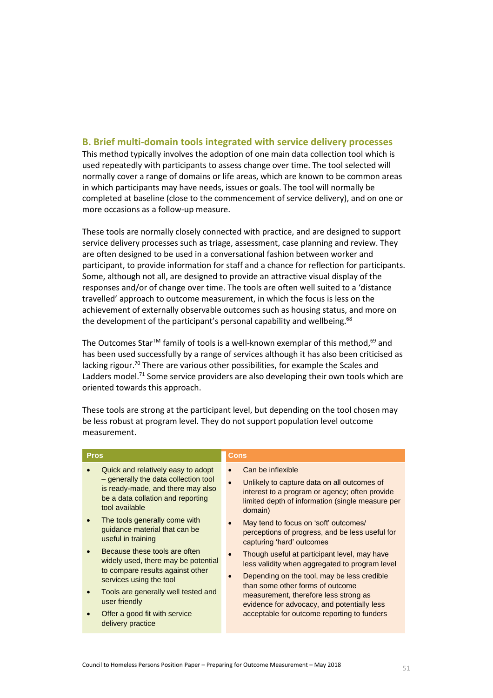#### **B. Brief multi-domain tools integrated with service delivery processes**

This method typically involves the adoption of one main data collection tool which is used repeatedly with participants to assess change over time. The tool selected will normally cover a range of domains or life areas, which are known to be common areas in which participants may have needs, issues or goals. The tool will normally be completed at baseline (close to the commencement of service delivery), and on one or more occasions as a follow-up measure.

These tools are normally closely connected with practice, and are designed to support service delivery processes such as triage, assessment, case planning and review. They are often designed to be used in a conversational fashion between worker and participant, to provide information for staff and a chance for reflection for participants. Some, although not all, are designed to provide an attractive visual display of the responses and/or of change over time. The tools are often well suited to a 'distance travelled' approach to outcome measurement, in which the focus is less on the achievement of externally observable outcomes such as housing status, and more on the development of the participant's personal capability and wellbeing.<sup>68</sup>

The Outcomes Star™ family of tools is a well-known exemplar of this method, $^{69}$  and has been used successfully by a range of services although it has also been criticised as lacking rigour.<sup>70</sup> There are various other possibilities, for example the Scales and Ladders model.<sup>71</sup> Some service providers are also developing their own tools which are oriented towards this approach.

| <b>Pros</b>    |                                                                                                                                                                                                                        | <b>Cons</b> |                                                                                                                                                                                                                               |
|----------------|------------------------------------------------------------------------------------------------------------------------------------------------------------------------------------------------------------------------|-------------|-------------------------------------------------------------------------------------------------------------------------------------------------------------------------------------------------------------------------------|
| tool available | Quick and relatively easy to adopt<br>- generally the data collection tool<br>is ready-made, and there may also<br>be a data collation and reporting<br>The tools generally come with<br>guidance material that can be |             | Can be inflexible<br>Unlikely to capture data on all outcomes of<br>interest to a program or agency; often provide<br>limited depth of information (single measure per<br>domain)<br>May tend to focus on 'soft' outcomes/    |
|                | useful in training<br>Because these tools are often<br>widely used, there may be potential<br>to compare results against other<br>services using the tool                                                              |             | perceptions of progress, and be less useful for<br>capturing 'hard' outcomes<br>Though useful at participant level, may have<br>less validity when aggregated to program level<br>Depending on the tool, may be less credible |
| user friendly  | Tools are generally well tested and<br>Offer a good fit with service<br>delivery practice                                                                                                                              |             | than some other forms of outcome<br>measurement, therefore less strong as<br>evidence for advocacy, and potentially less<br>acceptable for outcome reporting to funders                                                       |

These tools are strong at the participant level, but depending on the tool chosen may be less robust at program level. They do not support population level outcome measurement.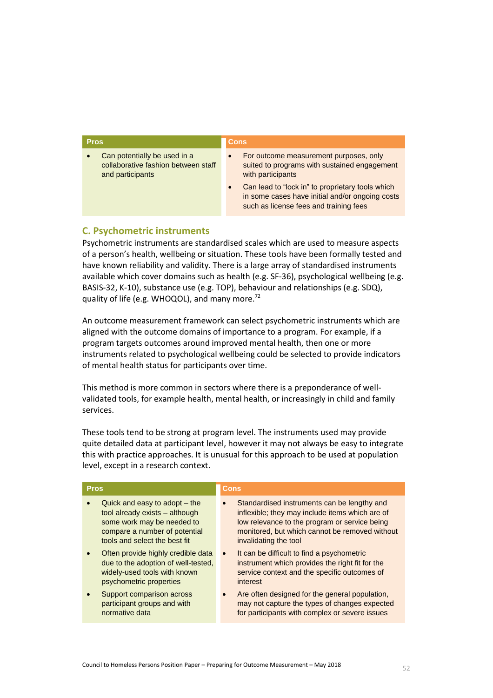| <b>Pros</b>                                                                                          | <b>Cons</b>                                                                                                                                                                                                                                                               |
|------------------------------------------------------------------------------------------------------|---------------------------------------------------------------------------------------------------------------------------------------------------------------------------------------------------------------------------------------------------------------------------|
| Can potentially be used in a<br>$\bullet$<br>collaborative fashion between staff<br>and participants | For outcome measurement purposes, only<br>$\bullet$<br>suited to programs with sustained engagement<br>with participants<br>Can lead to "lock in" to proprietary tools which<br>in some cases have initial and/or ongoing costs<br>such as license fees and training fees |

#### **C. Psychometric instruments**

Psychometric instruments are standardised scales which are used to measure aspects of a person's health, wellbeing or situation. These tools have been formally tested and have known reliability and validity. There is a large array of standardised instruments available which cover domains such as health (e.g. SF-36), psychological wellbeing (e.g. BASIS-32, K-10), substance use (e.g. TOP), behaviour and relationships (e.g. SDQ), quality of life (e.g. WHOQOL), and many more.<sup>72</sup>

An outcome measurement framework can select psychometric instruments which are aligned with the outcome domains of importance to a program. For example, if a program targets outcomes around improved mental health, then one or more instruments related to psychological wellbeing could be selected to provide indicators of mental health status for participants over time.

This method is more common in sectors where there is a preponderance of wellvalidated tools, for example health, mental health, or increasingly in child and family services.

These tools tend to be strong at program level. The instruments used may provide quite detailed data at participant level, however it may not always be easy to integrate this with practice approaches. It is unusual for this approach to be used at population level, except in a research context.

| <b>Pros</b>                                                                                                                                                     | Cons                                                                                                                                                                                                                       |  |
|-----------------------------------------------------------------------------------------------------------------------------------------------------------------|----------------------------------------------------------------------------------------------------------------------------------------------------------------------------------------------------------------------------|--|
| Quick and easy to adopt – the<br>tool already exists - although<br>some work may be needed to<br>compare a number of potential<br>tools and select the best fit | Standardised instruments can be lengthy and<br>inflexible; they may include items which are of<br>low relevance to the program or service being<br>monitored, but which cannot be removed without<br>invalidating the tool |  |
| Often provide highly credible data<br>due to the adoption of well-tested.<br>widely-used tools with known<br>psychometric properties                            | It can be difficult to find a psychometric<br>$\bullet$<br>instrument which provides the right fit for the<br>service context and the specific outcomes of<br>interest                                                     |  |
| Support comparison across<br>participant groups and with<br>normative data                                                                                      | Are often designed for the general population,<br>$\bullet$<br>may not capture the types of changes expected<br>for participants with complex or severe issues                                                             |  |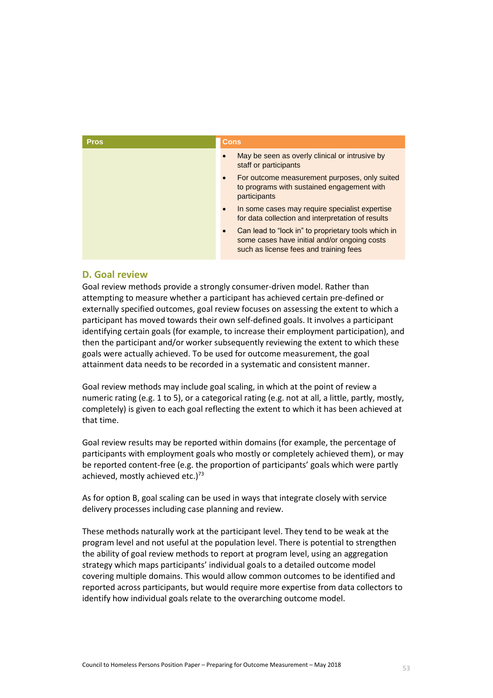| <b>Pros</b> | Cons                                                                                                                                          |
|-------------|-----------------------------------------------------------------------------------------------------------------------------------------------|
|             | May be seen as overly clinical or intrusive by<br>staff or participants                                                                       |
|             | For outcome measurement purposes, only suited<br>$\bullet$<br>to programs with sustained engagement with<br>participants                      |
|             | In some cases may require specialist expertise<br>for data collection and interpretation of results                                           |
|             | Can lead to "lock in" to proprietary tools which in<br>some cases have initial and/or ongoing costs<br>such as license fees and training fees |

#### **D. Goal review**

Goal review methods provide a strongly consumer-driven model. Rather than attempting to measure whether a participant has achieved certain pre-defined or externally specified outcomes, goal review focuses on assessing the extent to which a participant has moved towards their own self-defined goals. It involves a participant identifying certain goals (for example, to increase their employment participation), and then the participant and/or worker subsequently reviewing the extent to which these goals were actually achieved. To be used for outcome measurement, the goal attainment data needs to be recorded in a systematic and consistent manner.

Goal review methods may include goal scaling, in which at the point of review a numeric rating (e.g. 1 to 5), or a categorical rating (e.g. not at all, a little, partly, mostly, completely) is given to each goal reflecting the extent to which it has been achieved at that time.

Goal review results may be reported within domains (for example, the percentage of participants with employment goals who mostly or completely achieved them), or may be reported content-free (e.g. the proportion of participants' goals which were partly achieved, mostly achieved etc.) $73$ 

As for option B, goal scaling can be used in ways that integrate closely with service delivery processes including case planning and review.

These methods naturally work at the participant level. They tend to be weak at the program level and not useful at the population level. There is potential to strengthen the ability of goal review methods to report at program level, using an aggregation strategy which maps participants' individual goals to a detailed outcome model covering multiple domains. This would allow common outcomes to be identified and reported across participants, but would require more expertise from data collectors to identify how individual goals relate to the overarching outcome model.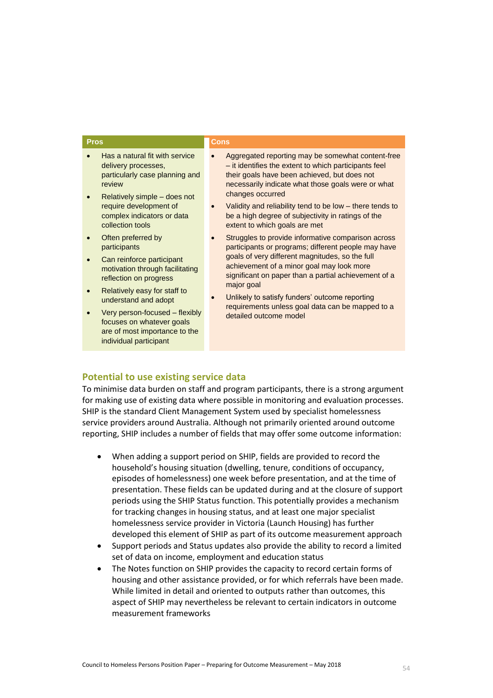| <b>Pros</b>                                                                                                                                                                                                                                                                                                                                                                                                                                                                                                                     | <b>Cons</b>                                                                                                                                                                                                                                                                                                                                                                                                                                                                                                                                                                                                                                                                                                                                                                                                |
|---------------------------------------------------------------------------------------------------------------------------------------------------------------------------------------------------------------------------------------------------------------------------------------------------------------------------------------------------------------------------------------------------------------------------------------------------------------------------------------------------------------------------------|------------------------------------------------------------------------------------------------------------------------------------------------------------------------------------------------------------------------------------------------------------------------------------------------------------------------------------------------------------------------------------------------------------------------------------------------------------------------------------------------------------------------------------------------------------------------------------------------------------------------------------------------------------------------------------------------------------------------------------------------------------------------------------------------------------|
| Has a natural fit with service<br>delivery processes,<br>particularly case planning and<br>review<br>Relatively simple – does not<br>require development of<br>complex indicators or data<br>collection tools<br>Often preferred by<br>participants<br>Can reinforce participant<br>motivation through facilitating<br>reflection on progress<br>Relatively easy for staff to<br>understand and adopt<br>Very person-focused - flexibly<br>focuses on whatever goals<br>are of most importance to the<br>individual participant | Aggregated reporting may be somewhat content-free<br>- it identifies the extent to which participants feel<br>their goals have been achieved, but does not<br>necessarily indicate what those goals were or what<br>changes occurred<br>Validity and reliability tend to be low – there tends to<br>be a high degree of subjectivity in ratings of the<br>extent to which goals are met<br>Struggles to provide informative comparison across<br>participants or programs; different people may have<br>goals of very different magnitudes, so the full<br>achievement of a minor goal may look more<br>significant on paper than a partial achievement of a<br>major goal<br>Unlikely to satisfy funders' outcome reporting<br>requirements unless goal data can be mapped to a<br>detailed outcome model |
|                                                                                                                                                                                                                                                                                                                                                                                                                                                                                                                                 |                                                                                                                                                                                                                                                                                                                                                                                                                                                                                                                                                                                                                                                                                                                                                                                                            |

#### **Potential to use existing service data**

To minimise data burden on staff and program participants, there is a strong argument for making use of existing data where possible in monitoring and evaluation processes. SHIP is the standard Client Management System used by specialist homelessness service providers around Australia. Although not primarily oriented around outcome reporting, SHIP includes a number of fields that may offer some outcome information:

- When adding a support period on SHIP, fields are provided to record the household's housing situation (dwelling, tenure, conditions of occupancy, episodes of homelessness) one week before presentation, and at the time of presentation. These fields can be updated during and at the closure of support periods using the SHIP Status function. This potentially provides a mechanism for tracking changes in housing status, and at least one major specialist homelessness service provider in Victoria (Launch Housing) has further developed this element of SHIP as part of its outcome measurement approach
- Support periods and Status updates also provide the ability to record a limited set of data on income, employment and education status
- The Notes function on SHIP provides the capacity to record certain forms of housing and other assistance provided, or for which referrals have been made. While limited in detail and oriented to outputs rather than outcomes, this aspect of SHIP may nevertheless be relevant to certain indicators in outcome measurement frameworks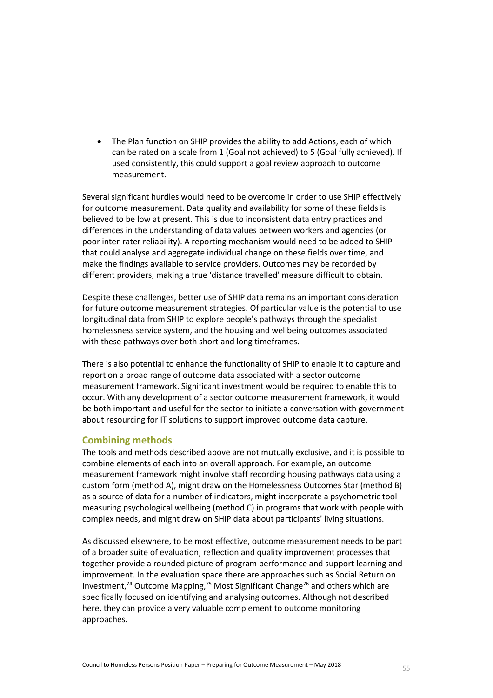The Plan function on SHIP provides the ability to add Actions, each of which can be rated on a scale from 1 (Goal not achieved) to 5 (Goal fully achieved). If used consistently, this could support a goal review approach to outcome measurement.

Several significant hurdles would need to be overcome in order to use SHIP effectively for outcome measurement. Data quality and availability for some of these fields is believed to be low at present. This is due to inconsistent data entry practices and differences in the understanding of data values between workers and agencies (or poor inter-rater reliability). A reporting mechanism would need to be added to SHIP that could analyse and aggregate individual change on these fields over time, and make the findings available to service providers. Outcomes may be recorded by different providers, making a true 'distance travelled' measure difficult to obtain.

Despite these challenges, better use of SHIP data remains an important consideration for future outcome measurement strategies. Of particular value is the potential to use longitudinal data from SHIP to explore people's pathways through the specialist homelessness service system, and the housing and wellbeing outcomes associated with these pathways over both short and long timeframes.

There is also potential to enhance the functionality of SHIP to enable it to capture and report on a broad range of outcome data associated with a sector outcome measurement framework. Significant investment would be required to enable this to occur. With any development of a sector outcome measurement framework, it would be both important and useful for the sector to initiate a conversation with government about resourcing for IT solutions to support improved outcome data capture.

#### **Combining methods**

The tools and methods described above are not mutually exclusive, and it is possible to combine elements of each into an overall approach. For example, an outcome measurement framework might involve staff recording housing pathways data using a custom form (method A), might draw on the Homelessness Outcomes Star (method B) as a source of data for a number of indicators, might incorporate a psychometric tool measuring psychological wellbeing (method C) in programs that work with people with complex needs, and might draw on SHIP data about participants' living situations.

As discussed elsewhere, to be most effective, outcome measurement needs to be part of a broader suite of evaluation, reflection and quality improvement processes that together provide a rounded picture of program performance and support learning and improvement. In the evaluation space there are approaches such as Social Return on Investment,<sup>74</sup> Outcome Mapping,<sup>75</sup> Most Significant Change<sup>76</sup> and others which are specifically focused on identifying and analysing outcomes. Although not described here, they can provide a very valuable complement to outcome monitoring approaches.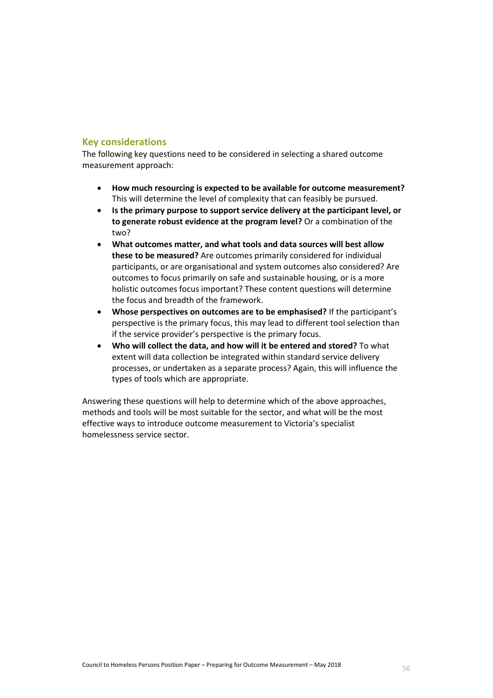#### **Key considerations**

The following key questions need to be considered in selecting a shared outcome measurement approach:

- **How much resourcing is expected to be available for outcome measurement?** This will determine the level of complexity that can feasibly be pursued.
- **Is the primary purpose to support service delivery at the participant level, or to generate robust evidence at the program level?** Or a combination of the two?
- **What outcomes matter, and what tools and data sources will best allow these to be measured?** Are outcomes primarily considered for individual participants, or are organisational and system outcomes also considered? Are outcomes to focus primarily on safe and sustainable housing, or is a more holistic outcomes focus important? These content questions will determine the focus and breadth of the framework.
- **Whose perspectives on outcomes are to be emphasised?** If the participant's perspective is the primary focus, this may lead to different tool selection than if the service provider's perspective is the primary focus.
- **Who will collect the data, and how will it be entered and stored?** To what extent will data collection be integrated within standard service delivery processes, or undertaken as a separate process? Again, this will influence the types of tools which are appropriate.

Answering these questions will help to determine which of the above approaches, methods and tools will be most suitable for the sector, and what will be the most effective ways to introduce outcome measurement to Victoria's specialist homelessness service sector.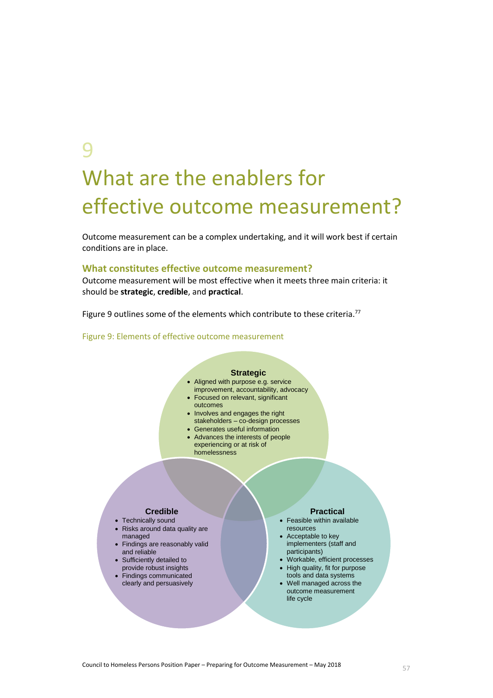## 9 What are the enablers for effective outcome measurement?

Outcome measurement can be a complex undertaking, and it will work best if certain conditions are in place.

#### **What constitutes effective outcome measurement?**

Outcome measurement will be most effective when it meets three main criteria: it should be **strategic**, **credible**, and **practical**.

[Figure 9](#page-56-0) outlines some of the elements which contribute to these criteria.<sup>77</sup>

#### <span id="page-56-0"></span>Figure 9: Elements of effective outcome measurement

#### **Strategic** Aligned with purpose e.g. service improvement, accountability, advocacy Focused on relevant, significant outcomes • Involves and engages the right stakeholders – co-design processes Generates useful information Advances the interests of people experiencing or at risk of homelessness **Credible** • Technically sound • Risks around data quality are managed • Findings are reasonably valid and reliable • Sufficiently detailed to provide robust insights Findings communicated clearly and persuasively **Practical** Feasible within available resources • Acceptable to key implementers (staff and participants) Workable, efficient processes • High quality, fit for purpose tools and data systems Well managed across the outcome measurement life cycle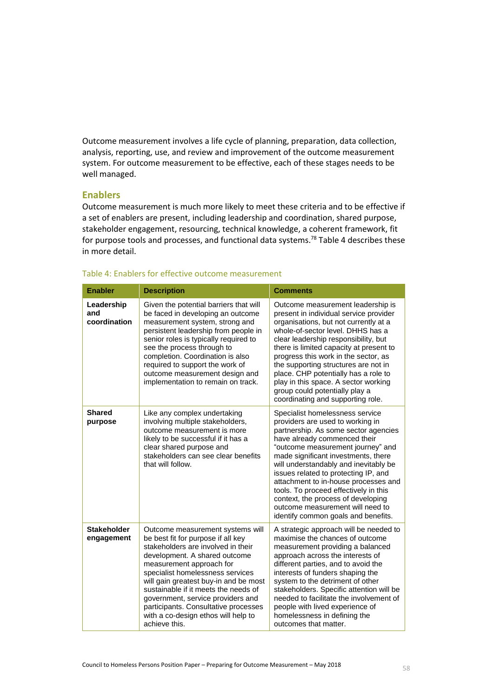Outcome measurement involves a life cycle of planning, preparation, data collection, analysis, reporting, use, and review and improvement of the outcome measurement system. For outcome measurement to be effective, each of these stages needs to be well managed.

#### **Enablers**

Outcome measurement is much more likely to meet these criteria and to be effective if a set of enablers are present, including leadership and coordination, shared purpose, stakeholder engagement, resourcing, technical knowledge, a coherent framework, fit for purpose tools and processes, and functional data systems.<sup>78</sup> [Table 4](#page-57-0) describes these in more detail.

| <b>Enabler</b>                    | <b>Description</b>                                                                                                                                                                                                                                                                                                                                                                                                                  | <b>Comments</b>                                                                                                                                                                                                                                                                                                                                                                                                                                                                                            |
|-----------------------------------|-------------------------------------------------------------------------------------------------------------------------------------------------------------------------------------------------------------------------------------------------------------------------------------------------------------------------------------------------------------------------------------------------------------------------------------|------------------------------------------------------------------------------------------------------------------------------------------------------------------------------------------------------------------------------------------------------------------------------------------------------------------------------------------------------------------------------------------------------------------------------------------------------------------------------------------------------------|
| Leadership<br>and<br>coordination | Given the potential barriers that will<br>be faced in developing an outcome<br>measurement system, strong and<br>persistent leadership from people in<br>senior roles is typically required to<br>see the process through to<br>completion. Coordination is also<br>required to support the work of<br>outcome measurement design and<br>implementation to remain on track.                                                         | Outcome measurement leadership is<br>present in individual service provider<br>organisations, but not currently at a<br>whole-of-sector level. DHHS has a<br>clear leadership responsibility, but<br>there is limited capacity at present to<br>progress this work in the sector, as<br>the supporting structures are not in<br>place. CHP potentially has a role to<br>play in this space. A sector working<br>group could potentially play a<br>coordinating and supporting role.                        |
| <b>Shared</b><br>purpose          | Like any complex undertaking<br>involving multiple stakeholders,<br>outcome measurement is more<br>likely to be successful if it has a<br>clear shared purpose and<br>stakeholders can see clear benefits<br>that will follow.                                                                                                                                                                                                      | Specialist homelessness service<br>providers are used to working in<br>partnership. As some sector agencies<br>have already commenced their<br>"outcome measurement journey" and<br>made significant investments, there<br>will understandably and inevitably be<br>issues related to protecting IP, and<br>attachment to in-house processes and<br>tools. To proceed effectively in this<br>context, the process of developing<br>outcome measurement will need to<br>identify common goals and benefits. |
| <b>Stakeholder</b><br>engagement  | Outcome measurement systems will<br>be best fit for purpose if all key<br>stakeholders are involved in their<br>development. A shared outcome<br>measurement approach for<br>specialist homelessness services<br>will gain greatest buy-in and be most<br>sustainable if it meets the needs of<br>government, service providers and<br>participants. Consultative processes<br>with a co-design ethos will help to<br>achieve this. | A strategic approach will be needed to<br>maximise the chances of outcome<br>measurement providing a balanced<br>approach across the interests of<br>different parties, and to avoid the<br>interests of funders shaping the<br>system to the detriment of other<br>stakeholders. Specific attention will be<br>needed to facilitate the involvement of<br>people with lived experience of<br>homelessness in defining the<br>outcomes that matter.                                                        |

#### <span id="page-57-0"></span>Table 4: Enablers for effective outcome measurement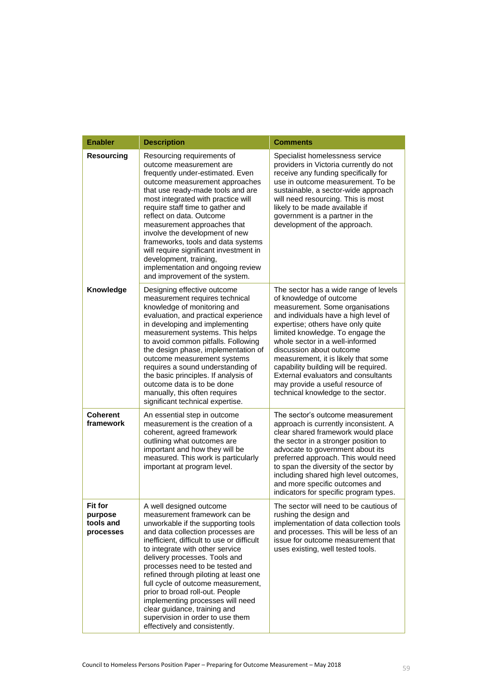| <b>Enabler</b>                               | <b>Description</b>                                                                                                                                                                                                                                                                                                                                                                                                                                                                                                                                 | <b>Comments</b>                                                                                                                                                                                                                                                                                                                                                                                                                                                                      |
|----------------------------------------------|----------------------------------------------------------------------------------------------------------------------------------------------------------------------------------------------------------------------------------------------------------------------------------------------------------------------------------------------------------------------------------------------------------------------------------------------------------------------------------------------------------------------------------------------------|--------------------------------------------------------------------------------------------------------------------------------------------------------------------------------------------------------------------------------------------------------------------------------------------------------------------------------------------------------------------------------------------------------------------------------------------------------------------------------------|
| <b>Resourcing</b>                            | Resourcing requirements of<br>outcome measurement are<br>frequently under-estimated. Even<br>outcome measurement approaches<br>that use ready-made tools and are<br>most integrated with practice will<br>require staff time to gather and<br>reflect on data. Outcome<br>measurement approaches that<br>involve the development of new<br>frameworks, tools and data systems<br>will require significant investment in<br>development, training,<br>implementation and ongoing review<br>and improvement of the system.                           | Specialist homelessness service<br>providers in Victoria currently do not<br>receive any funding specifically for<br>use in outcome measurement. To be<br>sustainable, a sector-wide approach<br>will need resourcing. This is most<br>likely to be made available if<br>government is a partner in the<br>development of the approach.                                                                                                                                              |
| Knowledge                                    | Designing effective outcome<br>measurement requires technical<br>knowledge of monitoring and<br>evaluation, and practical experience<br>in developing and implementing<br>measurement systems. This helps<br>to avoid common pitfalls. Following<br>the design phase, implementation of<br>outcome measurement systems<br>requires a sound understanding of<br>the basic principles. If analysis of<br>outcome data is to be done<br>manually, this often requires<br>significant technical expertise.                                             | The sector has a wide range of levels<br>of knowledge of outcome<br>measurement. Some organisations<br>and individuals have a high level of<br>expertise; others have only quite<br>limited knowledge. To engage the<br>whole sector in a well-informed<br>discussion about outcome<br>measurement, it is likely that some<br>capability building will be required.<br>External evaluators and consultants<br>may provide a useful resource of<br>technical knowledge to the sector. |
| <b>Coherent</b><br>framework                 | An essential step in outcome<br>measurement is the creation of a<br>coherent, agreed framework<br>outlining what outcomes are<br>important and how they will be<br>measured. This work is particularly<br>important at program level.                                                                                                                                                                                                                                                                                                              | The sector's outcome measurement<br>approach is currently inconsistent. A<br>clear shared framework would place<br>the sector in a stronger position to<br>advocate to government about its<br>preferred approach. This would need<br>to span the diversity of the sector by<br>including shared high level outcomes,<br>and more specific outcomes and<br>indicators for specific program types.                                                                                    |
| Fit for<br>purpose<br>tools and<br>processes | A well designed outcome<br>measurement framework can be<br>unworkable if the supporting tools<br>and data collection processes are<br>inefficient, difficult to use or difficult<br>to integrate with other service<br>delivery processes. Tools and<br>processes need to be tested and<br>refined through piloting at least one<br>full cycle of outcome measurement,<br>prior to broad roll-out. People<br>implementing processes will need<br>clear guidance, training and<br>supervision in order to use them<br>effectively and consistently. | The sector will need to be cautious of<br>rushing the design and<br>implementation of data collection tools<br>and processes. This will be less of an<br>issue for outcome measurement that<br>uses existing, well tested tools.                                                                                                                                                                                                                                                     |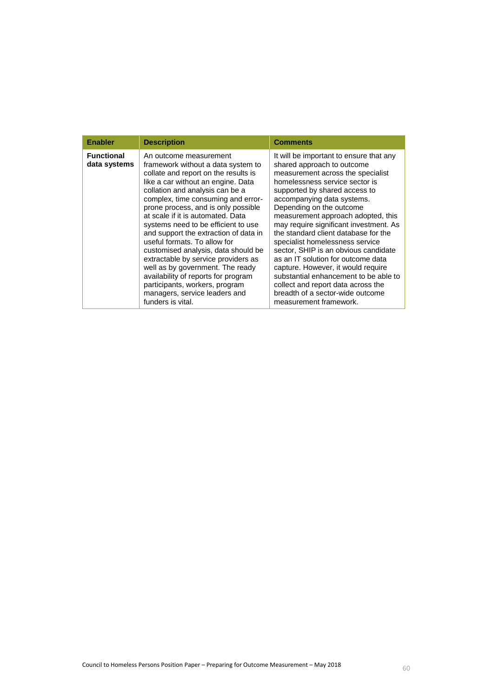| <b>Enabler</b>                    | <b>Description</b>                                                                                                                                                                                                                                                                                                                                                                                                                                                                                                                                                                                                                                               | <b>Comments</b>                                                                                                                                                                                                                                                                                                                                                                                                                                                                                                                                                                                                                                                     |
|-----------------------------------|------------------------------------------------------------------------------------------------------------------------------------------------------------------------------------------------------------------------------------------------------------------------------------------------------------------------------------------------------------------------------------------------------------------------------------------------------------------------------------------------------------------------------------------------------------------------------------------------------------------------------------------------------------------|---------------------------------------------------------------------------------------------------------------------------------------------------------------------------------------------------------------------------------------------------------------------------------------------------------------------------------------------------------------------------------------------------------------------------------------------------------------------------------------------------------------------------------------------------------------------------------------------------------------------------------------------------------------------|
| <b>Functional</b><br>data systems | An outcome measurement<br>framework without a data system to<br>collate and report on the results is<br>like a car without an engine. Data<br>collation and analysis can be a<br>complex, time consuming and error-<br>prone process, and is only possible<br>at scale if it is automated. Data<br>systems need to be efficient to use<br>and support the extraction of data in<br>useful formats. To allow for<br>customised analysis, data should be<br>extractable by service providers as<br>well as by government. The ready<br>availability of reports for program<br>participants, workers, program<br>managers, service leaders and<br>funders is vital. | It will be important to ensure that any<br>shared approach to outcome<br>measurement across the specialist<br>homelessness service sector is<br>supported by shared access to<br>accompanying data systems.<br>Depending on the outcome<br>measurement approach adopted, this<br>may require significant investment. As<br>the standard client database for the<br>specialist homelessness service<br>sector, SHIP is an obvious candidate<br>as an IT solution for outcome data<br>capture. However, it would require<br>substantial enhancement to be able to<br>collect and report data across the<br>breadth of a sector-wide outcome<br>measurement framework. |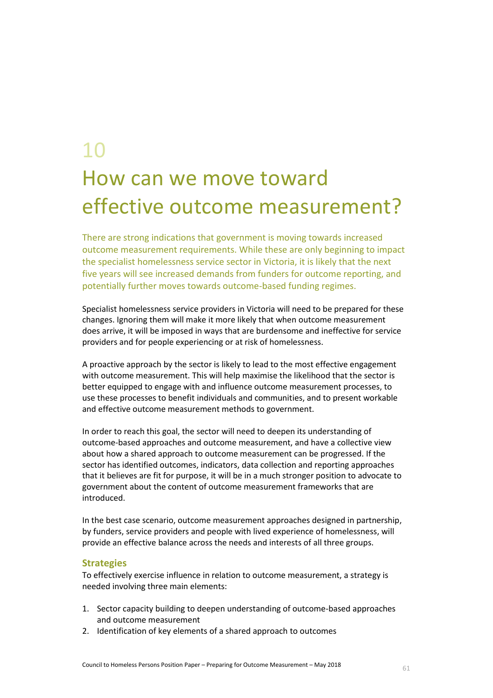## 10 How can we move toward effective outcome measurement?

There are strong indications that government is moving towards increased outcome measurement requirements. While these are only beginning to impact the specialist homelessness service sector in Victoria, it is likely that the next five years will see increased demands from funders for outcome reporting, and potentially further moves towards outcome-based funding regimes.

Specialist homelessness service providers in Victoria will need to be prepared for these changes. Ignoring them will make it more likely that when outcome measurement does arrive, it will be imposed in ways that are burdensome and ineffective for service providers and for people experiencing or at risk of homelessness.

A proactive approach by the sector is likely to lead to the most effective engagement with outcome measurement. This will help maximise the likelihood that the sector is better equipped to engage with and influence outcome measurement processes, to use these processes to benefit individuals and communities, and to present workable and effective outcome measurement methods to government.

In order to reach this goal, the sector will need to deepen its understanding of outcome-based approaches and outcome measurement, and have a collective view about how a shared approach to outcome measurement can be progressed. If the sector has identified outcomes, indicators, data collection and reporting approaches that it believes are fit for purpose, it will be in a much stronger position to advocate to government about the content of outcome measurement frameworks that are introduced.

In the best case scenario, outcome measurement approaches designed in partnership, by funders, service providers and people with lived experience of homelessness, will provide an effective balance across the needs and interests of all three groups.

#### **Strategies**

To effectively exercise influence in relation to outcome measurement, a strategy is needed involving three main elements:

- 1. Sector capacity building to deepen understanding of outcome-based approaches and outcome measurement
- 2. Identification of key elements of a shared approach to outcomes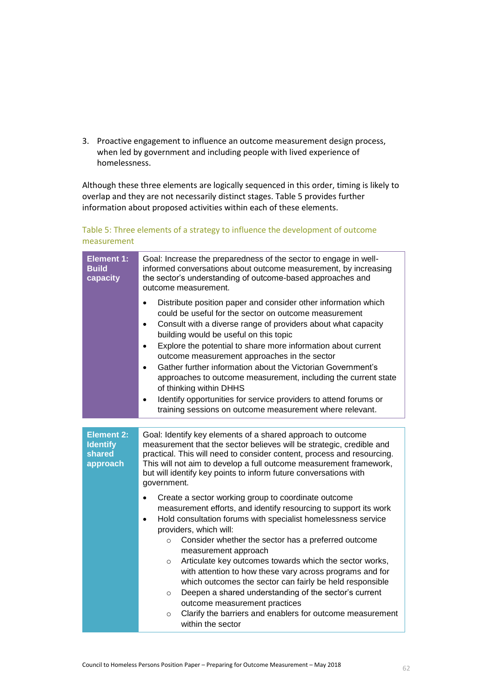3. Proactive engagement to influence an outcome measurement design process, when led by government and including people with lived experience of homelessness.

Although these three elements are logically sequenced in this order, timing is likely to overlap and they are not necessarily distinct stages. [Table 5](#page-61-0) provides further information about proposed activities within each of these elements.

#### <span id="page-61-0"></span>Table 5: Three elements of a strategy to influence the development of outcome measurement

| <b>Element 1:</b><br><b>Build</b><br>capacity              | Goal: Increase the preparedness of the sector to engage in well-<br>informed conversations about outcome measurement, by increasing<br>the sector's understanding of outcome-based approaches and<br>outcome measurement.<br>Distribute position paper and consider other information which<br>could be useful for the sector on outcome measurement<br>Consult with a diverse range of providers about what capacity<br>$\bullet$<br>building would be useful on this topic<br>Explore the potential to share more information about current<br>$\bullet$<br>outcome measurement approaches in the sector<br>Gather further information about the Victorian Government's<br>$\bullet$<br>approaches to outcome measurement, including the current state<br>of thinking within DHHS<br>Identify opportunities for service providers to attend forums or<br>$\bullet$<br>training sessions on outcome measurement where relevant. |  |
|------------------------------------------------------------|----------------------------------------------------------------------------------------------------------------------------------------------------------------------------------------------------------------------------------------------------------------------------------------------------------------------------------------------------------------------------------------------------------------------------------------------------------------------------------------------------------------------------------------------------------------------------------------------------------------------------------------------------------------------------------------------------------------------------------------------------------------------------------------------------------------------------------------------------------------------------------------------------------------------------------|--|
|                                                            |                                                                                                                                                                                                                                                                                                                                                                                                                                                                                                                                                                                                                                                                                                                                                                                                                                                                                                                                  |  |
| <b>Element 2:</b><br><b>Identify</b><br>shared<br>approach | Goal: Identify key elements of a shared approach to outcome<br>measurement that the sector believes will be strategic, credible and<br>practical. This will need to consider content, process and resourcing.<br>This will not aim to develop a full outcome measurement framework,<br>but will identify key points to inform future conversations with<br>government.                                                                                                                                                                                                                                                                                                                                                                                                                                                                                                                                                           |  |
|                                                            | Create a sector working group to coordinate outcome<br>$\bullet$<br>measurement efforts, and identify resourcing to support its work<br>Hold consultation forums with specialist homelessness service<br>$\bullet$<br>providers, which will:<br>Consider whether the sector has a preferred outcome<br>$\circ$<br>measurement approach<br>Articulate key outcomes towards which the sector works,<br>$\circ$<br>with attention to how these vary across programs and for<br>which outcomes the sector can fairly be held responsible<br>Deepen a shared understanding of the sector's current<br>$\circ$<br>outcome measurement practices<br>Clarify the barriers and enablers for outcome measurement<br>$\circ$<br>within the sector                                                                                                                                                                                           |  |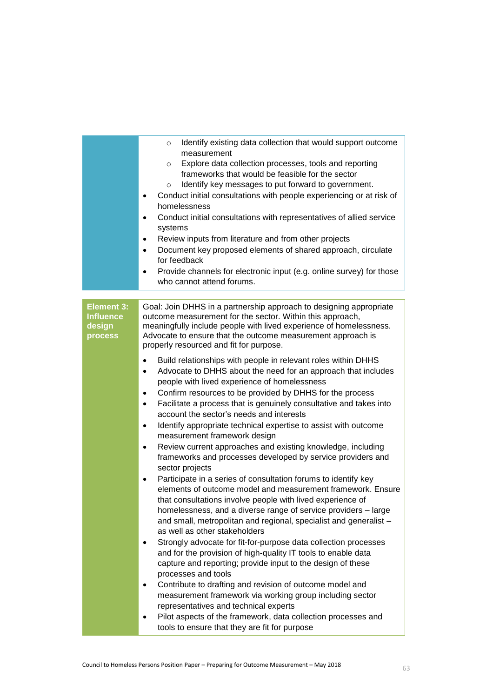|                                                            | Identify existing data collection that would support outcome<br>$\circ$<br>measurement<br>Explore data collection processes, tools and reporting<br>$\circ$<br>frameworks that would be feasible for the sector<br>Identify key messages to put forward to government.<br>$\circ$<br>Conduct initial consultations with people experiencing or at risk of<br>$\bullet$<br>homelessness<br>Conduct initial consultations with representatives of allied service<br>$\bullet$                                                                                                                                                                                                                                                                                                                                                                                                                                                                                                                                                               |
|------------------------------------------------------------|-------------------------------------------------------------------------------------------------------------------------------------------------------------------------------------------------------------------------------------------------------------------------------------------------------------------------------------------------------------------------------------------------------------------------------------------------------------------------------------------------------------------------------------------------------------------------------------------------------------------------------------------------------------------------------------------------------------------------------------------------------------------------------------------------------------------------------------------------------------------------------------------------------------------------------------------------------------------------------------------------------------------------------------------|
|                                                            | systems<br>Review inputs from literature and from other projects<br>$\bullet$                                                                                                                                                                                                                                                                                                                                                                                                                                                                                                                                                                                                                                                                                                                                                                                                                                                                                                                                                             |
|                                                            | Document key proposed elements of shared approach, circulate<br>$\bullet$<br>for feedback                                                                                                                                                                                                                                                                                                                                                                                                                                                                                                                                                                                                                                                                                                                                                                                                                                                                                                                                                 |
|                                                            | Provide channels for electronic input (e.g. online survey) for those<br>$\bullet$<br>who cannot attend forums.                                                                                                                                                                                                                                                                                                                                                                                                                                                                                                                                                                                                                                                                                                                                                                                                                                                                                                                            |
|                                                            |                                                                                                                                                                                                                                                                                                                                                                                                                                                                                                                                                                                                                                                                                                                                                                                                                                                                                                                                                                                                                                           |
| <b>Element 3:</b><br><b>Influence</b><br>design<br>process | Goal: Join DHHS in a partnership approach to designing appropriate<br>outcome measurement for the sector. Within this approach,<br>meaningfully include people with lived experience of homelessness.<br>Advocate to ensure that the outcome measurement approach is<br>properly resourced and fit for purpose.                                                                                                                                                                                                                                                                                                                                                                                                                                                                                                                                                                                                                                                                                                                           |
|                                                            | Build relationships with people in relevant roles within DHHS<br>$\bullet$<br>Advocate to DHHS about the need for an approach that includes<br>$\bullet$<br>people with lived experience of homelessness<br>Confirm resources to be provided by DHHS for the process<br>$\bullet$<br>Facilitate a process that is genuinely consultative and takes into<br>$\bullet$<br>account the sector's needs and interests<br>Identify appropriate technical expertise to assist with outcome<br>$\bullet$<br>measurement framework design<br>Review current approaches and existing knowledge, including<br>٠<br>frameworks and processes developed by service providers and<br>sector projects<br>Participate in a series of consultation forums to identify key<br>$\bullet$<br>elements of outcome model and measurement framework. Ensure<br>that consultations involve people with lived experience of<br>homelessness, and a diverse range of service providers - large<br>and small, metropolitan and regional, specialist and generalist - |
|                                                            | as well as other stakeholders<br>Strongly advocate for fit-for-purpose data collection processes<br>and for the provision of high-quality IT tools to enable data<br>capture and reporting; provide input to the design of these<br>processes and tools<br>Contribute to drafting and revision of outcome model and<br>measurement framework via working group including sector<br>representatives and technical experts<br>Pilot aspects of the framework, data collection processes and                                                                                                                                                                                                                                                                                                                                                                                                                                                                                                                                                 |
|                                                            | tools to ensure that they are fit for purpose                                                                                                                                                                                                                                                                                                                                                                                                                                                                                                                                                                                                                                                                                                                                                                                                                                                                                                                                                                                             |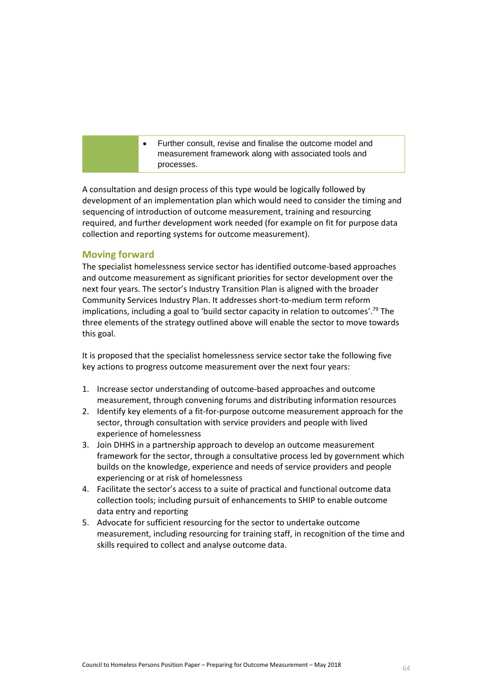Further consult, revise and finalise the outcome model and measurement framework along with associated tools and processes.

A consultation and design process of this type would be logically followed by development of an implementation plan which would need to consider the timing and sequencing of introduction of outcome measurement, training and resourcing required, and further development work needed (for example on fit for purpose data collection and reporting systems for outcome measurement).

#### **Moving forward**

The specialist homelessness service sector has identified outcome-based approaches and outcome measurement as significant priorities for sector development over the next four years. The sector's Industry Transition Plan is aligned with the broader Community Services Industry Plan. It addresses short-to-medium term reform implications, including a goal to 'build sector capacity in relation to outcomes'.<sup>79</sup> The three elements of the strategy outlined above will enable the sector to move towards this goal.

It is proposed that the specialist homelessness service sector take the following five key actions to progress outcome measurement over the next four years:

- 1. Increase sector understanding of outcome-based approaches and outcome measurement, through convening forums and distributing information resources
- 2. Identify key elements of a fit-for-purpose outcome measurement approach for the sector, through consultation with service providers and people with lived experience of homelessness
- 3. Join DHHS in a partnership approach to develop an outcome measurement framework for the sector, through a consultative process led by government which builds on the knowledge, experience and needs of service providers and people experiencing or at risk of homelessness
- 4. Facilitate the sector's access to a suite of practical and functional outcome data collection tools; including pursuit of enhancements to SHIP to enable outcome data entry and reporting
- 5. Advocate for sufficient resourcing for the sector to undertake outcome measurement, including resourcing for training staff, in recognition of the time and skills required to collect and analyse outcome data.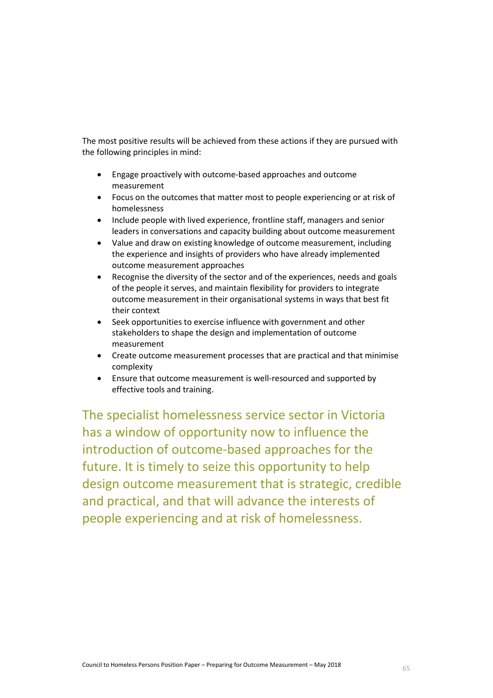The most positive results will be achieved from these actions if they are pursued with the following principles in mind:

- Engage proactively with outcome-based approaches and outcome measurement
- Focus on the outcomes that matter most to people experiencing or at risk of homelessness
- Include people with lived experience, frontline staff, managers and senior leaders in conversations and capacity building about outcome measurement
- Value and draw on existing knowledge of outcome measurement, including the experience and insights of providers who have already implemented outcome measurement approaches
- Recognise the diversity of the sector and of the experiences, needs and goals of the people it serves, and maintain flexibility for providers to integrate outcome measurement in their organisational systems in ways that best fit their context
- Seek opportunities to exercise influence with government and other stakeholders to shape the design and implementation of outcome measurement
- Create outcome measurement processes that are practical and that minimise complexity
- Ensure that outcome measurement is well-resourced and supported by effective tools and training.

The specialist homelessness service sector in Victoria has a window of opportunity now to influence the introduction of outcome-based approaches for the future. It is timely to seize this opportunity to help design outcome measurement that is strategic, credible and practical, and that will advance the interests of people experiencing and at risk of homelessness.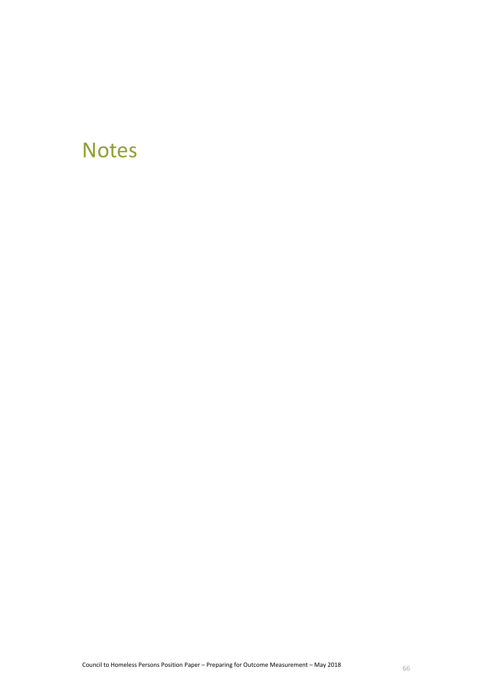### **Notes**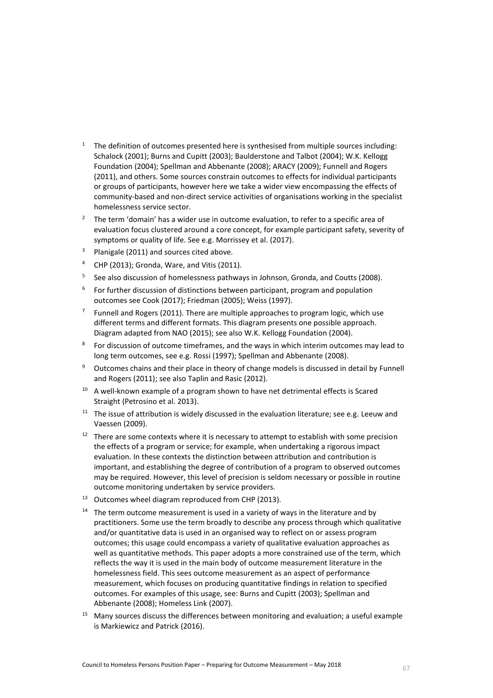- <sup>1</sup> The definition of outcomes presented here is synthesised from multiple sources including: Schalock (2001); Burns and Cupitt (2003); Baulderstone and Talbot (2004); W.K. Kellogg Foundation (2004); Spellman and Abbenante (2008); ARACY (2009); Funnell and Rogers (2011), and others. Some sources constrain outcomes to effects for individual participants or groups of participants, however here we take a wider view encompassing the effects of community-based and non-direct service activities of organisations working in the specialist homelessness service sector.
- <sup>2</sup> The term 'domain' has a wider use in outcome evaluation, to refer to a specific area of evaluation focus clustered around a core concept, for example participant safety, severity of symptoms or quality of life. See e.g. Morrissey et al. (2017).
- <sup>3</sup> Planigale (2011) and sources cited above.
- <sup>4</sup> CHP (2013); Gronda, Ware, and Vitis (2011).
- 5 See also discussion of homelessness pathways in Johnson, Gronda, and Coutts (2008).
- 6 For further discussion of distinctions between participant, program and population outcomes see Cook (2017); Friedman (2005); Weiss (1997).
- 7 Funnell and Rogers (2011). There are multiple approaches to program logic, which use different terms and different formats. This diagram presents one possible approach. Diagram adapted from NAO (2015); see also W.K. Kellogg Foundation (2004).
- 8 For discussion of outcome timeframes, and the ways in which interim outcomes may lead to long term outcomes, see e.g. Rossi (1997); Spellman and Abbenante (2008).
- <sup>9</sup> Outcomes chains and their place in theory of change models is discussed in detail by Funnell and Rogers (2011); see also Taplin and Rasic (2012).
- $10$  A well-known example of a program shown to have net detrimental effects is Scared Straight (Petrosino et al. 2013).
- $11$  The issue of attribution is widely discussed in the evaluation literature; see e.g. Leeuw and Vaessen (2009).
- $12$  There are some contexts where it is necessary to attempt to establish with some precision the effects of a program or service; for example, when undertaking a rigorous impact evaluation. In these contexts the distinction between attribution and contribution is important, and establishing the degree of contribution of a program to observed outcomes may be required. However, this level of precision is seldom necessary or possible in routine outcome monitoring undertaken by service providers.
- <sup>13</sup> Outcomes wheel diagram reproduced from CHP (2013).
- $14$  The term outcome measurement is used in a variety of ways in the literature and by practitioners. Some use the term broadly to describe any process through which qualitative and/or quantitative data is used in an organised way to reflect on or assess program outcomes; this usage could encompass a variety of qualitative evaluation approaches as well as quantitative methods. This paper adopts a more constrained use of the term, which reflects the way it is used in the main body of outcome measurement literature in the homelessness field. This sees outcome measurement as an aspect of performance measurement, which focuses on producing quantitative findings in relation to specified outcomes. For examples of this usage, see: Burns and Cupitt (2003); Spellman and Abbenante (2008); Homeless Link (2007).
- <sup>15</sup> Many sources discuss the differences between monitoring and evaluation; a useful example is Markiewicz and Patrick (2016).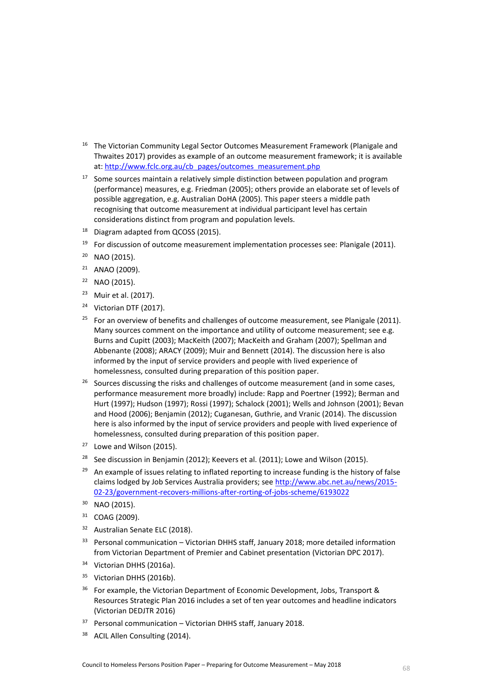- <sup>16</sup> The Victorian Community Legal Sector Outcomes Measurement Framework (Planigale and Thwaites 2017) provides as example of an outcome measurement framework; it is available at[: http://www.fclc.org.au/cb\\_pages/outcomes\\_measurement.php](http://www.fclc.org.au/cb_pages/outcomes_measurement.php)
- $17$  Some sources maintain a relatively simple distinction between population and program (performance) measures, e.g. Friedman (2005); others provide an elaborate set of levels of possible aggregation, e.g. Australian DoHA (2005). This paper steers a middle path recognising that outcome measurement at individual participant level has certain considerations distinct from program and population levels.
- <sup>18</sup> Diagram adapted from QCOSS (2015).
- <sup>19</sup> For discussion of outcome measurement implementation processes see: Planigale (2011).
- $20$  NAO (2015).
- <sup>21</sup> ANAO (2009).
- <sup>22</sup> NAO (2015).
- <sup>23</sup> Muir et al. (2017).
- <sup>24</sup> Victorian DTF (2017).
- <sup>25</sup> For an overview of benefits and challenges of outcome measurement, see Planigale (2011). Many sources comment on the importance and utility of outcome measurement; see e.g. Burns and Cupitt (2003); MacKeith (2007); MacKeith and Graham (2007); Spellman and Abbenante (2008); ARACY (2009); Muir and Bennett (2014). The discussion here is also informed by the input of service providers and people with lived experience of homelessness, consulted during preparation of this position paper.
- <sup>26</sup> Sources discussing the risks and challenges of outcome measurement (and in some cases, performance measurement more broadly) include: Rapp and Poertner (1992); Berman and Hurt (1997); Hudson (1997); Rossi (1997); Schalock (2001); Wells and Johnson (2001); Bevan and Hood (2006); Benjamin (2012); Cuganesan, Guthrie, and Vranic (2014). The discussion here is also informed by the input of service providers and people with lived experience of homelessness, consulted during preparation of this position paper.
- <sup>27</sup> Lowe and Wilson (2015).
- <sup>28</sup> See discussion in Benjamin (2012); Keevers et al. (2011); Lowe and Wilson (2015).
- $29$  An example of issues relating to inflated reporting to increase funding is the history of false claims lodged by Job Services Australia providers; see [http://www.abc.net.au/news/2015-](http://www.abc.net.au/news/2015-02-23/government-recovers-millions-after-rorting-of-jobs-scheme/6193022) [02-23/government-recovers-millions-after-rorting-of-jobs-scheme/6193022](http://www.abc.net.au/news/2015-02-23/government-recovers-millions-after-rorting-of-jobs-scheme/6193022)
- <sup>30</sup> NAO (2015).
- $31$  COAG (2009).
- <sup>32</sup> Australian Senate ELC (2018).
- $33$  Personal communication Victorian DHHS staff, January 2018; more detailed information from Victorian Department of Premier and Cabinet presentation (Victorian DPC 2017).
- <sup>34</sup> Victorian DHHS (2016a).
- <sup>35</sup> Victorian DHHS (2016b).
- $36$  For example, the Victorian Department of Economic Development, Jobs, Transport & Resources Strategic Plan 2016 includes a set of ten year outcomes and headline indicators (Victorian DEDJTR 2016)
- <sup>37</sup> Personal communication Victorian DHHS staff, January 2018.
- <sup>38</sup> ACIL Allen Consulting (2014).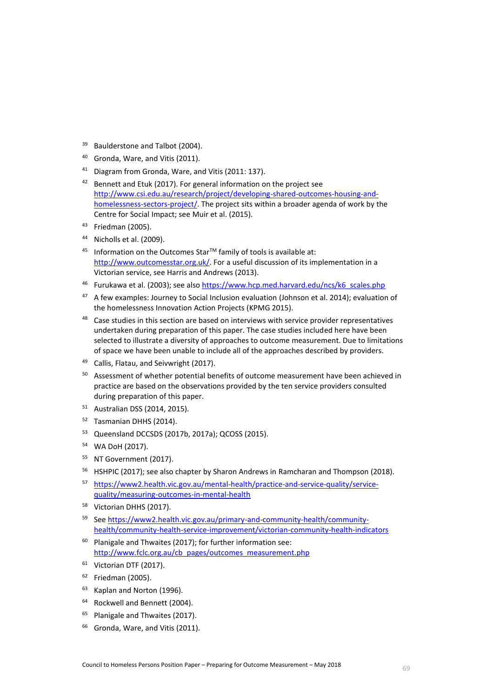- <sup>39</sup> Baulderstone and Talbot (2004).
- <sup>40</sup> Gronda, Ware, and Vitis (2011).
- <sup>41</sup> Diagram from Gronda, Ware, and Vitis (2011: 137).
- $42$  Bennett and Etuk (2017). For general information on the project see [http://www.csi.edu.au/research/project/developing-shared-outcomes-housing-and](http://www.csi.edu.au/research/project/developing-shared-outcomes-housing-and-homelessness-sectors-project/)[homelessness-sectors-project/.](http://www.csi.edu.au/research/project/developing-shared-outcomes-housing-and-homelessness-sectors-project/) The project sits within a broader agenda of work by the Centre for Social Impact; see Muir et al. (2015).
- <sup>43</sup> Friedman (2005).
- $44$  Nicholls et al. (2009).
- $45$  Information on the Outcomes Star<sup>TM</sup> family of tools is available at: [http://www.outcomesstar.org.uk/.](http://www.outcomesstar.org.uk/) For a useful discussion of its implementation in a Victorian service, see Harris and Andrews (2013).
- <sup>46</sup> Furukawa et al. (2003); see also [https://www.hcp.med.harvard.edu/ncs/k6\\_scales.php](https://www.hcp.med.harvard.edu/ncs/k6_scales.php)
- $47$  A few examples: Journey to Social Inclusion evaluation (Johnson et al. 2014); evaluation of the homelessness Innovation Action Projects (KPMG 2015).
- 48 Case studies in this section are based on interviews with service provider representatives undertaken during preparation of this paper. The case studies included here have been selected to illustrate a diversity of approaches to outcome measurement. Due to limitations of space we have been unable to include all of the approaches described by providers.
- <sup>49</sup> Callis, Flatau, and Seivwright (2017).
- <sup>50</sup> Assessment of whether potential benefits of outcome measurement have been achieved in practice are based on the observations provided by the ten service providers consulted during preparation of this paper.
- <sup>51</sup> Australian DSS (2014, 2015).
- <sup>52</sup> Tasmanian DHHS (2014).
- <sup>53</sup> Queensland DCCSDS (2017b, 2017a); QCOSS (2015).
- <sup>54</sup> WA DoH (2017).
- <sup>55</sup> NT Government (2017).
- <sup>56</sup> HSHPIC (2017); see also chapter by Sharon Andrews in Ramcharan and Thompson (2018).
- <sup>57</sup> [https://www2.health.vic.gov.au/mental-health/practice-and-service-quality/service](https://www2.health.vic.gov.au/mental-health/practice-and-service-quality/service-quality/measuring-outcomes-in-mental-health)[quality/measuring-outcomes-in-mental-health](https://www2.health.vic.gov.au/mental-health/practice-and-service-quality/service-quality/measuring-outcomes-in-mental-health)
- <sup>58</sup> Victorian DHHS (2017).
- <sup>59</sup> See [https://www2.health.vic.gov.au/primary-and-community-health/community](https://www2.health.vic.gov.au/primary-and-community-health/community-health/community-health-service-improvement/victorian-community-health-indicators)[health/community-health-service-improvement/victorian-community-health-indicators](https://www2.health.vic.gov.au/primary-and-community-health/community-health/community-health-service-improvement/victorian-community-health-indicators)
- $60$  Planigale and Thwaites (2017); for further information see: [http://www.fclc.org.au/cb\\_pages/outcomes\\_measurement.php](http://www.fclc.org.au/cb_pages/outcomes_measurement.php)
- $61$  Victorian DTF (2017).
- $62$  Friedman (2005).
- <sup>63</sup> Kaplan and Norton (1996).
- <sup>64</sup> Rockwell and Bennett (2004).
- <sup>65</sup> Planigale and Thwaites (2017).
- <sup>66</sup> Gronda, Ware, and Vitis (2011).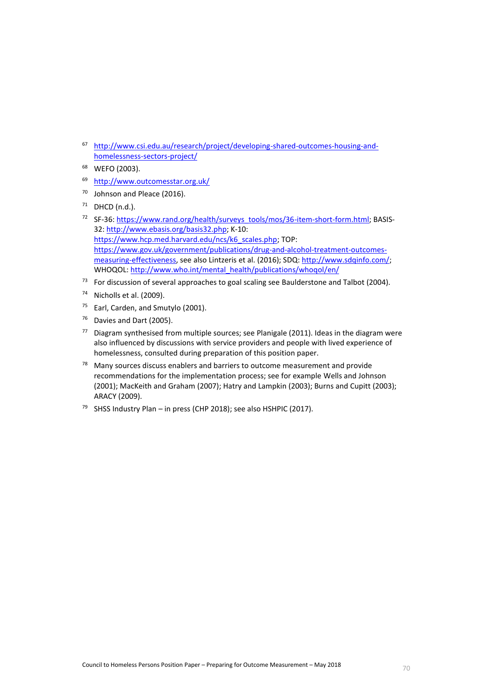- <sup>67</sup> [http://www.csi.edu.au/research/project/developing-shared-outcomes-housing-and](http://www.csi.edu.au/research/project/developing-shared-outcomes-housing-and-homelessness-sectors-project/)[homelessness-sectors-project/](http://www.csi.edu.au/research/project/developing-shared-outcomes-housing-and-homelessness-sectors-project/)
- <sup>68</sup> WEFO (2003).
- <sup>69</sup> <http://www.outcomesstar.org.uk/>
- <sup>70</sup> Johnson and Pleace (2016).
- $71$  DHCD (n.d.).
- 72 SF-36: [https://www.rand.org/health/surveys\\_tools/mos/36-item-short-form.html;](https://www.rand.org/health/surveys_tools/mos/36-item-short-form.html) BASIS-32[: http://www.ebasis.org/basis32.php;](http://www.ebasis.org/basis32.php) K-10: [https://www.hcp.med.harvard.edu/ncs/k6\\_scales.php;](https://www.hcp.med.harvard.edu/ncs/k6_scales.php) TOP: [https://www.gov.uk/government/publications/drug-and-alcohol-treatment-outcomes](https://www.gov.uk/government/publications/drug-and-alcohol-treatment-outcomes-measuring-effectiveness)[measuring-effectiveness,](https://www.gov.uk/government/publications/drug-and-alcohol-treatment-outcomes-measuring-effectiveness) see also Lintzeris et al. (2016); SDQ[: http://www.sdqinfo.com/;](http://www.sdqinfo.com/) WHOQOL[: http://www.who.int/mental\\_health/publications/whoqol/en/](http://www.who.int/mental_health/publications/whoqol/en/)
- $73$  For discussion of several approaches to goal scaling see Baulderstone and Talbot (2004).
- $74$  Nicholls et al. (2009).
- <sup>75</sup> Earl, Carden, and Smutylo (2001).
- <sup>76</sup> Davies and Dart (2005).
- $77$  Diagram synthesised from multiple sources; see Planigale (2011). Ideas in the diagram were also influenced by discussions with service providers and people with lived experience of homelessness, consulted during preparation of this position paper.
- $78$  Many sources discuss enablers and barriers to outcome measurement and provide recommendations for the implementation process; see for example Wells and Johnson (2001); MacKeith and Graham (2007); Hatry and Lampkin (2003); Burns and Cupitt (2003); ARACY (2009).
- <sup>79</sup> SHSS Industry Plan in press (CHP 2018); see also HSHPIC (2017).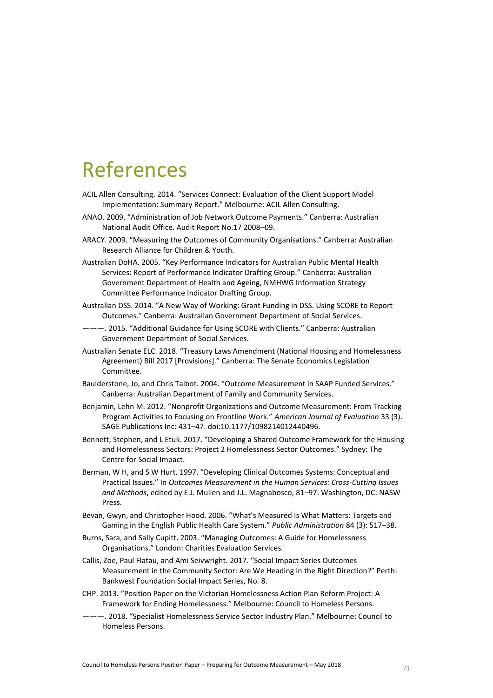### References

- ACIL Allen Consulting. 2014. "Services Connect: Evaluation of the Client Support Model Implementation: Summary Report." Melbourne: ACIL Allen Consulting.
- ANAO. 2009. "Administration of Job Network Outcome Payments." Canberra: Australian National Audit Office. Audit Report No.17 2008–09.
- ARACY. 2009. "Measuring the Outcomes of Community Organisations." Canberra: Australian Research Alliance for Children & Youth.
- Australian DoHA. 2005. "Key Performance Indicators for Australian Public Mental Health Services: Report of Performance Indicator Drafting Group." Canberra: Australian Government Department of Health and Ageing, NMHWG Information Strategy Committee Performance Indicator Drafting Group.
- Australian DSS. 2014. "A New Way of Working: Grant Funding in DSS. Using SCORE to Report Outcomes." Canberra: Australian Government Department of Social Services.
- ———. 2015. "Additional Guidance for Using SCORE with Clients." Canberra: Australian Government Department of Social Services.
- Australian Senate ELC. 2018. "Treasury Laws Amendment (National Housing and Homelessness Agreement) Bill 2017 [Provisions]." Canberra: The Senate Economics Legislation Committee.
- Baulderstone, Jo, and Chris Talbot. 2004. "Outcome Measurement in SAAP Funded Services." Canberra: Australian Department of Family and Community Services.
- Benjamin, Lehn M. 2012. "Nonprofit Organizations and Outcome Measurement: From Tracking Program Activities to Focusing on Frontline Work." *American Journal of Evaluation* 33 (3). SAGE Publications Inc: 431–47. doi:10.1177/1098214012440496.
- Bennett, Stephen, and L Etuk. 2017. "Developing a Shared Outcome Framework for the Housing and Homelessness Sectors: Project 2 Homelessness Sector Outcomes." Sydney: The Centre for Social Impact.
- Berman, W H, and S W Hurt. 1997. "Developing Clinical Outcomes Systems: Conceptual and Practical Issues." In *Outcomes Measurement in the Human Services: Cross-Cutting Issues and Methods*, edited by E.J. Mullen and J.L. Magnabosco, 81–97. Washington, DC: NASW Press.
- Bevan, Gwyn, and Christopher Hood. 2006. "What's Measured Is What Matters: Targets and Gaming in the English Public Health Care System." *Public Administration* 84 (3): 517–38.
- Burns, Sara, and Sally Cupitt. 2003. "Managing Outcomes: A Guide for Homelessness Organisations." London: Charities Evaluation Services.
- Callis, Zoe, Paul Flatau, and Ami Seivwright. 2017. "Social Impact Series Outcomes Measurement in the Community Sector: Are We Heading in the Right Direction?" Perth: Bankwest Foundation Social Impact Series, No. 8.
- CHP. 2013. "Position Paper on the Victorian Homelessness Action Plan Reform Project: A Framework for Ending Homelessness." Melbourne: Council to Homeless Persons.
- ———. 2018. "Specialist Homelessness Service Sector Industry Plan." Melbourne: Council to Homeless Persons.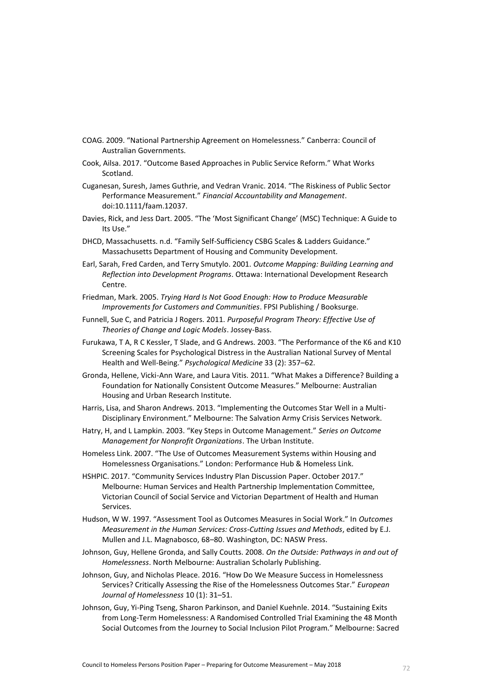- COAG. 2009. "National Partnership Agreement on Homelessness." Canberra: Council of Australian Governments.
- Cook, Ailsa. 2017. "Outcome Based Approaches in Public Service Reform." What Works Scotland.
- Cuganesan, Suresh, James Guthrie, and Vedran Vranic. 2014. "The Riskiness of Public Sector Performance Measurement." *Financial Accountability and Management*. doi:10.1111/faam.12037.
- Davies, Rick, and Jess Dart. 2005. "The 'Most Significant Change' (MSC) Technique: A Guide to Its Use."
- DHCD, Massachusetts. n.d. "Family Self-Sufficiency CSBG Scales & Ladders Guidance." Massachusetts Department of Housing and Community Development.
- Earl, Sarah, Fred Carden, and Terry Smutylo. 2001. *Outcome Mapping: Building Learning and Reflection into Development Programs*. Ottawa: International Development Research Centre.
- Friedman, Mark. 2005. *Trying Hard Is Not Good Enough: How to Produce Measurable Improvements for Customers and Communities*. FPSI Publishing / Booksurge.
- Funnell, Sue C, and Patricia J Rogers. 2011. *Purposeful Program Theory: Effective Use of Theories of Change and Logic Models*. Jossey-Bass.
- Furukawa, T A, R C Kessler, T Slade, and G Andrews. 2003. "The Performance of the K6 and K10 Screening Scales for Psychological Distress in the Australian National Survey of Mental Health and Well-Being." *Psychological Medicine* 33 (2): 357–62.
- Gronda, Hellene, Vicki-Ann Ware, and Laura Vitis. 2011. "What Makes a Difference? Building a Foundation for Nationally Consistent Outcome Measures." Melbourne: Australian Housing and Urban Research Institute.
- Harris, Lisa, and Sharon Andrews. 2013. "Implementing the Outcomes Star Well in a Multi-Disciplinary Environment." Melbourne: The Salvation Army Crisis Services Network.
- Hatry, H, and L Lampkin. 2003. "Key Steps in Outcome Management." *Series on Outcome Management for Nonprofit Organizations*. The Urban Institute.
- Homeless Link. 2007. "The Use of Outcomes Measurement Systems within Housing and Homelessness Organisations." London: Performance Hub & Homeless Link.
- HSHPIC. 2017. "Community Services Industry Plan Discussion Paper. October 2017." Melbourne: Human Services and Health Partnership Implementation Committee, Victorian Council of Social Service and Victorian Department of Health and Human Services.
- Hudson, W W. 1997. "Assessment Tool as Outcomes Measures in Social Work." In *Outcomes Measurement in the Human Services: Cross-Cutting Issues and Methods*, edited by E.J. Mullen and J.L. Magnabosco, 68–80. Washington, DC: NASW Press.
- Johnson, Guy, Hellene Gronda, and Sally Coutts. 2008. *On the Outside: Pathways in and out of Homelessness*. North Melbourne: Australian Scholarly Publishing.
- Johnson, Guy, and Nicholas Pleace. 2016. "How Do We Measure Success in Homelessness Services? Critically Assessing the Rise of the Homelessness Outcomes Star." *European Journal of Homelessness* 10 (1): 31–51.
- Johnson, Guy, Yi-Ping Tseng, Sharon Parkinson, and Daniel Kuehnle. 2014. "Sustaining Exits from Long-Term Homelessness: A Randomised Controlled Trial Examining the 48 Month Social Outcomes from the Journey to Social Inclusion Pilot Program." Melbourne: Sacred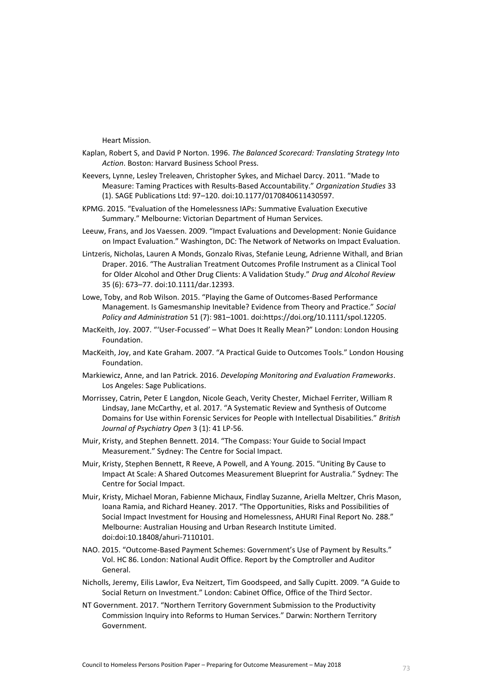Heart Mission.

- Kaplan, Robert S, and David P Norton. 1996. *The Balanced Scorecard: Translating Strategy Into Action*. Boston: Harvard Business School Press.
- Keevers, Lynne, Lesley Treleaven, Christopher Sykes, and Michael Darcy. 2011. "Made to Measure: Taming Practices with Results-Based Accountability." *Organization Studies* 33 (1). SAGE Publications Ltd: 97–120. doi:10.1177/0170840611430597.
- KPMG. 2015. "Evaluation of the Homelessness IAPs: Summative Evaluation Executive Summary." Melbourne: Victorian Department of Human Services.
- Leeuw, Frans, and Jos Vaessen. 2009. "Impact Evaluations and Development: Nonie Guidance on Impact Evaluation." Washington, DC: The Network of Networks on Impact Evaluation.
- Lintzeris, Nicholas, Lauren A Monds, Gonzalo Rivas, Stefanie Leung, Adrienne Withall, and Brian Draper. 2016. "The Australian Treatment Outcomes Profile Instrument as a Clinical Tool for Older Alcohol and Other Drug Clients: A Validation Study." *Drug and Alcohol Review* 35 (6): 673–77. doi:10.1111/dar.12393.
- Lowe, Toby, and Rob Wilson. 2015. "Playing the Game of Outcomes-Based Performance Management. Is Gamesmanship Inevitable? Evidence from Theory and Practice." *Social Policy and Administration* 51 (7): 981–1001. doi:https://doi.org/10.1111/spol.12205.
- MacKeith, Joy. 2007. "'User-Focussed' What Does It Really Mean?" London: London Housing Foundation.
- MacKeith, Joy, and Kate Graham. 2007. "A Practical Guide to Outcomes Tools." London Housing Foundation.
- Markiewicz, Anne, and Ian Patrick. 2016. *Developing Monitoring and Evaluation Frameworks*. Los Angeles: Sage Publications.
- Morrissey, Catrin, Peter E Langdon, Nicole Geach, Verity Chester, Michael Ferriter, William R Lindsay, Jane McCarthy, et al. 2017. "A Systematic Review and Synthesis of Outcome Domains for Use within Forensic Services for People with Intellectual Disabilities." *British Journal of Psychiatry Open* 3 (1): 41 LP-56.
- Muir, Kristy, and Stephen Bennett. 2014. "The Compass: Your Guide to Social Impact Measurement." Sydney: The Centre for Social Impact.
- Muir, Kristy, Stephen Bennett, R Reeve, A Powell, and A Young. 2015. "Uniting By Cause to Impact At Scale: A Shared Outcomes Measurement Blueprint for Australia." Sydney: The Centre for Social Impact.
- Muir, Kristy, Michael Moran, Fabienne Michaux, Findlay Suzanne, Ariella Meltzer, Chris Mason, Ioana Ramia, and Richard Heaney. 2017. "The Opportunities, Risks and Possibilities of Social Impact Investment for Housing and Homelessness, AHURI Final Report No. 288." Melbourne: Australian Housing and Urban Research Institute Limited. doi:doi:10.18408/ahuri-7110101.
- NAO. 2015. "Outcome-Based Payment Schemes: Government's Use of Payment by Results." Vol. HC 86. London: National Audit Office. Report by the Comptroller and Auditor General.
- Nicholls, Jeremy, Eilis Lawlor, Eva Neitzert, Tim Goodspeed, and Sally Cupitt. 2009. "A Guide to Social Return on Investment." London: Cabinet Office, Office of the Third Sector.
- NT Government. 2017. "Northern Territory Government Submission to the Productivity Commission Inquiry into Reforms to Human Services." Darwin: Northern Territory Government.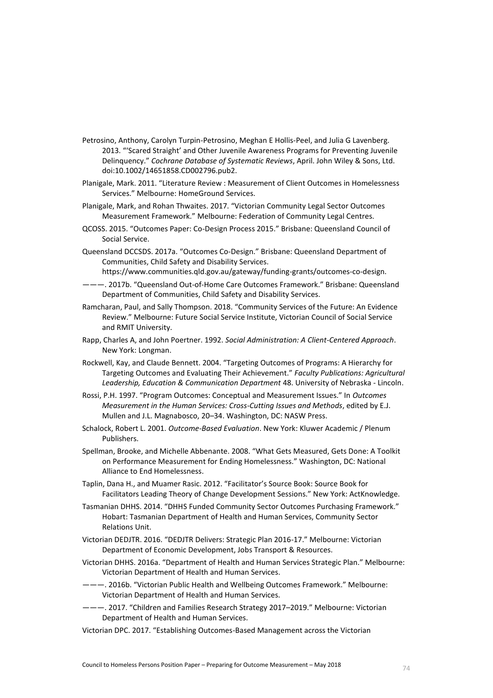- Petrosino, Anthony, Carolyn Turpin-Petrosino, Meghan E Hollis-Peel, and Julia G Lavenberg. 2013. "'Scared Straight' and Other Juvenile Awareness Programs for Preventing Juvenile Delinquency." *Cochrane Database of Systematic Reviews*, April. John Wiley & Sons, Ltd. doi:10.1002/14651858.CD002796.pub2.
- Planigale, Mark. 2011. "Literature Review : Measurement of Client Outcomes in Homelessness Services." Melbourne: HomeGround Services.
- Planigale, Mark, and Rohan Thwaites. 2017. "Victorian Community Legal Sector Outcomes Measurement Framework." Melbourne: Federation of Community Legal Centres.
- QCOSS. 2015. "Outcomes Paper: Co-Design Process 2015." Brisbane: Queensland Council of Social Service.
- Queensland DCCSDS. 2017a. "Outcomes Co-Design." Brisbane: Queensland Department of Communities, Child Safety and Disability Services.

https://www.communities.qld.gov.au/gateway/funding-grants/outcomes-co-design.

- ———. 2017b. "Queensland Out-of-Home Care Outcomes Framework." Brisbane: Queensland Department of Communities, Child Safety and Disability Services.
- Ramcharan, Paul, and Sally Thompson. 2018. "Community Services of the Future: An Evidence Review." Melbourne: Future Social Service Institute, Victorian Council of Social Service and RMIT University.
- Rapp, Charles A, and John Poertner. 1992. *Social Administration: A Client-Centered Approach*. New York: Longman.
- Rockwell, Kay, and Claude Bennett. 2004. "Targeting Outcomes of Programs: A Hierarchy for Targeting Outcomes and Evaluating Their Achievement." *Faculty Publications: Agricultural Leadership, Education & Communication Department* 48. University of Nebraska - Lincoln.
- Rossi, P.H. 1997. "Program Outcomes: Conceptual and Measurement Issues." In *Outcomes Measurement in the Human Services: Cross-Cutting Issues and Methods*, edited by E.J. Mullen and J.L. Magnabosco, 20–34. Washington, DC: NASW Press.
- Schalock, Robert L. 2001. *Outcome-Based Evaluation*. New York: Kluwer Academic / Plenum Publishers.
- Spellman, Brooke, and Michelle Abbenante. 2008. "What Gets Measured, Gets Done: A Toolkit on Performance Measurement for Ending Homelessness." Washington, DC: National Alliance to End Homelessness.
- Taplin, Dana H., and Muamer Rasic. 2012. "Facilitator's Source Book: Source Book for Facilitators Leading Theory of Change Development Sessions." New York: ActKnowledge.
- Tasmanian DHHS. 2014. "DHHS Funded Community Sector Outcomes Purchasing Framework." Hobart: Tasmanian Department of Health and Human Services, Community Sector Relations Unit.
- Victorian DEDJTR. 2016. "DEDJTR Delivers: Strategic Plan 2016-17." Melbourne: Victorian Department of Economic Development, Jobs Transport & Resources.
- Victorian DHHS. 2016a. "Department of Health and Human Services Strategic Plan." Melbourne: Victorian Department of Health and Human Services.
- ———. 2016b. "Victorian Public Health and Wellbeing Outcomes Framework." Melbourne: Victorian Department of Health and Human Services.
- ———. 2017. "Children and Families Research Strategy 2017–2019." Melbourne: Victorian Department of Health and Human Services.
- Victorian DPC. 2017. "Establishing Outcomes-Based Management across the Victorian